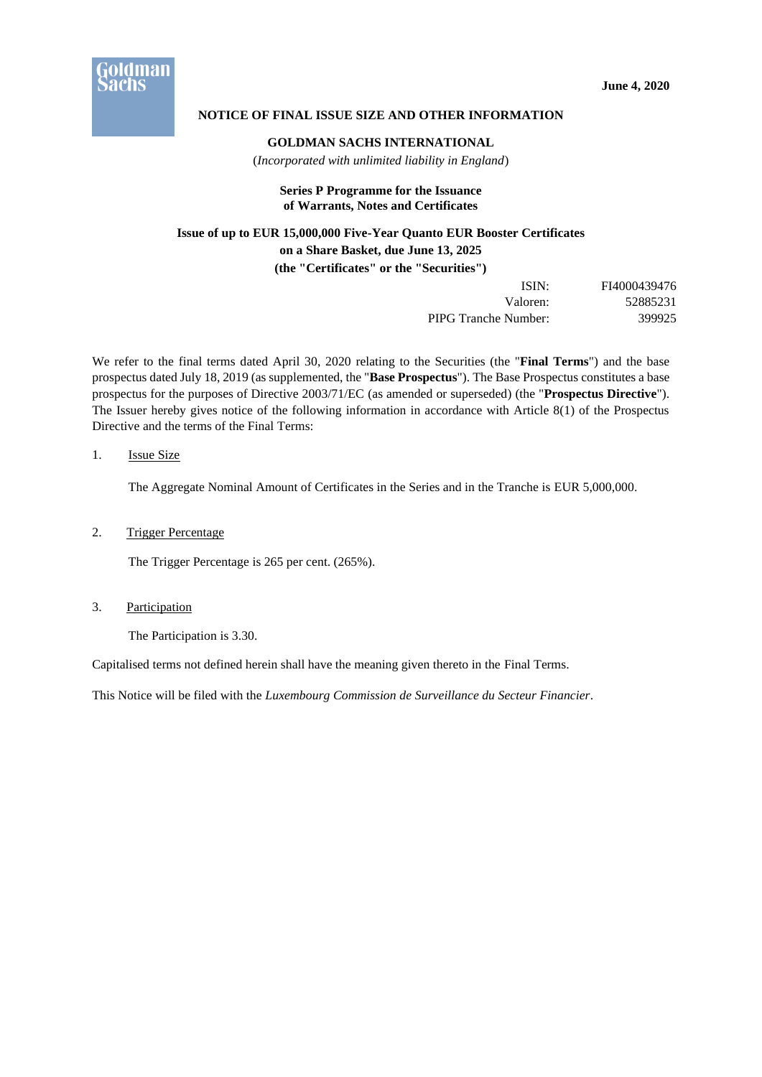

### **NOTICE OF FINAL ISSUE SIZE AND OTHER INFORMATION**

#### **GOLDMAN SACHS INTERNATIONAL**

(*Incorporated with unlimited liability in England*)

### **Series P Programme for the Issuance of Warrants, Notes and Certificates**

# **Issue of up to EUR 15,000,000 Five-Year Quanto EUR Booster Certificates on a Share Basket, due June 13, 2025 (the "Certificates" or the "Securities")**

| ISIN:                | FI4000439476 |
|----------------------|--------------|
| Valoren:             | 52885231     |
| PIPG Tranche Number: | 399925       |

We refer to the final terms dated April 30, 2020 relating to the Securities (the "**Final Terms**") and the base prospectus dated July 18, 2019 (as supplemented, the "**Base Prospectus**"). The Base Prospectus constitutes a base prospectus for the purposes of Directive 2003/71/EC (as amended or superseded) (the "**Prospectus Directive**"). The Issuer hereby gives notice of the following information in accordance with Article 8(1) of the Prospectus Directive and the terms of the Final Terms:

### 1. Issue Size

The Aggregate Nominal Amount of Certificates in the Series and in the Tranche is EUR 5,000,000.

2. Trigger Percentage

The Trigger Percentage is 265 per cent. (265%).

3. Participation

The Participation is 3.30.

Capitalised terms not defined herein shall have the meaning given thereto in the Final Terms.

This Notice will be filed with the *Luxembourg Commission de Surveillance du Secteur Financier*.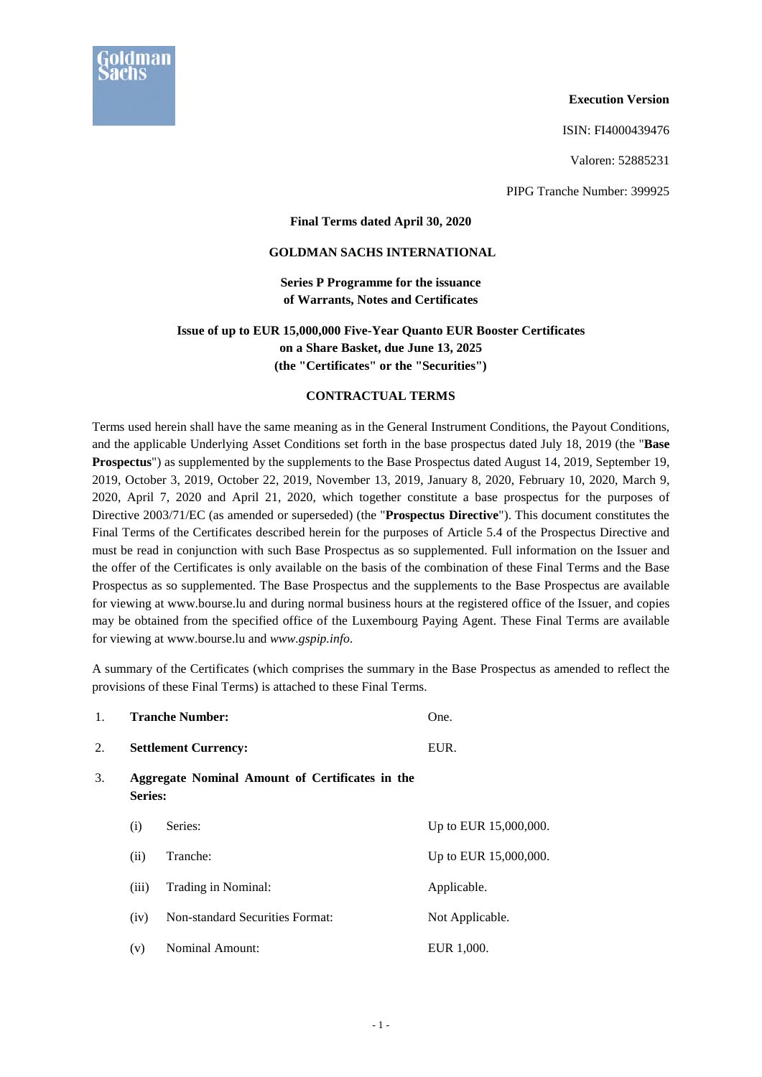

ISIN: FI4000439476

Valoren: 52885231

PIPG Tranche Number: 399925

**Final Terms dated April 30, 2020** 

### **GOLDMAN SACHS INTERNATIONAL**

**Series P Programme for the issuance of Warrants, Notes and Certificates** 

### **Issue of up to EUR 15,000,000 Five-Year Quanto EUR Booster Certificates on a Share Basket, due June 13, 2025 (the "Certificates" or the "Securities")**

#### **CONTRACTUAL TERMS**

Terms used herein shall have the same meaning as in the General Instrument Conditions, the Payout Conditions, and the applicable Underlying Asset Conditions set forth in the base prospectus dated July 18, 2019 (the "**Base Prospectus**") as supplemented by the supplements to the Base Prospectus dated August 14, 2019, September 19, 2019, October 3, 2019, October 22, 2019, November 13, 2019, January 8, 2020, February 10, 2020, March 9, 2020, April 7, 2020 and April 21, 2020, which together constitute a base prospectus for the purposes of Directive 2003/71/EC (as amended or superseded) (the "**Prospectus Directive**"). This document constitutes the Final Terms of the Certificates described herein for the purposes of Article 5.4 of the Prospectus Directive and must be read in conjunction with such Base Prospectus as so supplemented. Full information on the Issuer and the offer of the Certificates is only available on the basis of the combination of these Final Terms and the Base Prospectus as so supplemented. The Base Prospectus and the supplements to the Base Prospectus are available for viewing at www.bourse.lu and during normal business hours at the registered office of the Issuer, and copies may be obtained from the specified office of the Luxembourg Paying Agent. These Final Terms are available for viewing at www.bourse.lu and *www.gspip.info*.

A summary of the Certificates (which comprises the summary in the Base Prospectus as amended to reflect the provisions of these Final Terms) is attached to these Final Terms.

| 1. | <b>Tranche Number:</b>                                            |                                        | One.                  |  |
|----|-------------------------------------------------------------------|----------------------------------------|-----------------------|--|
| 2. | <b>Settlement Currency:</b>                                       |                                        | EUR.                  |  |
| 3. | Aggregate Nominal Amount of Certificates in the<br><b>Series:</b> |                                        |                       |  |
|    | (i)                                                               | Series:                                | Up to EUR 15,000,000. |  |
|    | (ii)                                                              | Tranche:                               | Up to EUR 15,000,000. |  |
|    | (iii)                                                             | Trading in Nominal:                    | Applicable.           |  |
|    | (iv)                                                              | <b>Non-standard Securities Format:</b> | Not Applicable.       |  |
|    | (v)                                                               | <b>Nominal Amount:</b>                 | EUR 1,000.            |  |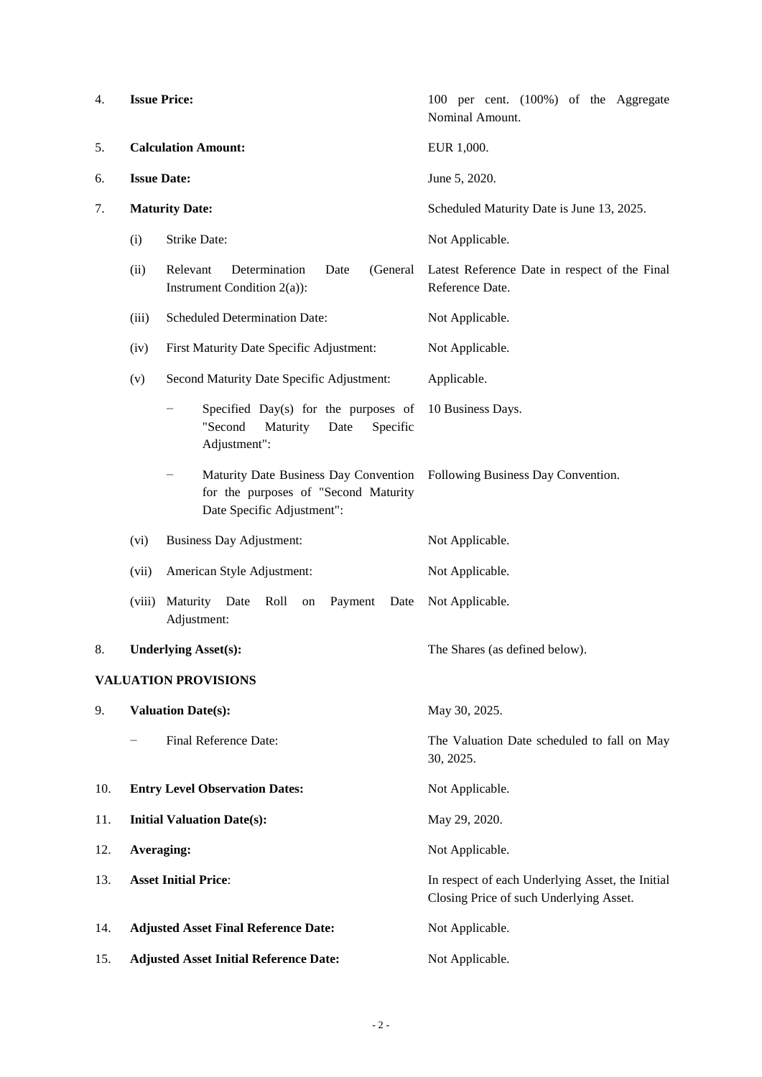| 4.  | <b>Issue Price:</b>                                                                             |                                                                                                             | 100 per cent. (100%) of the Aggregate<br>Nominal Amount.                                    |  |
|-----|-------------------------------------------------------------------------------------------------|-------------------------------------------------------------------------------------------------------------|---------------------------------------------------------------------------------------------|--|
| 5.  | <b>Calculation Amount:</b>                                                                      |                                                                                                             | EUR 1,000.                                                                                  |  |
| 6.  | <b>Issue Date:</b>                                                                              |                                                                                                             | June 5, 2020.                                                                               |  |
| 7.  | <b>Maturity Date:</b>                                                                           |                                                                                                             | Scheduled Maturity Date is June 13, 2025.                                                   |  |
|     | (i)                                                                                             | Strike Date:                                                                                                | Not Applicable.                                                                             |  |
|     | (ii)                                                                                            | Relevant<br>Determination<br>(General<br>Date<br>Instrument Condition $2(a)$ :                              | Latest Reference Date in respect of the Final<br>Reference Date.                            |  |
|     | (iii)                                                                                           | <b>Scheduled Determination Date:</b>                                                                        | Not Applicable.                                                                             |  |
|     | (iv)                                                                                            | First Maturity Date Specific Adjustment:                                                                    | Not Applicable.                                                                             |  |
|     | (v)                                                                                             | Second Maturity Date Specific Adjustment:                                                                   | Applicable.                                                                                 |  |
|     | Specified Day(s) for the purposes of<br>"Second<br>Maturity<br>Date<br>Specific<br>Adjustment": |                                                                                                             | 10 Business Days.                                                                           |  |
|     |                                                                                                 | Maturity Date Business Day Convention<br>for the purposes of "Second Maturity<br>Date Specific Adjustment": | Following Business Day Convention.                                                          |  |
|     | (vi)                                                                                            | <b>Business Day Adjustment:</b>                                                                             | Not Applicable.                                                                             |  |
|     | (vii)                                                                                           | American Style Adjustment:                                                                                  | Not Applicable.                                                                             |  |
|     | (viii)                                                                                          | Maturity Date<br>Roll<br>Payment<br>Date<br>on<br>Adjustment:                                               | Not Applicable.                                                                             |  |
| 8.  |                                                                                                 | <b>Underlying Asset(s):</b>                                                                                 | The Shares (as defined below).                                                              |  |
|     |                                                                                                 | <b>VALUATION PROVISIONS</b>                                                                                 |                                                                                             |  |
| 9.  |                                                                                                 | <b>Valuation Date(s):</b>                                                                                   | May 30, 2025.                                                                               |  |
|     |                                                                                                 | Final Reference Date:                                                                                       | The Valuation Date scheduled to fall on May<br>30, 2025.                                    |  |
| 10. |                                                                                                 | <b>Entry Level Observation Dates:</b>                                                                       | Not Applicable.                                                                             |  |
| 11. | <b>Initial Valuation Date(s):</b>                                                               |                                                                                                             | May 29, 2020.                                                                               |  |
| 12. | Averaging:                                                                                      |                                                                                                             | Not Applicable.                                                                             |  |
| 13. | <b>Asset Initial Price:</b>                                                                     |                                                                                                             | In respect of each Underlying Asset, the Initial<br>Closing Price of such Underlying Asset. |  |
| 14. |                                                                                                 | <b>Adjusted Asset Final Reference Date:</b>                                                                 | Not Applicable.                                                                             |  |
| 15. | <b>Adjusted Asset Initial Reference Date:</b>                                                   |                                                                                                             | Not Applicable.                                                                             |  |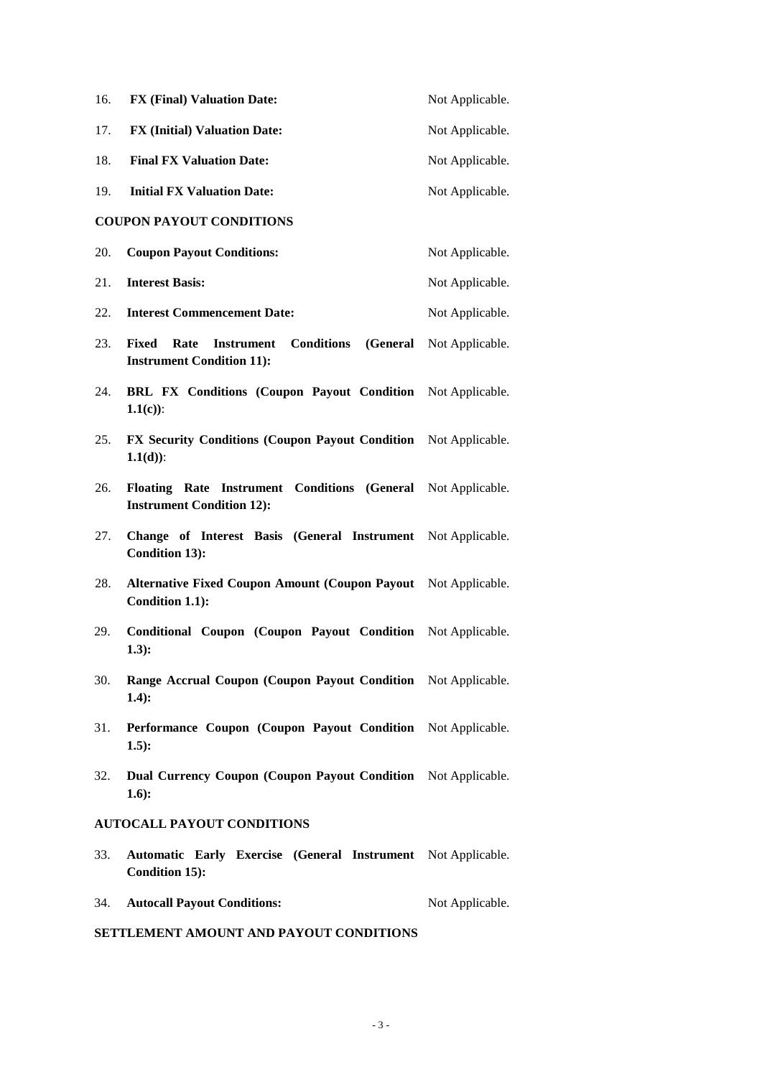| 16. | <b>FX (Final) Valuation Date:</b>                                                                | Not Applicable. |
|-----|--------------------------------------------------------------------------------------------------|-----------------|
| 17. | <b>FX (Initial) Valuation Date:</b>                                                              | Not Applicable. |
| 18. | <b>Final FX Valuation Date:</b>                                                                  | Not Applicable. |
| 19. | <b>Initial FX Valuation Date:</b>                                                                | Not Applicable. |
|     | <b>COUPON PAYOUT CONDITIONS</b>                                                                  |                 |
| 20. | <b>Coupon Payout Conditions:</b>                                                                 | Not Applicable. |
| 21. | <b>Interest Basis:</b>                                                                           | Not Applicable. |
| 22. | <b>Interest Commencement Date:</b>                                                               | Not Applicable. |
| 23. | <b>Instrument Conditions (General</b><br>Fixed<br>Rate<br><b>Instrument Condition 11):</b>       | Not Applicable. |
| 24. | BRL FX Conditions (Coupon Payout Condition Not Applicable.<br>$1.1(c)$ :                         |                 |
| 25. | FX Security Conditions (Coupon Payout Condition Not Applicable.<br>$1.1(d)$ :                    |                 |
| 26. | Floating Rate Instrument Conditions (General Not Applicable.<br><b>Instrument Condition 12):</b> |                 |
| 27. | Change of Interest Basis (General Instrument<br><b>Condition 13):</b>                            | Not Applicable. |
| 28. | Alternative Fixed Coupon Amount (Coupon Payout Not Applicable.<br>Condition 1.1):                |                 |
| 29. | Conditional Coupon (Coupon Payout Condition Not Applicable.<br>$1.3)$ :                          |                 |
| 30. | Range Accrual Coupon (Coupon Payout Condition Not Applicable.<br>$1.4$ :                         |                 |
| 31. | Performance Coupon (Coupon Payout Condition Not Applicable.<br>$1.5$ :                           |                 |
| 32. | Dual Currency Coupon (Coupon Payout Condition Not Applicable.<br>1.6):                           |                 |
|     | <b>AUTOCALL PAYOUT CONDITIONS</b>                                                                |                 |
| 33. | Automatic Early Exercise (General Instrument Not Applicable.<br><b>Condition 15):</b>            |                 |
| 34. | <b>Autocall Payout Conditions:</b>                                                               | Not Applicable. |

# **SETTLEMENT AMOUNT AND PAYOUT CONDITIONS**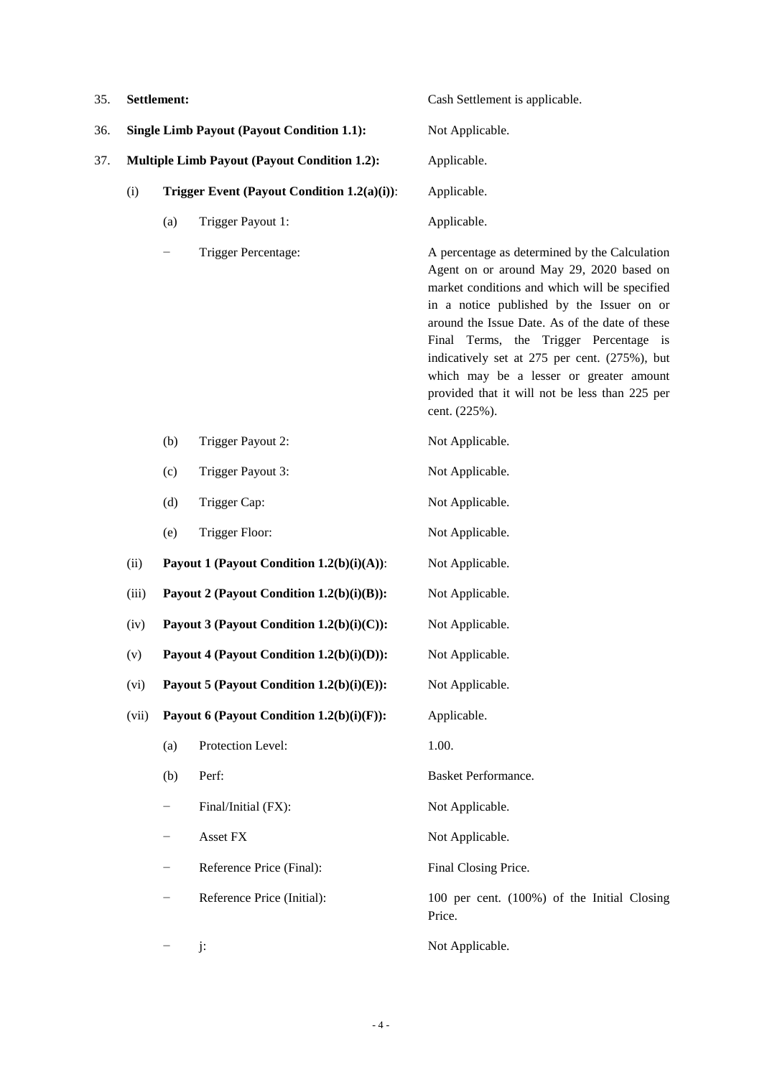| 35. | Settlement:                                         |                                             |                                           | Cash Settlement is applicable.                                                                                                                                                                                                                                                                                                                                                                                                                     |  |
|-----|-----------------------------------------------------|---------------------------------------------|-------------------------------------------|----------------------------------------------------------------------------------------------------------------------------------------------------------------------------------------------------------------------------------------------------------------------------------------------------------------------------------------------------------------------------------------------------------------------------------------------------|--|
| 36. | <b>Single Limb Payout (Payout Condition 1.1):</b>   |                                             |                                           | Not Applicable.                                                                                                                                                                                                                                                                                                                                                                                                                                    |  |
| 37. | <b>Multiple Limb Payout (Payout Condition 1.2):</b> |                                             |                                           | Applicable.                                                                                                                                                                                                                                                                                                                                                                                                                                        |  |
|     | (i)                                                 | Trigger Event (Payout Condition 1.2(a)(i)): |                                           | Applicable.                                                                                                                                                                                                                                                                                                                                                                                                                                        |  |
|     |                                                     | (a)                                         | Trigger Payout 1:                         | Applicable.                                                                                                                                                                                                                                                                                                                                                                                                                                        |  |
|     |                                                     |                                             | Trigger Percentage:                       | A percentage as determined by the Calculation<br>Agent on or around May 29, 2020 based on<br>market conditions and which will be specified<br>in a notice published by the Issuer on or<br>around the Issue Date. As of the date of these<br>Final Terms, the Trigger Percentage is<br>indicatively set at 275 per cent. (275%), but<br>which may be a lesser or greater amount<br>provided that it will not be less than 225 per<br>cent. (225%). |  |
|     |                                                     | (b)                                         | Trigger Payout 2:                         | Not Applicable.                                                                                                                                                                                                                                                                                                                                                                                                                                    |  |
|     |                                                     | (c)                                         | Trigger Payout 3:                         | Not Applicable.                                                                                                                                                                                                                                                                                                                                                                                                                                    |  |
|     |                                                     | (d)                                         | Trigger Cap:                              | Not Applicable.                                                                                                                                                                                                                                                                                                                                                                                                                                    |  |
|     |                                                     | (e)                                         | Trigger Floor:                            | Not Applicable.                                                                                                                                                                                                                                                                                                                                                                                                                                    |  |
|     | (ii)                                                |                                             | Payout 1 (Payout Condition 1.2(b)(i)(A)): | Not Applicable.                                                                                                                                                                                                                                                                                                                                                                                                                                    |  |
|     | (iii)                                               | Payout 2 (Payout Condition 1.2(b)(i)(B)):   |                                           | Not Applicable.                                                                                                                                                                                                                                                                                                                                                                                                                                    |  |
|     | (iv)                                                |                                             | Payout 3 (Payout Condition 1.2(b)(i)(C)): | Not Applicable.                                                                                                                                                                                                                                                                                                                                                                                                                                    |  |
|     | (v)                                                 |                                             | Payout 4 (Payout Condition 1.2(b)(i)(D)): | Not Applicable.                                                                                                                                                                                                                                                                                                                                                                                                                                    |  |
|     | (vi)                                                |                                             | Payout 5 (Payout Condition 1.2(b)(i)(E)): | Not Applicable.                                                                                                                                                                                                                                                                                                                                                                                                                                    |  |
|     | (vii)                                               | Payout 6 (Payout Condition 1.2(b)(i)(F)):   |                                           | Applicable.                                                                                                                                                                                                                                                                                                                                                                                                                                        |  |
|     |                                                     | (a)                                         | Protection Level:                         | 1.00.                                                                                                                                                                                                                                                                                                                                                                                                                                              |  |
|     |                                                     | (b)                                         | Perf:                                     | Basket Performance.                                                                                                                                                                                                                                                                                                                                                                                                                                |  |
|     |                                                     | —                                           | Final/Initial (FX):                       | Not Applicable.                                                                                                                                                                                                                                                                                                                                                                                                                                    |  |
|     |                                                     | -                                           | Asset FX                                  | Not Applicable.                                                                                                                                                                                                                                                                                                                                                                                                                                    |  |
|     |                                                     |                                             | Reference Price (Final):                  | Final Closing Price.                                                                                                                                                                                                                                                                                                                                                                                                                               |  |
|     |                                                     |                                             | Reference Price (Initial):                | 100 per cent. (100%) of the Initial Closing<br>Price.                                                                                                                                                                                                                                                                                                                                                                                              |  |
|     |                                                     |                                             | $j$ :                                     | Not Applicable.                                                                                                                                                                                                                                                                                                                                                                                                                                    |  |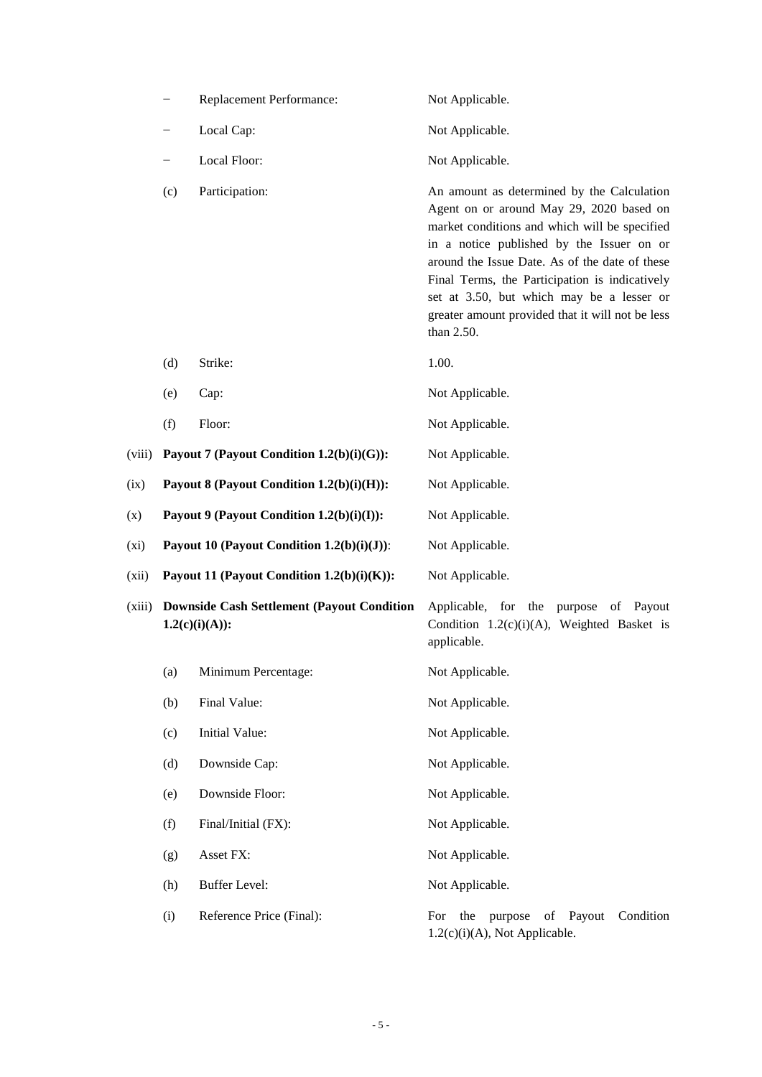|        | —                                          | Replacement Performance:                                               | Not Applicable.                                                                                                                                                                                                                                                                                                                                                                                         |  |
|--------|--------------------------------------------|------------------------------------------------------------------------|---------------------------------------------------------------------------------------------------------------------------------------------------------------------------------------------------------------------------------------------------------------------------------------------------------------------------------------------------------------------------------------------------------|--|
|        | -                                          | Local Cap:                                                             | Not Applicable.                                                                                                                                                                                                                                                                                                                                                                                         |  |
|        | -                                          | Local Floor:                                                           | Not Applicable.                                                                                                                                                                                                                                                                                                                                                                                         |  |
|        | Participation:<br>(c)                      |                                                                        | An amount as determined by the Calculation<br>Agent on or around May 29, 2020 based on<br>market conditions and which will be specified<br>in a notice published by the Issuer on or<br>around the Issue Date. As of the date of these<br>Final Terms, the Participation is indicatively<br>set at 3.50, but which may be a lesser or<br>greater amount provided that it will not be less<br>than 2.50. |  |
|        | (d)                                        | Strike:                                                                | 1.00.                                                                                                                                                                                                                                                                                                                                                                                                   |  |
|        | (e)                                        | Cap:                                                                   | Not Applicable.                                                                                                                                                                                                                                                                                                                                                                                         |  |
|        | (f)                                        | Floor:                                                                 | Not Applicable.                                                                                                                                                                                                                                                                                                                                                                                         |  |
| (viii) |                                            | Payout 7 (Payout Condition 1.2(b)(i)(G)):                              | Not Applicable.                                                                                                                                                                                                                                                                                                                                                                                         |  |
| (ix)   | Payout 8 (Payout Condition 1.2(b)(i)(H)):  |                                                                        | Not Applicable.                                                                                                                                                                                                                                                                                                                                                                                         |  |
| (x)    | Payout 9 (Payout Condition 1.2(b)(i)(I)):  |                                                                        | Not Applicable.                                                                                                                                                                                                                                                                                                                                                                                         |  |
| (xi)   | Payout 10 (Payout Condition 1.2(b)(i)(J)): |                                                                        | Not Applicable.                                                                                                                                                                                                                                                                                                                                                                                         |  |
| (xii)  |                                            | Payout 11 (Payout Condition 1.2(b)(i)(K)):                             | Not Applicable.                                                                                                                                                                                                                                                                                                                                                                                         |  |
| (xiii) |                                            | <b>Downside Cash Settlement (Payout Condition</b><br>$1.2(c)(i)(A))$ : | for the<br>Applicable,<br>purpose<br>of Payout<br>Condition 1.2(c)(i)(A), Weighted Basket is<br>applicable.                                                                                                                                                                                                                                                                                             |  |
|        | (a)                                        | Minimum Percentage:                                                    | Not Applicable.                                                                                                                                                                                                                                                                                                                                                                                         |  |
|        | (b)                                        | Final Value:                                                           | Not Applicable.                                                                                                                                                                                                                                                                                                                                                                                         |  |
|        | (c)                                        | Initial Value:                                                         | Not Applicable.                                                                                                                                                                                                                                                                                                                                                                                         |  |
|        | (d)                                        | Downside Cap:                                                          | Not Applicable.                                                                                                                                                                                                                                                                                                                                                                                         |  |
|        | (e)                                        | Downside Floor:                                                        | Not Applicable.                                                                                                                                                                                                                                                                                                                                                                                         |  |
|        | (f)                                        | Final/Initial (FX):                                                    | Not Applicable.                                                                                                                                                                                                                                                                                                                                                                                         |  |
|        | (g)                                        | Asset FX:                                                              | Not Applicable.                                                                                                                                                                                                                                                                                                                                                                                         |  |
|        | (h)                                        | <b>Buffer Level:</b>                                                   | Not Applicable.                                                                                                                                                                                                                                                                                                                                                                                         |  |
|        | (i)                                        | Reference Price (Final):                                               | Condition<br>For<br>the<br>purpose<br>of Payout<br>1.2(c)(i)(A), Not Applicable.                                                                                                                                                                                                                                                                                                                        |  |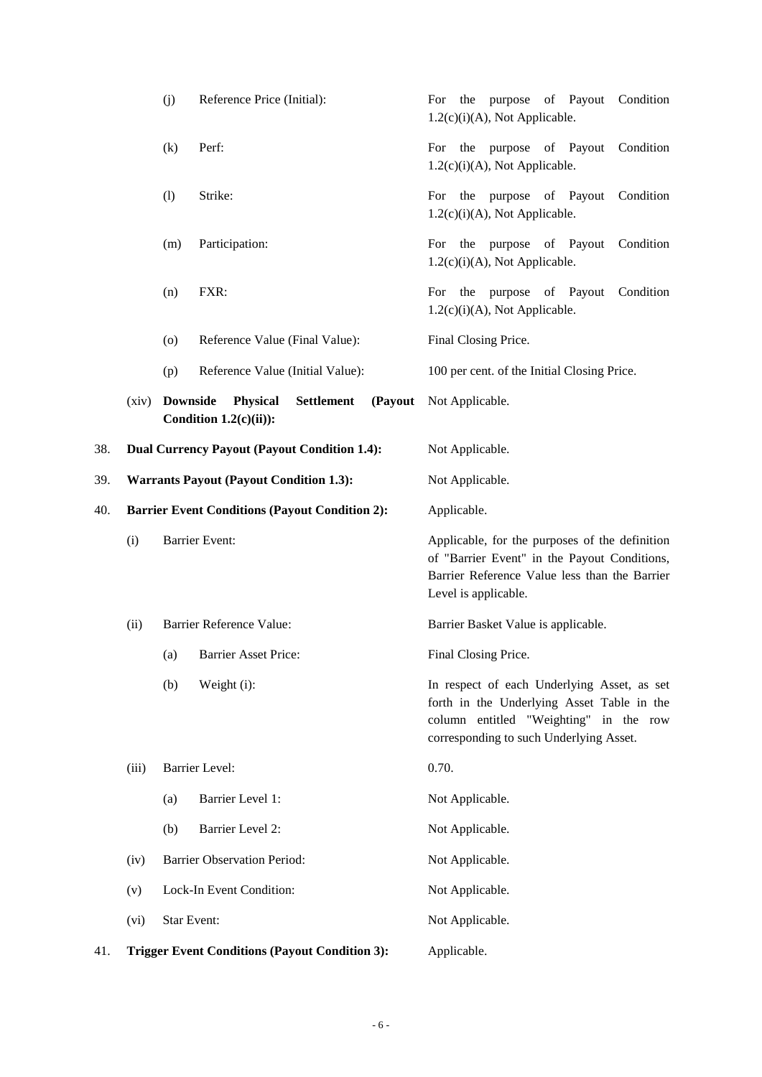|     |                                                       | (j)                                            | Reference Price (Initial):                                                  | the purpose of Payout<br>Condition<br>For<br>$1.2(c)(i)(A)$ , Not Applicable.                                                                                                  |  |
|-----|-------------------------------------------------------|------------------------------------------------|-----------------------------------------------------------------------------|--------------------------------------------------------------------------------------------------------------------------------------------------------------------------------|--|
|     |                                                       | (k)                                            | Perf:                                                                       | For the purpose of Payout Condition<br>$1.2(c)(i)(A)$ , Not Applicable.                                                                                                        |  |
|     |                                                       | (1)                                            | Strike:                                                                     | For the purpose of Payout Condition<br>$1.2(c)(i)(A)$ , Not Applicable.                                                                                                        |  |
|     |                                                       | (m)                                            | Participation:                                                              | purpose of Payout<br>Condition<br>For<br>the<br>1.2(c)(i)(A), Not Applicable.                                                                                                  |  |
|     |                                                       | (n)                                            | FXR:                                                                        | the purpose of Payout<br>Condition<br>For<br>$1.2(c)(i)(A)$ , Not Applicable.                                                                                                  |  |
|     |                                                       | (0)                                            | Reference Value (Final Value):                                              | Final Closing Price.                                                                                                                                                           |  |
|     |                                                       | (p)                                            | Reference Value (Initial Value):                                            | 100 per cent. of the Initial Closing Price.                                                                                                                                    |  |
|     | (xiv)                                                 | <b>Downside</b>                                | <b>Settlement</b><br><b>Physical</b><br>(Payout<br>Condition $1.2(c)(ii)$ : | Not Applicable.                                                                                                                                                                |  |
| 38. |                                                       |                                                | <b>Dual Currency Payout (Payout Condition 1.4):</b>                         | Not Applicable.                                                                                                                                                                |  |
| 39. |                                                       | <b>Warrants Payout (Payout Condition 1.3):</b> |                                                                             | Not Applicable.                                                                                                                                                                |  |
| 40. |                                                       |                                                | <b>Barrier Event Conditions (Payout Condition 2):</b>                       | Applicable.                                                                                                                                                                    |  |
|     | (i)                                                   |                                                | <b>Barrier Event:</b>                                                       | Applicable, for the purposes of the definition<br>of "Barrier Event" in the Payout Conditions,<br>Barrier Reference Value less than the Barrier<br>Level is applicable.        |  |
|     | (ii)                                                  |                                                | Barrier Reference Value:                                                    | Barrier Basket Value is applicable.                                                                                                                                            |  |
|     |                                                       | (a)                                            | <b>Barrier Asset Price:</b>                                                 | Final Closing Price.                                                                                                                                                           |  |
|     |                                                       | (b)                                            | Weight (i):                                                                 | In respect of each Underlying Asset, as set<br>forth in the Underlying Asset Table in the<br>column entitled "Weighting" in the row<br>corresponding to such Underlying Asset. |  |
|     | (iii)                                                 |                                                | <b>Barrier Level:</b>                                                       | 0.70.                                                                                                                                                                          |  |
|     |                                                       | (a)                                            | Barrier Level 1:                                                            | Not Applicable.                                                                                                                                                                |  |
|     |                                                       | (b)                                            | <b>Barrier Level 2:</b>                                                     | Not Applicable.                                                                                                                                                                |  |
|     | (iv)                                                  |                                                | <b>Barrier Observation Period:</b>                                          | Not Applicable.                                                                                                                                                                |  |
|     | (v)                                                   |                                                | Lock-In Event Condition:                                                    | Not Applicable.                                                                                                                                                                |  |
|     | (vi)                                                  | <b>Star Event:</b>                             |                                                                             | Not Applicable.                                                                                                                                                                |  |
| 41. | <b>Trigger Event Conditions (Payout Condition 3):</b> |                                                |                                                                             | Applicable.                                                                                                                                                                    |  |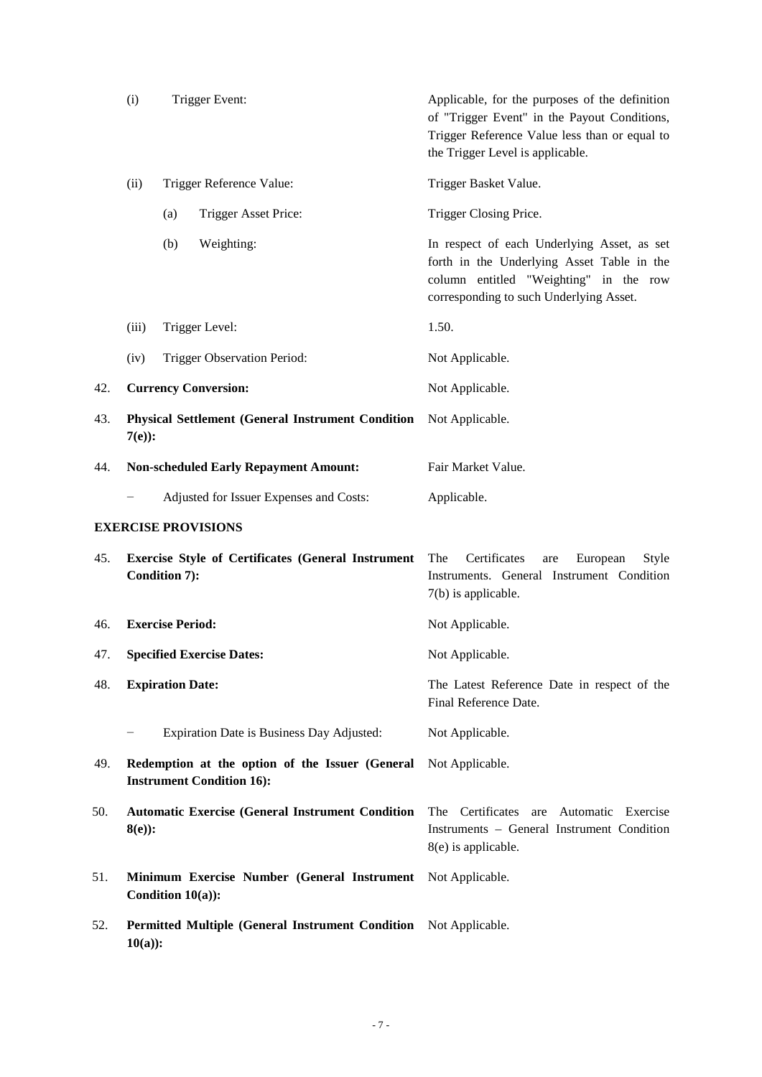|     | (i)       | Trigger Event:                                                                      | Applicable, for the purposes of the definition<br>of "Trigger Event" in the Payout Conditions,<br>Trigger Reference Value less than or equal to<br>the Trigger Level is applicable. |
|-----|-----------|-------------------------------------------------------------------------------------|-------------------------------------------------------------------------------------------------------------------------------------------------------------------------------------|
|     | (ii)      | Trigger Reference Value:                                                            | Trigger Basket Value.                                                                                                                                                               |
|     |           | Trigger Asset Price:<br>(a)                                                         | Trigger Closing Price.                                                                                                                                                              |
|     |           | Weighting:<br>(b)                                                                   | In respect of each Underlying Asset, as set<br>forth in the Underlying Asset Table in the<br>column entitled "Weighting" in the row<br>corresponding to such Underlying Asset.      |
|     | (iii)     | Trigger Level:                                                                      | 1.50.                                                                                                                                                                               |
|     | (iv)      | Trigger Observation Period:                                                         | Not Applicable.                                                                                                                                                                     |
| 42. |           | <b>Currency Conversion:</b>                                                         | Not Applicable.                                                                                                                                                                     |
| 43. | $7(e)$ :  | <b>Physical Settlement (General Instrument Condition</b>                            | Not Applicable.                                                                                                                                                                     |
| 44. |           | <b>Non-scheduled Early Repayment Amount:</b>                                        | Fair Market Value.                                                                                                                                                                  |
|     |           | Adjusted for Issuer Expenses and Costs:                                             | Applicable.                                                                                                                                                                         |
|     |           | <b>EXERCISE PROVISIONS</b>                                                          |                                                                                                                                                                                     |
| 45. |           | <b>Exercise Style of Certificates (General Instrument</b><br><b>Condition 7):</b>   | Certificates<br>The<br>Style<br>European<br>are<br>Instruments. General Instrument Condition<br>7(b) is applicable.                                                                 |
| 46. |           | <b>Exercise Period:</b>                                                             | Not Applicable.                                                                                                                                                                     |
| 47. |           | <b>Specified Exercise Dates:</b>                                                    | Not Applicable.                                                                                                                                                                     |
| 48. |           | <b>Expiration Date:</b>                                                             | The Latest Reference Date in respect of the<br>Final Reference Date.                                                                                                                |
|     |           | Expiration Date is Business Day Adjusted:                                           | Not Applicable.                                                                                                                                                                     |
| 49. |           | Redemption at the option of the Issuer (General<br><b>Instrument Condition 16):</b> | Not Applicable.                                                                                                                                                                     |
| 50. | $8(e)$ :  | <b>Automatic Exercise (General Instrument Condition</b>                             | Certificates<br>The<br>are<br>Automatic Exercise<br>Instruments - General Instrument Condition<br>8(e) is applicable.                                                               |
| 51. |           | Minimum Exercise Number (General Instrument<br>Condition $10(a)$ :                  | Not Applicable.                                                                                                                                                                     |
| 52. | $10(a)$ : | Permitted Multiple (General Instrument Condition Not Applicable.                    |                                                                                                                                                                                     |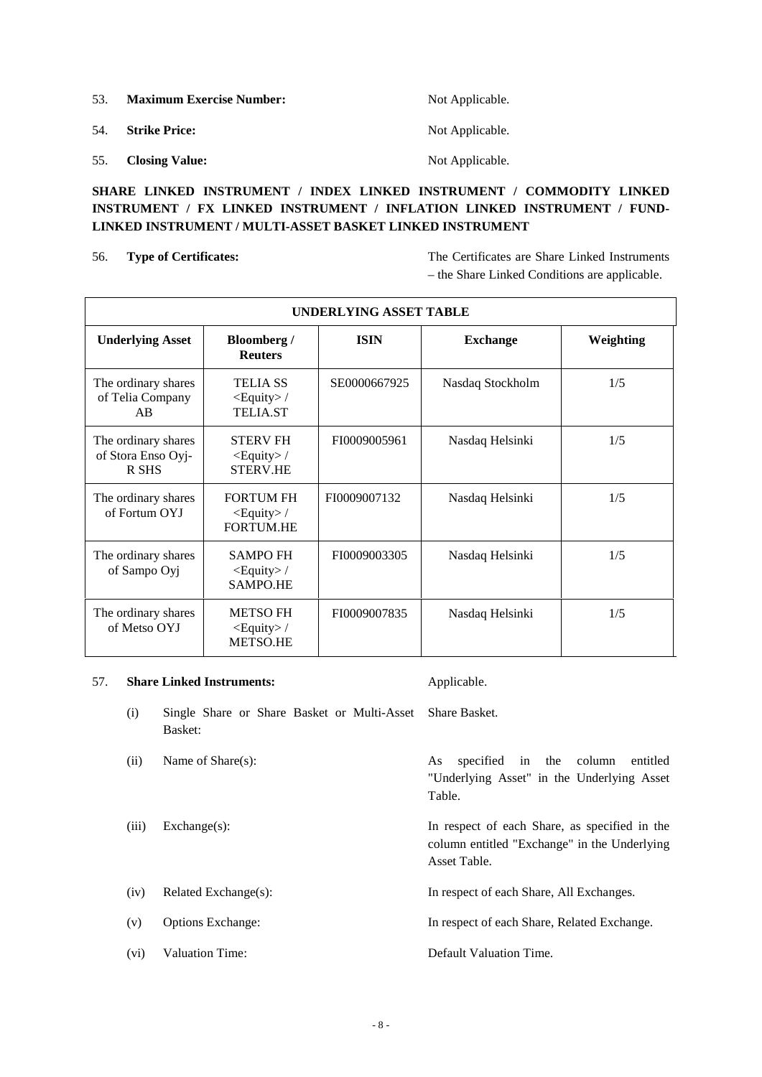| 53.  | <b>Maximum Exercise Number:</b> | Not Applicable. |
|------|---------------------------------|-----------------|
| .54. | <b>Strike Price:</b>            | Not Applicable. |
| 55.  | <b>Closing Value:</b>           | Not Applicable. |

## **SHARE LINKED INSTRUMENT / INDEX LINKED INSTRUMENT / COMMODITY LINKED INSTRUMENT / FX LINKED INSTRUMENT / INFLATION LINKED INSTRUMENT / FUND-LINKED INSTRUMENT / MULTI-ASSET BASKET LINKED INSTRUMENT**

56. **Type of Certificates:** The Certificates are Share Linked Instruments – the Share Linked Conditions are applicable.

| UNDERLYING ASSET TABLE                             |                                                                   |              |                  |           |
|----------------------------------------------------|-------------------------------------------------------------------|--------------|------------------|-----------|
| <b>Underlying Asset</b>                            | <b>Bloomberg</b> /<br><b>Reuters</b>                              | <b>ISIN</b>  | <b>Exchange</b>  | Weighting |
| The ordinary shares<br>of Telia Company<br>AB      | <b>TELIA SS</b><br>$<$ Equity> /<br><b>TELIA.ST</b>               | SE0000667925 | Nasdaq Stockholm | 1/5       |
| The ordinary shares<br>of Stora Enso Oyj-<br>R SHS | <b>STERV FH</b><br>$<$ Equity> /<br><b>STERV.HE</b>               | FI0009005961 | Nasdaq Helsinki  | 1/5       |
| The ordinary shares<br>of Fortum OYJ               | <b>FORTUM FH</b><br>$<$ Equity> /<br><b>FORTUM.HE</b>             | FI0009007132 | Nasdaq Helsinki  | 1/5       |
| The ordinary shares<br>of Sampo Oyj                | <b>SAMPO FH</b><br>$<$ Equity> /<br>SAMPO.HE                      | FI0009003305 | Nasdaq Helsinki  | 1/5       |
| The ordinary shares<br>of Metso OYJ                | <b>METSO FH</b><br>$\langle$ Equity> $\rangle$<br><b>METSO.HE</b> | FI0009007835 | Nasdaq Helsinki  | 1/5       |

### 57. **Share Linked Instruments:** Applicable.

- (i) Single Share or Share Basket or Multi-Asset Share Basket. Basket:
- (ii) Name of Share(s): As specified in the column entitled "Underlying Asset" in the Underlying Asset Table. (iii) Exchange(s): In respect of each Share, as specified in the
	- column entitled "Exchange" in the Underlying Asset Table.

(iv) Related Exchange(s): In respect of each Share, All Exchanges.

(v) Options Exchange: In respect of each Share, Related Exchange.

(vi) Valuation Time: Default Valuation Time.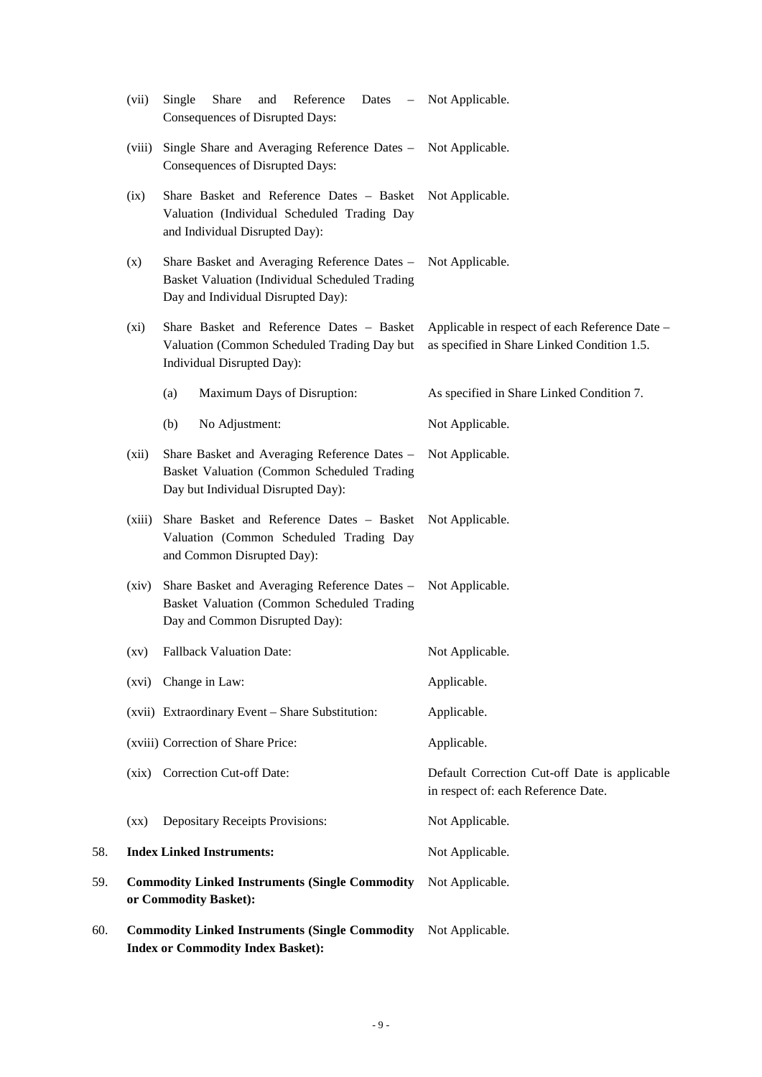|     | (vii)                    | Reference<br>Single<br>Share<br>Dates<br>and<br>$ \,$<br>Consequences of Disrupted Days:                                                   | Not Applicable.                                                                               |
|-----|--------------------------|--------------------------------------------------------------------------------------------------------------------------------------------|-----------------------------------------------------------------------------------------------|
|     | (viii)                   | Single Share and Averaging Reference Dates - Not Applicable.<br>Consequences of Disrupted Days:                                            |                                                                                               |
|     | (ix)                     | Share Basket and Reference Dates - Basket Not Applicable.<br>Valuation (Individual Scheduled Trading Day<br>and Individual Disrupted Day): |                                                                                               |
|     | (x)                      | Share Basket and Averaging Reference Dates -<br>Basket Valuation (Individual Scheduled Trading<br>Day and Individual Disrupted Day):       | Not Applicable.                                                                               |
|     | (xi)                     | Share Basket and Reference Dates - Basket<br>Valuation (Common Scheduled Trading Day but<br>Individual Disrupted Day):                     | Applicable in respect of each Reference Date -<br>as specified in Share Linked Condition 1.5. |
|     |                          | Maximum Days of Disruption:<br>(a)                                                                                                         | As specified in Share Linked Condition 7.                                                     |
|     |                          | No Adjustment:<br>(b)                                                                                                                      | Not Applicable.                                                                               |
|     | (xii)                    | Share Basket and Averaging Reference Dates -<br>Basket Valuation (Common Scheduled Trading<br>Day but Individual Disrupted Day):           | Not Applicable.                                                                               |
|     | (xiii)                   | Share Basket and Reference Dates - Basket Not Applicable.<br>Valuation (Common Scheduled Trading Day<br>and Common Disrupted Day):         |                                                                                               |
|     | (xiv)                    | Share Basket and Averaging Reference Dates -<br>Basket Valuation (Common Scheduled Trading<br>Day and Common Disrupted Day):               | Not Applicable.                                                                               |
|     | $\left( xy\right)$       | <b>Fallback Valuation Date:</b>                                                                                                            | Not Applicable.                                                                               |
|     | (xvi)                    | Change in Law:                                                                                                                             | Applicable.                                                                                   |
|     |                          | (xvii) Extraordinary Event - Share Substitution:                                                                                           | Applicable.                                                                                   |
|     |                          | (xviii) Correction of Share Price:                                                                                                         | Applicable.                                                                                   |
|     | (xix)                    | <b>Correction Cut-off Date:</b>                                                                                                            | Default Correction Cut-off Date is applicable<br>in respect of: each Reference Date.          |
|     | $(\mathbf{X}\mathbf{X})$ | Depositary Receipts Provisions:                                                                                                            | Not Applicable.                                                                               |
| 58. |                          | <b>Index Linked Instruments:</b>                                                                                                           | Not Applicable.                                                                               |
| 59. |                          | <b>Commodity Linked Instruments (Single Commodity</b><br>or Commodity Basket):                                                             | Not Applicable.                                                                               |
| 60. |                          | <b>Commodity Linked Instruments (Single Commodity</b><br><b>Index or Commodity Index Basket):</b>                                          | Not Applicable.                                                                               |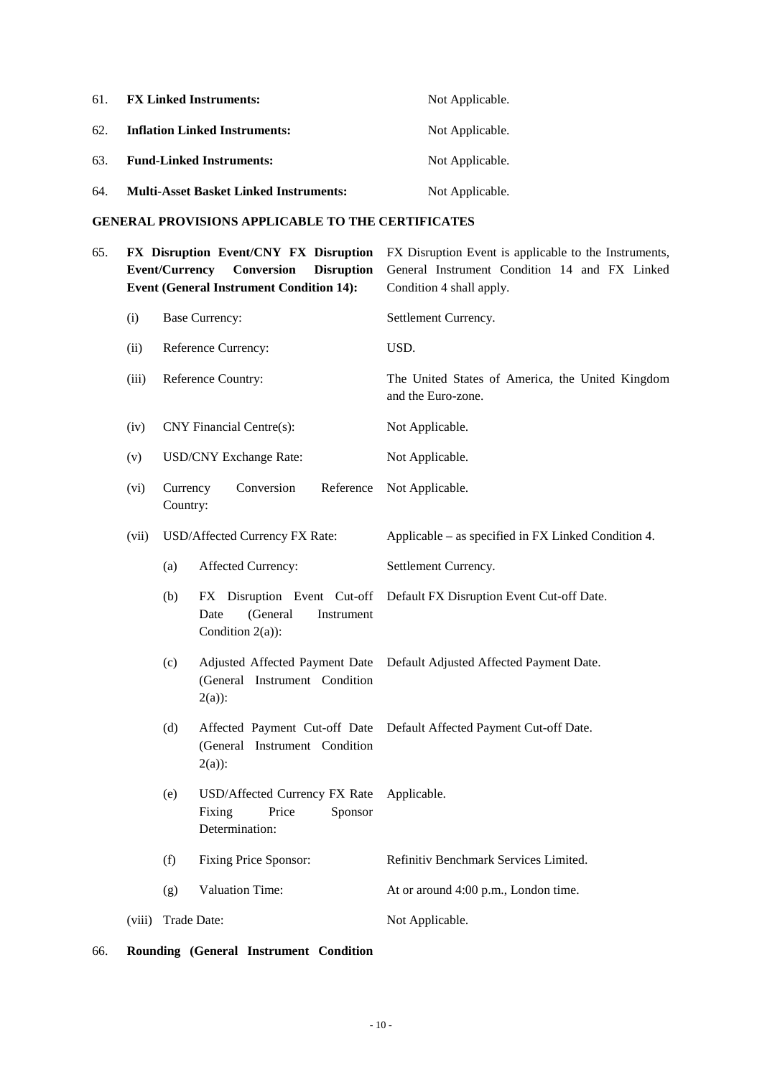| 61. | <b>FX Linked Instruments:</b>                 | Not Applicable. |
|-----|-----------------------------------------------|-----------------|
| 62. | <b>Inflation Linked Instruments:</b>          | Not Applicable. |
| 63. | <b>Fund-Linked Instruments:</b>               | Not Applicable. |
| 64. | <b>Multi-Asset Basket Linked Instruments:</b> | Not Applicable. |

### **GENERAL PROVISIONS APPLICABLE TO THE CERTIFICATES**

| 65. | FX Disruption Event/CNY FX Disruption<br><b>Event/Currency Conversion</b><br><b>Disruption</b><br><b>Event (General Instrument Condition 14):</b> |                      |                                                                                     | FX Disruption Event is applicable to the Instruments,<br>General Instrument Condition 14 and FX Linked<br>Condition 4 shall apply. |
|-----|---------------------------------------------------------------------------------------------------------------------------------------------------|----------------------|-------------------------------------------------------------------------------------|------------------------------------------------------------------------------------------------------------------------------------|
|     | (i)                                                                                                                                               |                      | <b>Base Currency:</b>                                                               | Settlement Currency.                                                                                                               |
|     | (ii)                                                                                                                                              |                      | Reference Currency:                                                                 | USD.                                                                                                                               |
|     | (iii)                                                                                                                                             |                      | Reference Country:                                                                  | The United States of America, the United Kingdom<br>and the Euro-zone.                                                             |
|     | (iv)                                                                                                                                              |                      | CNY Financial Centre(s):                                                            | Not Applicable.                                                                                                                    |
|     | (v)                                                                                                                                               |                      | USD/CNY Exchange Rate:                                                              | Not Applicable.                                                                                                                    |
|     | (vi)                                                                                                                                              | Currency<br>Country: | Conversion<br>Reference                                                             | Not Applicable.                                                                                                                    |
|     | (vii)                                                                                                                                             |                      | USD/Affected Currency FX Rate:                                                      | Applicable – as specified in FX Linked Condition 4.                                                                                |
|     |                                                                                                                                                   | (a)                  | Affected Currency:                                                                  | Settlement Currency.                                                                                                               |
|     |                                                                                                                                                   | (b)                  | FX Disruption Event Cut-off<br>(General<br>Date<br>Instrument<br>Condition $2(a)$ : | Default FX Disruption Event Cut-off Date.                                                                                          |
|     |                                                                                                                                                   | (c)                  | Adjusted Affected Payment Date<br>(General Instrument Condition<br>$2(a)$ :         | Default Adjusted Affected Payment Date.                                                                                            |
|     |                                                                                                                                                   | (d)                  | Affected Payment Cut-off Date<br>(General Instrument Condition<br>$2(a)$ :          | Default Affected Payment Cut-off Date.                                                                                             |
|     |                                                                                                                                                   | (e)                  | USD/Affected Currency FX Rate<br>Price<br>Fixing<br>Sponsor<br>Determination:       | Applicable.                                                                                                                        |
|     |                                                                                                                                                   | (f)                  | <b>Fixing Price Sponsor:</b>                                                        | Refinitiv Benchmark Services Limited.                                                                                              |
|     |                                                                                                                                                   | (g)                  | Valuation Time:                                                                     | At or around 4:00 p.m., London time.                                                                                               |
|     | (viii)                                                                                                                                            |                      | Trade Date:                                                                         | Not Applicable.                                                                                                                    |
|     |                                                                                                                                                   |                      |                                                                                     |                                                                                                                                    |

66. **Rounding (General Instrument Condition**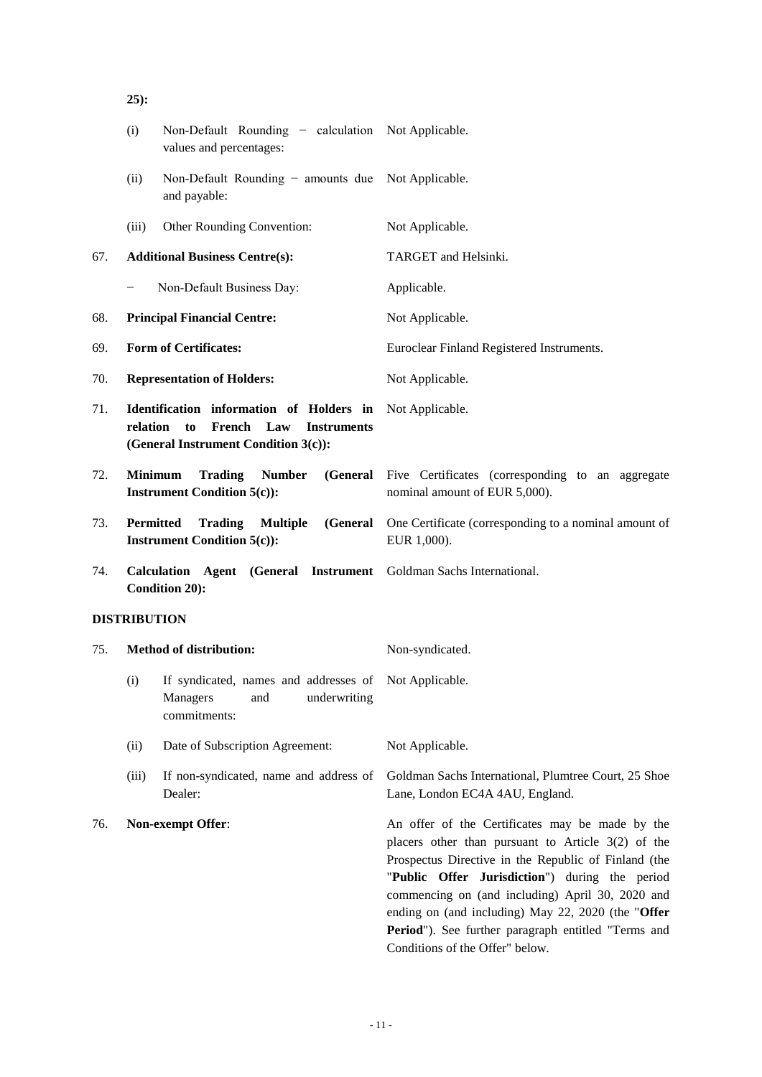|     | (i)<br>Non-Default Rounding - calculation Not Applicable.<br>values and percentages:                                                   |                                                                                                                                                                                                                                                                                                                             |
|-----|----------------------------------------------------------------------------------------------------------------------------------------|-----------------------------------------------------------------------------------------------------------------------------------------------------------------------------------------------------------------------------------------------------------------------------------------------------------------------------|
|     | (ii)<br>Non-Default Rounding - amounts due<br>and payable:                                                                             | Not Applicable.                                                                                                                                                                                                                                                                                                             |
|     | (iii)<br>Other Rounding Convention:                                                                                                    | Not Applicable.                                                                                                                                                                                                                                                                                                             |
| 67. | <b>Additional Business Centre(s):</b>                                                                                                  | TARGET and Helsinki.                                                                                                                                                                                                                                                                                                        |
|     | Non-Default Business Day:                                                                                                              | Applicable.                                                                                                                                                                                                                                                                                                                 |
| 68. | <b>Principal Financial Centre:</b>                                                                                                     | Not Applicable.                                                                                                                                                                                                                                                                                                             |
| 69. | <b>Form of Certificates:</b>                                                                                                           | Euroclear Finland Registered Instruments.                                                                                                                                                                                                                                                                                   |
| 70. | <b>Representation of Holders:</b>                                                                                                      | Not Applicable.                                                                                                                                                                                                                                                                                                             |
| 71. | Identification information of Holders in<br>relation<br>to<br>French Law<br><b>Instruments</b><br>(General Instrument Condition 3(c)): | Not Applicable.                                                                                                                                                                                                                                                                                                             |
| 72. | <b>Minimum</b><br><b>Trading</b><br><b>Number</b><br><b>Instrument Condition 5(c)):</b>                                                | (General Five Certificates (corresponding to an aggregate<br>nominal amount of EUR 5,000).                                                                                                                                                                                                                                  |
| 73. | Permitted<br><b>Trading</b><br><b>Multiple</b><br>(General<br><b>Instrument Condition 5(c)):</b>                                       | One Certificate (corresponding to a nominal amount of<br>EUR 1,000).                                                                                                                                                                                                                                                        |
| 74. | Calculation Agent (General Instrument Goldman Sachs International.<br><b>Condition 20):</b>                                            |                                                                                                                                                                                                                                                                                                                             |
|     | <b>DISTRIBUTION</b>                                                                                                                    |                                                                                                                                                                                                                                                                                                                             |
| 75. | <b>Method of distribution:</b>                                                                                                         | Non-syndicated.                                                                                                                                                                                                                                                                                                             |
|     | (i) If syndicated, names and addresses of Not Applicable.<br>underwriting<br>Managers<br>and<br>commitments:                           |                                                                                                                                                                                                                                                                                                                             |
|     | Date of Subscription Agreement:<br>(ii)                                                                                                | Not Applicable.                                                                                                                                                                                                                                                                                                             |
|     | If non-syndicated, name and address of<br>(iii)<br>Dealer:                                                                             | Goldman Sachs International, Plumtree Court, 25 Shoe<br>Lane, London EC4A 4AU, England.                                                                                                                                                                                                                                     |
| 76. | <b>Non-exempt Offer:</b>                                                                                                               | An offer of the Certificates may be made by the<br>placers other than pursuant to Article $3(2)$ of the<br>Prospectus Directive in the Republic of Finland (the<br>"Public Offer Jurisdiction") during the period<br>commencing on (and including) April 30, 2020 and<br>ending on (and including) May 22, 2020 (the "Offer |

**25):** 

Period"). See further paragraph entitled "Terms and

Conditions of the Offer" below.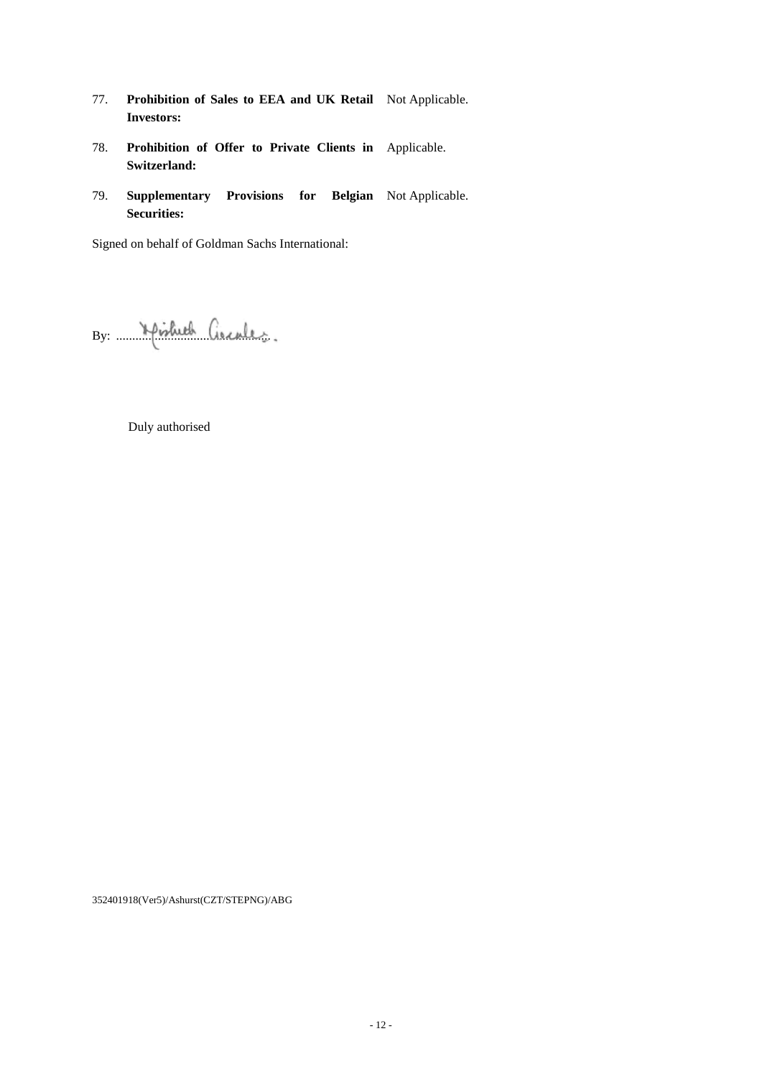- 77. **Prohibition of Sales to EEA and UK Retail**  Not Applicable. **Investors:**
- 78. **Prohibition of Offer to Private Clients in**  Applicable. **Switzerland:**
- 79. **Supplementary Provisions for Belgian**  Not Applicable. **Securities:**

Signed on behalf of Goldman Sachs International:

By: ................................................

Duly authorised

352401918(Ver5)/Ashurst(CZT/STEPNG)/ABG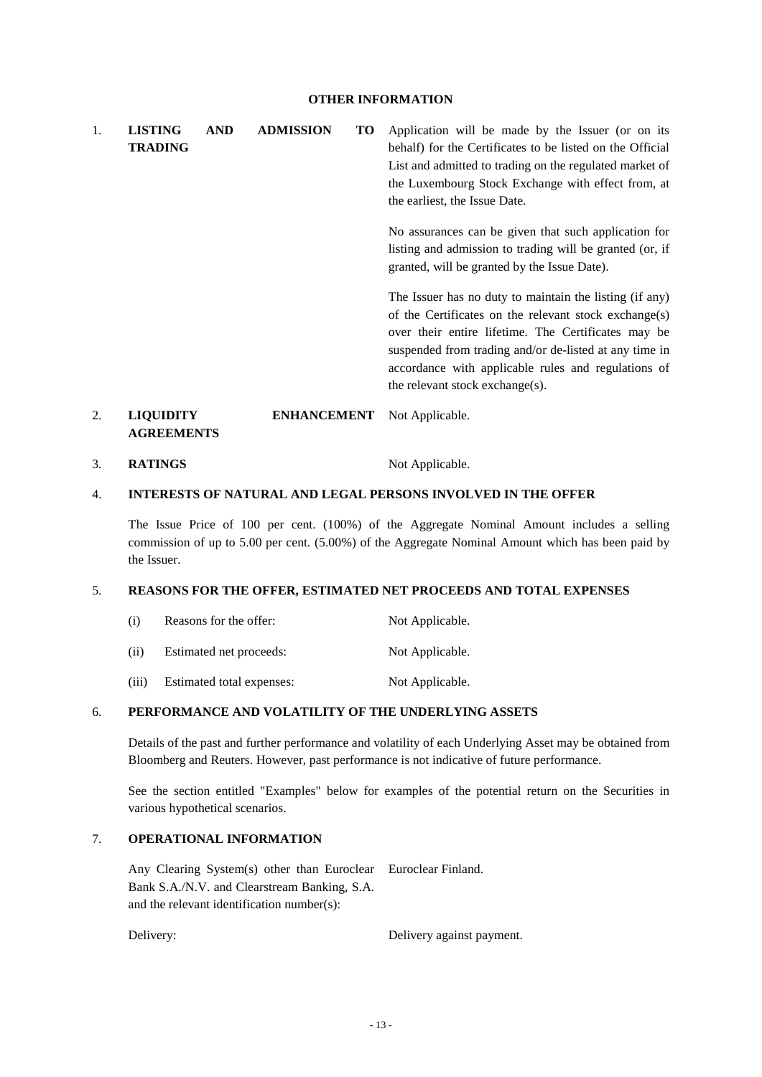### **OTHER INFORMATION**

1. **LISTING AND ADMISSION TO TRADING**  Application will be made by the Issuer (or on its behalf) for the Certificates to be listed on the Official List and admitted to trading on the regulated market of the Luxembourg Stock Exchange with effect from, at the earliest, the Issue Date. No assurances can be given that such application for listing and admission to trading will be granted (or, if granted, will be granted by the Issue Date). The Issuer has no duty to maintain the listing (if any) of the Certificates on the relevant stock exchange(s) over their entire lifetime. The Certificates may be suspended from trading and/or de-listed at any time in accordance with applicable rules and regulations of the relevant stock exchange(s).

#### 2. **LIQUIDITY ENHANCEMENT AGREEMENTS**  Not Applicable.

3. **RATINGS** Not Applicable.

### 4. **INTERESTS OF NATURAL AND LEGAL PERSONS INVOLVED IN THE OFFER**

The Issue Price of 100 per cent. (100%) of the Aggregate Nominal Amount includes a selling commission of up to 5.00 per cent. (5.00%) of the Aggregate Nominal Amount which has been paid by the Issuer.

### 5. **REASONS FOR THE OFFER, ESTIMATED NET PROCEEDS AND TOTAL EXPENSES**

| (i)   | Reasons for the offer:    | Not Applicable. |
|-------|---------------------------|-----------------|
| (ii)  | Estimated net proceeds:   | Not Applicable. |
| (iii) | Estimated total expenses: | Not Applicable. |

#### 6. **PERFORMANCE AND VOLATILITY OF THE UNDERLYING ASSETS**

Details of the past and further performance and volatility of each Underlying Asset may be obtained from Bloomberg and Reuters. However, past performance is not indicative of future performance.

See the section entitled "Examples" below for examples of the potential return on the Securities in various hypothetical scenarios.

### 7. **OPERATIONAL INFORMATION**

Any Clearing System(s) other than Euroclear Euroclear Finland. Bank S.A./N.V. and Clearstream Banking, S.A. and the relevant identification number(s):

Delivery: Delivery: Delivery against payment.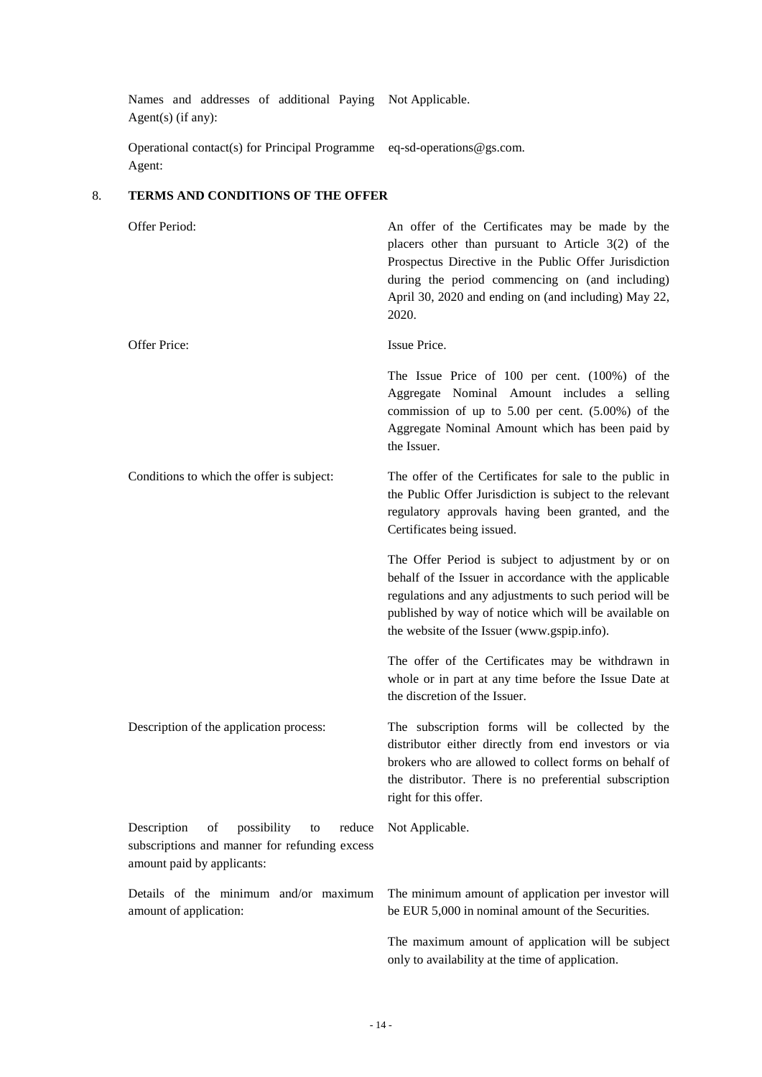Names and addresses of additional Paying Not Applicable. Agent(s) (if any):

Operational contact(s) for Principal Programme eq-sd-operations@gs.com. Agent:

### 8. **TERMS AND CONDITIONS OF THE OFFER**

| Offer Period:                                                                                                                   | An offer of the Certificates may be made by the<br>placers other than pursuant to Article $3(2)$ of the<br>Prospectus Directive in the Public Offer Jurisdiction<br>during the period commencing on (and including)<br>April 30, 2020 and ending on (and including) May 22,<br>2020. |
|---------------------------------------------------------------------------------------------------------------------------------|--------------------------------------------------------------------------------------------------------------------------------------------------------------------------------------------------------------------------------------------------------------------------------------|
| Offer Price:                                                                                                                    | Issue Price.                                                                                                                                                                                                                                                                         |
|                                                                                                                                 | The Issue Price of $100$ per cent. $(100%)$ of the<br>Aggregate Nominal Amount includes a selling<br>commission of up to $5.00$ per cent. $(5.00\%)$ of the<br>Aggregate Nominal Amount which has been paid by<br>the Issuer.                                                        |
| Conditions to which the offer is subject:                                                                                       | The offer of the Certificates for sale to the public in<br>the Public Offer Jurisdiction is subject to the relevant<br>regulatory approvals having been granted, and the<br>Certificates being issued.                                                                               |
|                                                                                                                                 | The Offer Period is subject to adjustment by or on<br>behalf of the Issuer in accordance with the applicable<br>regulations and any adjustments to such period will be<br>published by way of notice which will be available on<br>the website of the Issuer (www.gspip.info).       |
|                                                                                                                                 | The offer of the Certificates may be withdrawn in<br>whole or in part at any time before the Issue Date at<br>the discretion of the Issuer.                                                                                                                                          |
| Description of the application process:                                                                                         | The subscription forms will be collected by the<br>distributor either directly from end investors or via<br>brokers who are allowed to collect forms on behalf of<br>the distributor. There is no preferential subscription<br>right for this offer.                                 |
| Description<br>of<br>possibility<br>reduce<br>to<br>subscriptions and manner for refunding excess<br>amount paid by applicants: | Not Applicable.                                                                                                                                                                                                                                                                      |
| Details of the minimum and/or maximum<br>amount of application:                                                                 | The minimum amount of application per investor will<br>be EUR 5,000 in nominal amount of the Securities.                                                                                                                                                                             |
|                                                                                                                                 | The maximum amount of application will be subject<br>only to availability at the time of application.                                                                                                                                                                                |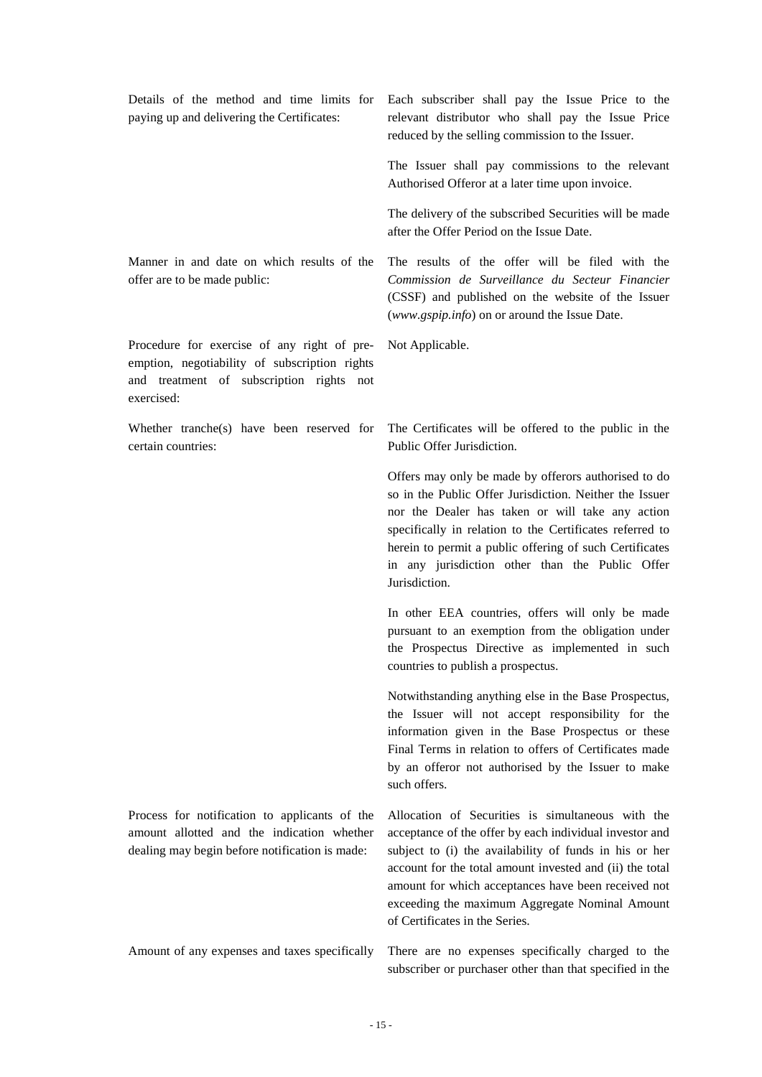| Details of the method and time limits for<br>paying up and delivering the Certificates:                                                                | Each subscriber shall pay the Issue Price to the<br>relevant distributor who shall pay the Issue Price<br>reduced by the selling commission to the Issuer.                                                                                                                                                                                                                    |
|--------------------------------------------------------------------------------------------------------------------------------------------------------|-------------------------------------------------------------------------------------------------------------------------------------------------------------------------------------------------------------------------------------------------------------------------------------------------------------------------------------------------------------------------------|
|                                                                                                                                                        | The Issuer shall pay commissions to the relevant<br>Authorised Offeror at a later time upon invoice.                                                                                                                                                                                                                                                                          |
|                                                                                                                                                        | The delivery of the subscribed Securities will be made<br>after the Offer Period on the Issue Date.                                                                                                                                                                                                                                                                           |
| Manner in and date on which results of the<br>offer are to be made public:                                                                             | The results of the offer will be filed with the<br>Commission de Surveillance du Secteur Financier<br>(CSSF) and published on the website of the Issuer<br>(www.gspip.info) on or around the Issue Date.                                                                                                                                                                      |
| Procedure for exercise of any right of pre-<br>emption, negotiability of subscription rights<br>and treatment of subscription rights not<br>exercised: | Not Applicable.                                                                                                                                                                                                                                                                                                                                                               |
| Whether tranche(s) have been reserved for<br>certain countries:                                                                                        | The Certificates will be offered to the public in the<br>Public Offer Jurisdiction.                                                                                                                                                                                                                                                                                           |
|                                                                                                                                                        | Offers may only be made by offerors authorised to do<br>so in the Public Offer Jurisdiction. Neither the Issuer<br>nor the Dealer has taken or will take any action<br>specifically in relation to the Certificates referred to<br>herein to permit a public offering of such Certificates<br>in any jurisdiction other than the Public Offer<br>Jurisdiction.                |
|                                                                                                                                                        | In other EEA countries, offers will only be made<br>pursuant to an exemption from the obligation under<br>the Prospectus Directive as implemented in such<br>countries to publish a prospectus.                                                                                                                                                                               |
|                                                                                                                                                        | Notwithstanding anything else in the Base Prospectus,<br>the Issuer will not accept responsibility for the<br>information given in the Base Prospectus or these<br>Final Terms in relation to offers of Certificates made<br>by an offeror not authorised by the Issuer to make<br>such offers.                                                                               |
| Process for notification to applicants of the<br>amount allotted and the indication whether<br>dealing may begin before notification is made:          | Allocation of Securities is simultaneous with the<br>acceptance of the offer by each individual investor and<br>subject to (i) the availability of funds in his or her<br>account for the total amount invested and (ii) the total<br>amount for which acceptances have been received not<br>exceeding the maximum Aggregate Nominal Amount<br>of Certificates in the Series. |
| Amount of any expenses and taxes specifically                                                                                                          | There are no expenses specifically charged to the<br>subscriber or purchaser other than that specified in the                                                                                                                                                                                                                                                                 |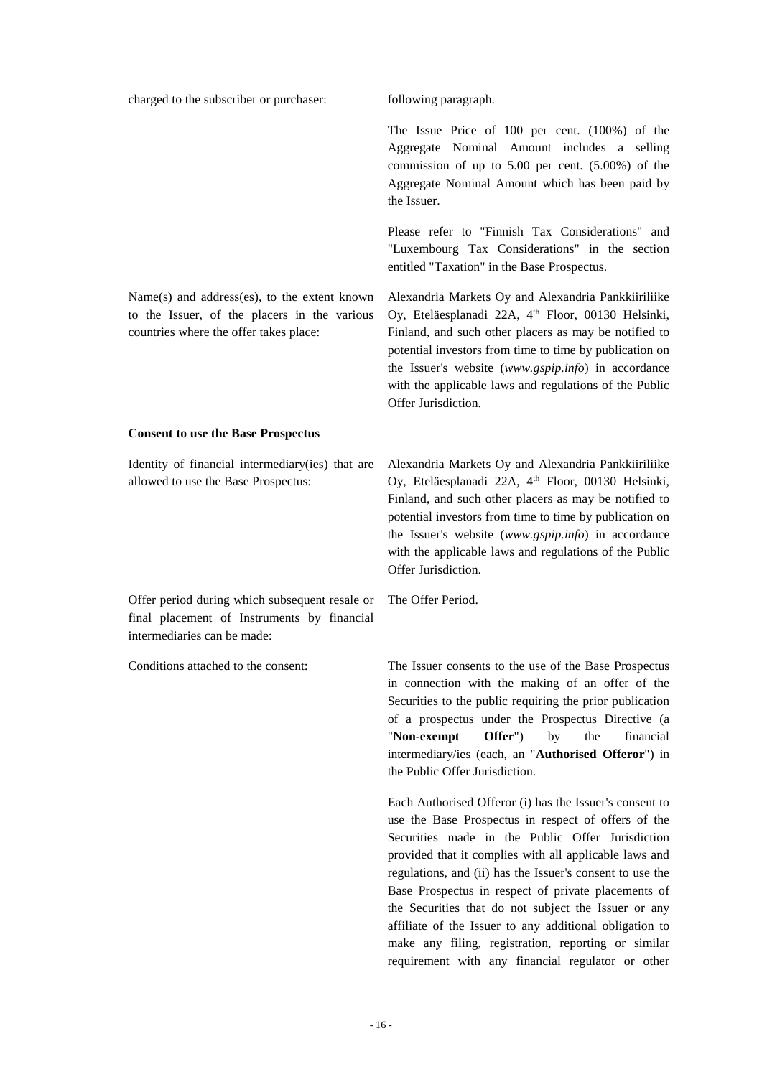| charged to the subscriber or purchaser:                                                                                                | following paragraph.                                                                                                                                                                                                                                                                                                                                                                                                                                                                                                                                                            |
|----------------------------------------------------------------------------------------------------------------------------------------|---------------------------------------------------------------------------------------------------------------------------------------------------------------------------------------------------------------------------------------------------------------------------------------------------------------------------------------------------------------------------------------------------------------------------------------------------------------------------------------------------------------------------------------------------------------------------------|
|                                                                                                                                        | The Issue Price of 100 per cent. (100%) of the<br>Aggregate Nominal Amount includes a selling<br>commission of up to $5.00$ per cent. $(5.00\%)$ of the<br>Aggregate Nominal Amount which has been paid by<br>the Issuer.                                                                                                                                                                                                                                                                                                                                                       |
|                                                                                                                                        | Please refer to "Finnish Tax Considerations" and<br>"Luxembourg Tax Considerations" in the section<br>entitled "Taxation" in the Base Prospectus.                                                                                                                                                                                                                                                                                                                                                                                                                               |
| Name(s) and address(es), to the extent known<br>to the Issuer, of the placers in the various<br>countries where the offer takes place: | Alexandria Markets Oy and Alexandria Pankkiiriliike<br>Oy, Eteläesplanadi 22A, 4 <sup>th</sup> Floor, 00130 Helsinki,<br>Finland, and such other placers as may be notified to<br>potential investors from time to time by publication on<br>the Issuer's website (www.gspip.info) in accordance<br>with the applicable laws and regulations of the Public<br>Offer Jurisdiction.                                                                                                                                                                                               |
| <b>Consent to use the Base Prospectus</b>                                                                                              |                                                                                                                                                                                                                                                                                                                                                                                                                                                                                                                                                                                 |
| Identity of financial intermediary (ies) that are<br>allowed to use the Base Prospectus:                                               | Alexandria Markets Oy and Alexandria Pankkiiriliike<br>Oy, Eteläesplanadi 22A, 4 <sup>th</sup> Floor, 00130 Helsinki,<br>Finland, and such other placers as may be notified to<br>potential investors from time to time by publication on<br>the Issuer's website (www.gspip.info) in accordance<br>with the applicable laws and regulations of the Public<br>Offer Jurisdiction.                                                                                                                                                                                               |
| Offer period during which subsequent resale or<br>final placement of Instruments by financial<br>intermediaries can be made:           | The Offer Period.                                                                                                                                                                                                                                                                                                                                                                                                                                                                                                                                                               |
| Conditions attached to the consent:                                                                                                    | The Issuer consents to the use of the Base Prospectus<br>in connection with the making of an offer of the<br>Securities to the public requiring the prior publication<br>of a prospectus under the Prospectus Directive (a<br>Offer")<br>by<br>"Non-exempt<br>the<br>financial<br>intermediary/ies (each, an "Authorised Offeror") in<br>the Public Offer Jurisdiction.                                                                                                                                                                                                         |
|                                                                                                                                        | Each Authorised Offeror (i) has the Issuer's consent to<br>use the Base Prospectus in respect of offers of the<br>Securities made in the Public Offer Jurisdiction<br>provided that it complies with all applicable laws and<br>regulations, and (ii) has the Issuer's consent to use the<br>Base Prospectus in respect of private placements of<br>the Securities that do not subject the Issuer or any<br>affiliate of the Issuer to any additional obligation to<br>make any filing, registration, reporting or similar<br>requirement with any financial regulator or other |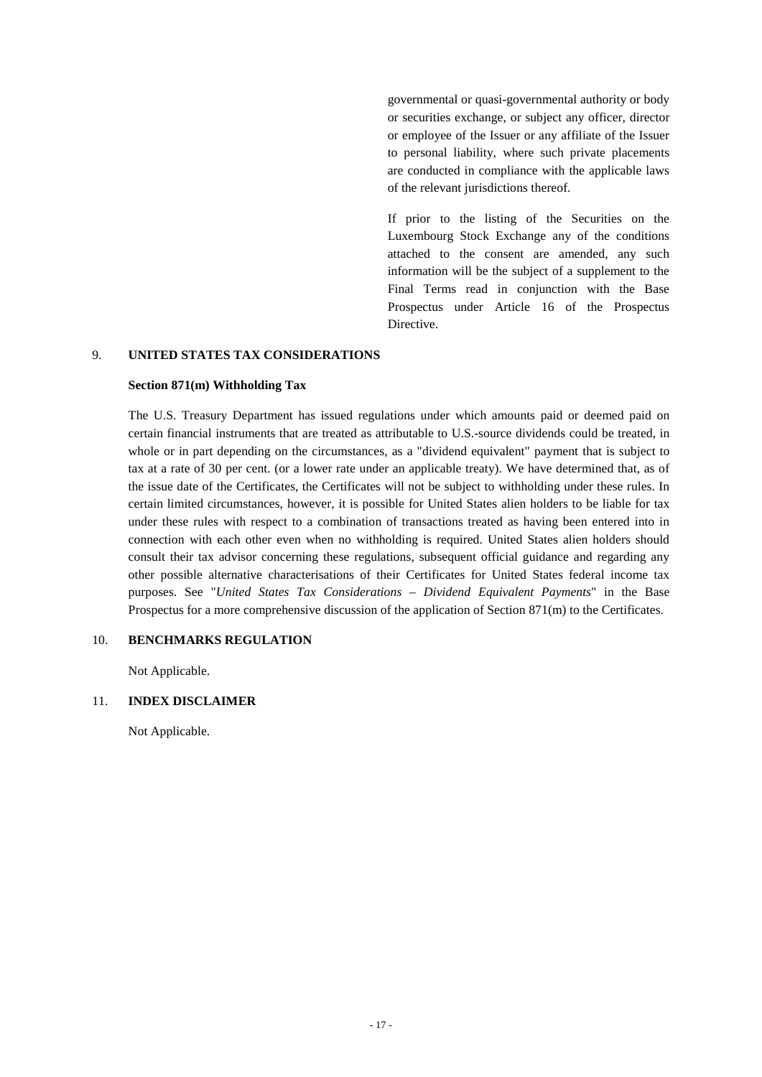governmental or quasi-governmental authority or body or securities exchange, or subject any officer, director or employee of the Issuer or any affiliate of the Issuer to personal liability, where such private placements are conducted in compliance with the applicable laws of the relevant jurisdictions thereof.

If prior to the listing of the Securities on the Luxembourg Stock Exchange any of the conditions attached to the consent are amended, any such information will be the subject of a supplement to the Final Terms read in conjunction with the Base Prospectus under Article 16 of the Prospectus Directive.

### 9. **UNITED STATES TAX CONSIDERATIONS**

### **Section 871(m) Withholding Tax**

The U.S. Treasury Department has issued regulations under which amounts paid or deemed paid on certain financial instruments that are treated as attributable to U.S.-source dividends could be treated, in whole or in part depending on the circumstances, as a "dividend equivalent" payment that is subject to tax at a rate of 30 per cent. (or a lower rate under an applicable treaty). We have determined that, as of the issue date of the Certificates, the Certificates will not be subject to withholding under these rules. In certain limited circumstances, however, it is possible for United States alien holders to be liable for tax under these rules with respect to a combination of transactions treated as having been entered into in connection with each other even when no withholding is required. United States alien holders should consult their tax advisor concerning these regulations, subsequent official guidance and regarding any other possible alternative characterisations of their Certificates for United States federal income tax purposes. See "*United States Tax Considerations – Dividend Equivalent Payments*" in the Base Prospectus for a more comprehensive discussion of the application of Section 871(m) to the Certificates.

### 10. **BENCHMARKS REGULATION**

Not Applicable.

### 11. **INDEX DISCLAIMER**

Not Applicable.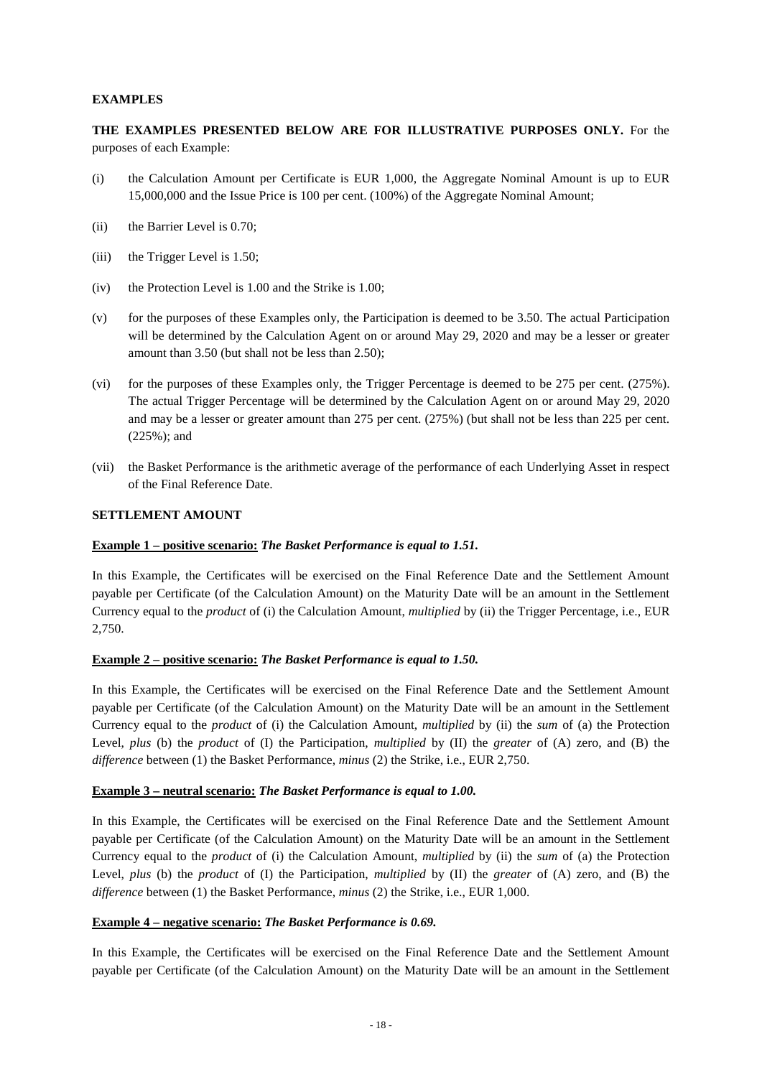### **EXAMPLES**

**THE EXAMPLES PRESENTED BELOW ARE FOR ILLUSTRATIVE PURPOSES ONLY.** For the purposes of each Example:

- (i) the Calculation Amount per Certificate is EUR 1,000, the Aggregate Nominal Amount is up to EUR 15,000,000 and the Issue Price is 100 per cent. (100%) of the Aggregate Nominal Amount;
- (ii) the Barrier Level is 0.70;
- (iii) the Trigger Level is 1.50;
- (iv) the Protection Level is 1.00 and the Strike is 1.00;
- (v) for the purposes of these Examples only, the Participation is deemed to be 3.50. The actual Participation will be determined by the Calculation Agent on or around May 29, 2020 and may be a lesser or greater amount than 3.50 (but shall not be less than 2.50);
- (vi) for the purposes of these Examples only, the Trigger Percentage is deemed to be 275 per cent. (275%). The actual Trigger Percentage will be determined by the Calculation Agent on or around May 29, 2020 and may be a lesser or greater amount than 275 per cent. (275%) (but shall not be less than 225 per cent. (225%); and
- (vii) the Basket Performance is the arithmetic average of the performance of each Underlying Asset in respect of the Final Reference Date.

#### **SETTLEMENT AMOUNT**

#### **Example 1 – positive scenario:** *The Basket Performance is equal to 1.51.*

In this Example, the Certificates will be exercised on the Final Reference Date and the Settlement Amount payable per Certificate (of the Calculation Amount) on the Maturity Date will be an amount in the Settlement Currency equal to the *product* of (i) the Calculation Amount, *multiplied* by (ii) the Trigger Percentage, i.e., EUR 2,750.

### **Example 2 – positive scenario:** *The Basket Performance is equal to 1.50.*

In this Example, the Certificates will be exercised on the Final Reference Date and the Settlement Amount payable per Certificate (of the Calculation Amount) on the Maturity Date will be an amount in the Settlement Currency equal to the *product* of (i) the Calculation Amount, *multiplied* by (ii) the *sum* of (a) the Protection Level, *plus* (b) the *product* of (I) the Participation, *multiplied* by (II) the *greater* of (A) zero, and (B) the *difference* between (1) the Basket Performance, *minus* (2) the Strike, i.e., EUR 2,750.

### **Example 3 – neutral scenario:** *The Basket Performance is equal to 1.00.*

In this Example, the Certificates will be exercised on the Final Reference Date and the Settlement Amount payable per Certificate (of the Calculation Amount) on the Maturity Date will be an amount in the Settlement Currency equal to the *product* of (i) the Calculation Amount, *multiplied* by (ii) the *sum* of (a) the Protection Level, *plus* (b) the *product* of (I) the Participation, *multiplied* by (II) the *greater* of (A) zero, and (B) the *difference* between (1) the Basket Performance, *minus* (2) the Strike, i.e., EUR 1,000.

### **Example 4 – negative scenario:** *The Basket Performance is 0.69.*

In this Example, the Certificates will be exercised on the Final Reference Date and the Settlement Amount payable per Certificate (of the Calculation Amount) on the Maturity Date will be an amount in the Settlement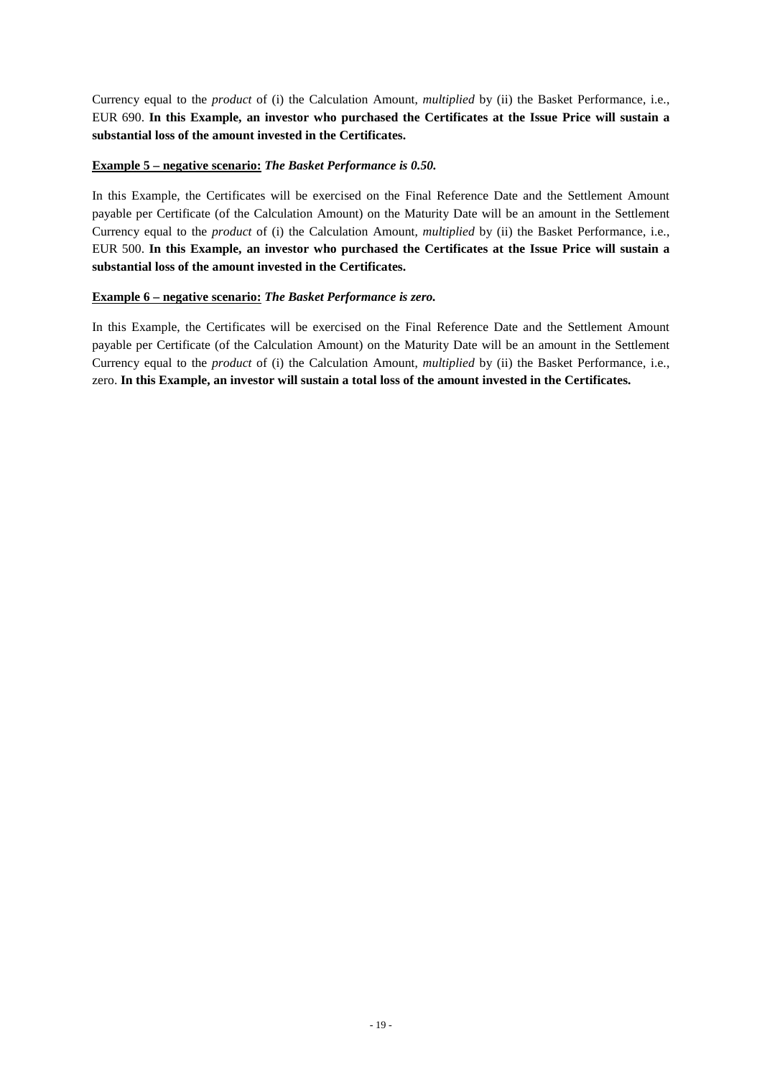Currency equal to the *product* of (i) the Calculation Amount, *multiplied* by (ii) the Basket Performance, i.e., EUR 690. **In this Example, an investor who purchased the Certificates at the Issue Price will sustain a substantial loss of the amount invested in the Certificates.** 

### **Example 5 – negative scenario:** *The Basket Performance is 0.50.*

In this Example, the Certificates will be exercised on the Final Reference Date and the Settlement Amount payable per Certificate (of the Calculation Amount) on the Maturity Date will be an amount in the Settlement Currency equal to the *product* of (i) the Calculation Amount, *multiplied* by (ii) the Basket Performance, i.e., EUR 500. **In this Example, an investor who purchased the Certificates at the Issue Price will sustain a substantial loss of the amount invested in the Certificates.** 

### **Example 6 – negative scenario:** *The Basket Performance is zero.*

In this Example, the Certificates will be exercised on the Final Reference Date and the Settlement Amount payable per Certificate (of the Calculation Amount) on the Maturity Date will be an amount in the Settlement Currency equal to the *product* of (i) the Calculation Amount, *multiplied* by (ii) the Basket Performance, i.e., zero. **In this Example, an investor will sustain a total loss of the amount invested in the Certificates.**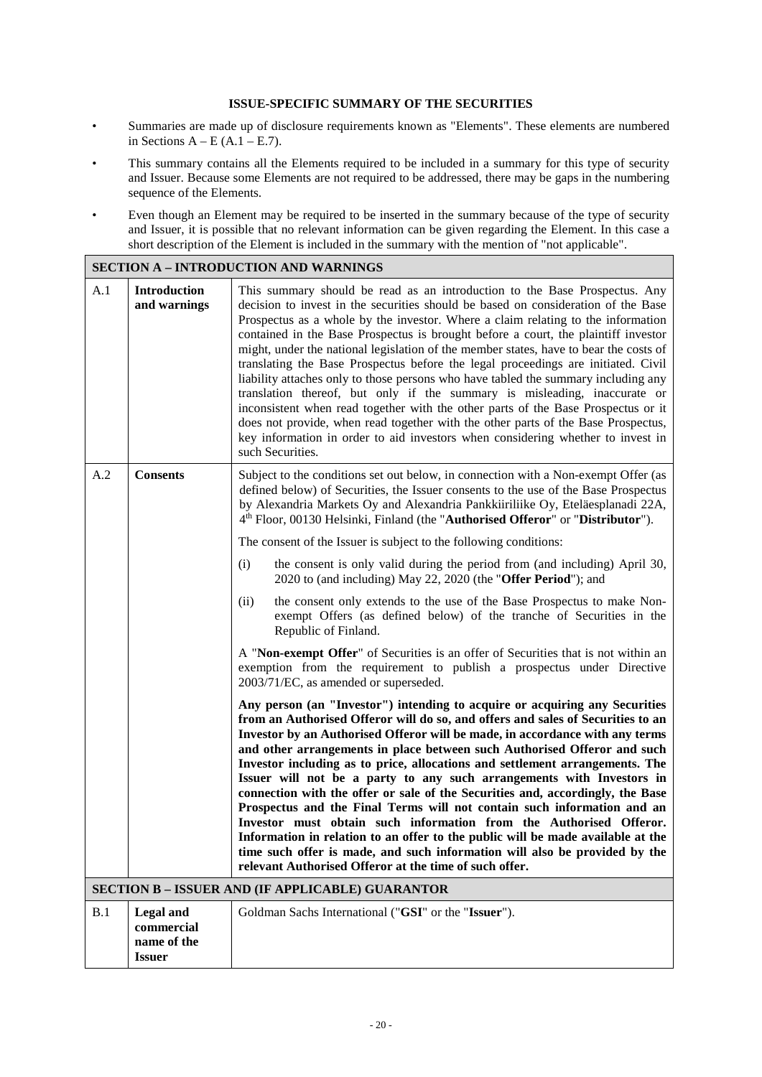### **ISSUE-SPECIFIC SUMMARY OF THE SECURITIES**

- Summaries are made up of disclosure requirements known as "Elements". These elements are numbered in Sections  $A - E(A.1 - E.7)$ .
- This summary contains all the Elements required to be included in a summary for this type of security and Issuer. Because some Elements are not required to be addressed, there may be gaps in the numbering sequence of the Elements.
- Even though an Element may be required to be inserted in the summary because of the type of security and Issuer, it is possible that no relevant information can be given regarding the Element. In this case a short description of the Element is included in the summary with the mention of "not applicable".

|     | <b>SECTION A - INTRODUCTION AND WARNINGS</b>                   |                                                                                                                                                                                                                                                                                                                                                                                                                                                                                                                                                                                                                                                                                                                                                                                                                                                                                                                                                                             |  |  |  |
|-----|----------------------------------------------------------------|-----------------------------------------------------------------------------------------------------------------------------------------------------------------------------------------------------------------------------------------------------------------------------------------------------------------------------------------------------------------------------------------------------------------------------------------------------------------------------------------------------------------------------------------------------------------------------------------------------------------------------------------------------------------------------------------------------------------------------------------------------------------------------------------------------------------------------------------------------------------------------------------------------------------------------------------------------------------------------|--|--|--|
| A.1 | <b>Introduction</b><br>and warnings                            | This summary should be read as an introduction to the Base Prospectus. Any<br>decision to invest in the securities should be based on consideration of the Base<br>Prospectus as a whole by the investor. Where a claim relating to the information<br>contained in the Base Prospectus is brought before a court, the plaintiff investor<br>might, under the national legislation of the member states, have to bear the costs of<br>translating the Base Prospectus before the legal proceedings are initiated. Civil<br>liability attaches only to those persons who have tabled the summary including any<br>translation thereof, but only if the summary is misleading, inaccurate or<br>inconsistent when read together with the other parts of the Base Prospectus or it<br>does not provide, when read together with the other parts of the Base Prospectus,<br>key information in order to aid investors when considering whether to invest in<br>such Securities. |  |  |  |
| A.2 | <b>Consents</b>                                                | Subject to the conditions set out below, in connection with a Non-exempt Offer (as<br>defined below) of Securities, the Issuer consents to the use of the Base Prospectus<br>by Alexandria Markets Oy and Alexandria Pankkiiriliike Oy, Eteläesplanadi 22A,<br>4 <sup>th</sup> Floor, 00130 Helsinki, Finland (the "Authorised Offeror" or "Distributor").                                                                                                                                                                                                                                                                                                                                                                                                                                                                                                                                                                                                                  |  |  |  |
|     |                                                                | The consent of the Issuer is subject to the following conditions:                                                                                                                                                                                                                                                                                                                                                                                                                                                                                                                                                                                                                                                                                                                                                                                                                                                                                                           |  |  |  |
|     |                                                                | the consent is only valid during the period from (and including) April 30,<br>(i)<br>2020 to (and including) May 22, 2020 (the "Offer Period"); and                                                                                                                                                                                                                                                                                                                                                                                                                                                                                                                                                                                                                                                                                                                                                                                                                         |  |  |  |
|     |                                                                | the consent only extends to the use of the Base Prospectus to make Non-<br>(ii)<br>exempt Offers (as defined below) of the tranche of Securities in the<br>Republic of Finland.                                                                                                                                                                                                                                                                                                                                                                                                                                                                                                                                                                                                                                                                                                                                                                                             |  |  |  |
|     |                                                                | A "Non-exempt Offer" of Securities is an offer of Securities that is not within an<br>exemption from the requirement to publish a prospectus under Directive<br>2003/71/EC, as amended or superseded.                                                                                                                                                                                                                                                                                                                                                                                                                                                                                                                                                                                                                                                                                                                                                                       |  |  |  |
|     |                                                                | Any person (an "Investor") intending to acquire or acquiring any Securities<br>from an Authorised Offeror will do so, and offers and sales of Securities to an<br>Investor by an Authorised Offeror will be made, in accordance with any terms<br>and other arrangements in place between such Authorised Offeror and such<br>Investor including as to price, allocations and settlement arrangements. The<br>Issuer will not be a party to any such arrangements with Investors in<br>connection with the offer or sale of the Securities and, accordingly, the Base<br>Prospectus and the Final Terms will not contain such information and an<br>Investor must obtain such information from the Authorised Offeror.<br>Information in relation to an offer to the public will be made available at the<br>time such offer is made, and such information will also be provided by the<br>relevant Authorised Offeror at the time of such offer.                           |  |  |  |
|     |                                                                | <b>SECTION B - ISSUER AND (IF APPLICABLE) GUARANTOR</b>                                                                                                                                                                                                                                                                                                                                                                                                                                                                                                                                                                                                                                                                                                                                                                                                                                                                                                                     |  |  |  |
| B.1 | <b>Legal</b> and<br>commercial<br>name of the<br><b>Issuer</b> | Goldman Sachs International ("GSI" or the "Issuer").                                                                                                                                                                                                                                                                                                                                                                                                                                                                                                                                                                                                                                                                                                                                                                                                                                                                                                                        |  |  |  |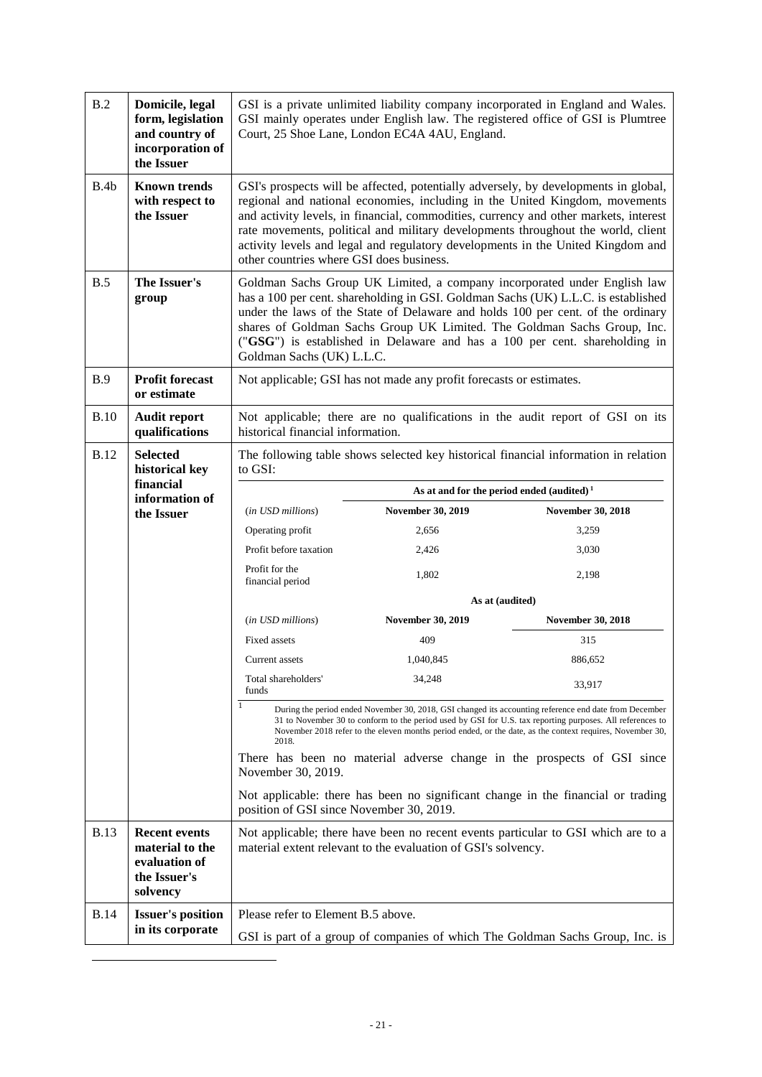| B.2         | Domicile, legal<br>form, legislation<br>and country of<br>incorporation of<br>the Issuer |                                                                                                                                                                                                                                                                                                                                                                                                                                                                               | Court, 25 Shoe Lane, London EC4A 4AU, England. | GSI is a private unlimited liability company incorporated in England and Wales.<br>GSI mainly operates under English law. The registered office of GSI is Plumtree                                                                                                                                                               |
|-------------|------------------------------------------------------------------------------------------|-------------------------------------------------------------------------------------------------------------------------------------------------------------------------------------------------------------------------------------------------------------------------------------------------------------------------------------------------------------------------------------------------------------------------------------------------------------------------------|------------------------------------------------|----------------------------------------------------------------------------------------------------------------------------------------------------------------------------------------------------------------------------------------------------------------------------------------------------------------------------------|
| B.4b        | <b>Known trends</b><br>with respect to<br>the Issuer                                     | GSI's prospects will be affected, potentially adversely, by developments in global,<br>regional and national economies, including in the United Kingdom, movements<br>and activity levels, in financial, commodities, currency and other markets, interest<br>rate movements, political and military developments throughout the world, client<br>activity levels and legal and regulatory developments in the United Kingdom and<br>other countries where GSI does business. |                                                |                                                                                                                                                                                                                                                                                                                                  |
| B.5         | The Issuer's<br>group                                                                    | Goldman Sachs Group UK Limited, a company incorporated under English law<br>has a 100 per cent. shareholding in GSI. Goldman Sachs (UK) L.L.C. is established<br>under the laws of the State of Delaware and holds 100 per cent. of the ordinary<br>shares of Goldman Sachs Group UK Limited. The Goldman Sachs Group, Inc.<br>("GSG") is established in Delaware and has a 100 per cent. shareholding in<br>Goldman Sachs (UK) L.L.C.                                        |                                                |                                                                                                                                                                                                                                                                                                                                  |
| <b>B.9</b>  | <b>Profit forecast</b><br>or estimate                                                    | Not applicable; GSI has not made any profit forecasts or estimates.                                                                                                                                                                                                                                                                                                                                                                                                           |                                                |                                                                                                                                                                                                                                                                                                                                  |
| <b>B.10</b> | <b>Audit report</b><br>qualifications                                                    | historical financial information.                                                                                                                                                                                                                                                                                                                                                                                                                                             |                                                | Not applicable; there are no qualifications in the audit report of GSI on its                                                                                                                                                                                                                                                    |
| <b>B.12</b> | <b>Selected</b><br>historical key                                                        | The following table shows selected key historical financial information in relation<br>to GSI:                                                                                                                                                                                                                                                                                                                                                                                |                                                |                                                                                                                                                                                                                                                                                                                                  |
|             | financial<br>information of                                                              |                                                                                                                                                                                                                                                                                                                                                                                                                                                                               | As at and for the period ended (audited) $1$   |                                                                                                                                                                                                                                                                                                                                  |
|             | the Issuer                                                                               | (in USD millions)                                                                                                                                                                                                                                                                                                                                                                                                                                                             | <b>November 30, 2019</b>                       | <b>November 30, 2018</b>                                                                                                                                                                                                                                                                                                         |
|             |                                                                                          | Operating profit                                                                                                                                                                                                                                                                                                                                                                                                                                                              | 2,656                                          | 3,259                                                                                                                                                                                                                                                                                                                            |
|             |                                                                                          | Profit before taxation                                                                                                                                                                                                                                                                                                                                                                                                                                                        | 2,426                                          | 3,030                                                                                                                                                                                                                                                                                                                            |
|             |                                                                                          | Profit for the<br>financial period                                                                                                                                                                                                                                                                                                                                                                                                                                            | 1,802                                          | 2,198                                                                                                                                                                                                                                                                                                                            |
|             |                                                                                          |                                                                                                                                                                                                                                                                                                                                                                                                                                                                               | As at (audited)                                |                                                                                                                                                                                                                                                                                                                                  |
|             |                                                                                          | (in USD millions)                                                                                                                                                                                                                                                                                                                                                                                                                                                             | <b>November 30, 2019</b>                       | <b>November 30, 2018</b>                                                                                                                                                                                                                                                                                                         |
|             |                                                                                          | Fixed assets                                                                                                                                                                                                                                                                                                                                                                                                                                                                  | 409                                            | 315                                                                                                                                                                                                                                                                                                                              |
|             |                                                                                          | Current assets                                                                                                                                                                                                                                                                                                                                                                                                                                                                | 1,040,845                                      | 886,652                                                                                                                                                                                                                                                                                                                          |
|             |                                                                                          | Total shareholders'<br>funds                                                                                                                                                                                                                                                                                                                                                                                                                                                  | 34,248                                         | 33,917                                                                                                                                                                                                                                                                                                                           |
|             |                                                                                          | $\mathbf{1}$<br>2018.                                                                                                                                                                                                                                                                                                                                                                                                                                                         |                                                | During the period ended November 30, 2018, GSI changed its accounting reference end date from December<br>31 to November 30 to conform to the period used by GSI for U.S. tax reporting purposes. All references to<br>November 2018 refer to the eleven months period ended, or the date, as the context requires, November 30, |
|             |                                                                                          | November 30, 2019.                                                                                                                                                                                                                                                                                                                                                                                                                                                            |                                                | There has been no material adverse change in the prospects of GSI since                                                                                                                                                                                                                                                          |
|             |                                                                                          | position of GSI since November 30, 2019.                                                                                                                                                                                                                                                                                                                                                                                                                                      |                                                | Not applicable: there has been no significant change in the financial or trading                                                                                                                                                                                                                                                 |
| <b>B.13</b> | <b>Recent events</b><br>material to the<br>evaluation of<br>the Issuer's<br>solvency     | Not applicable; there have been no recent events particular to GSI which are to a<br>material extent relevant to the evaluation of GSI's solvency.                                                                                                                                                                                                                                                                                                                            |                                                |                                                                                                                                                                                                                                                                                                                                  |
| <b>B.14</b> | <b>Issuer's position</b>                                                                 | Please refer to Element B.5 above.                                                                                                                                                                                                                                                                                                                                                                                                                                            |                                                |                                                                                                                                                                                                                                                                                                                                  |
|             | in its corporate                                                                         |                                                                                                                                                                                                                                                                                                                                                                                                                                                                               |                                                | GSI is part of a group of companies of which The Goldman Sachs Group, Inc. is                                                                                                                                                                                                                                                    |

-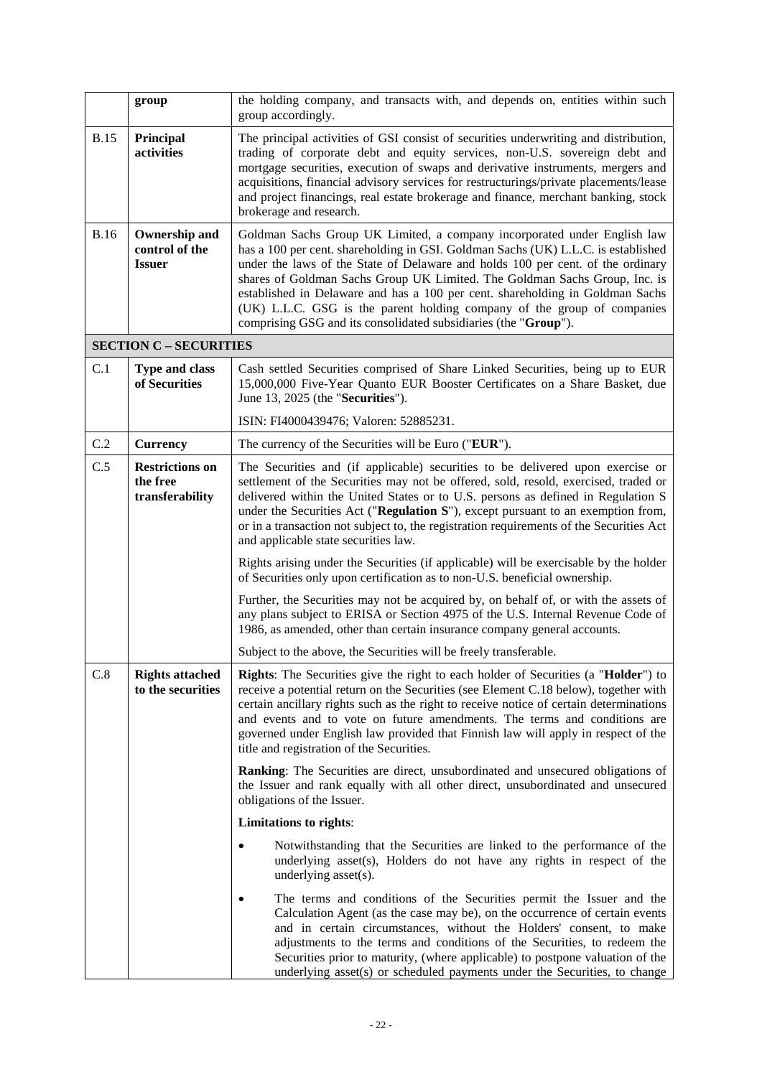|             | group                                                   | the holding company, and transacts with, and depends on, entities within such<br>group accordingly.                                                                                                                                                                                                                                                                                                                                                                                                                                                           |  |
|-------------|---------------------------------------------------------|---------------------------------------------------------------------------------------------------------------------------------------------------------------------------------------------------------------------------------------------------------------------------------------------------------------------------------------------------------------------------------------------------------------------------------------------------------------------------------------------------------------------------------------------------------------|--|
| <b>B.15</b> | Principal<br>activities                                 | The principal activities of GSI consist of securities underwriting and distribution,<br>trading of corporate debt and equity services, non-U.S. sovereign debt and<br>mortgage securities, execution of swaps and derivative instruments, mergers and<br>acquisitions, financial advisory services for restructurings/private placements/lease<br>and project financings, real estate brokerage and finance, merchant banking, stock<br>brokerage and research.                                                                                               |  |
| <b>B.16</b> | <b>Ownership and</b><br>control of the<br><b>Issuer</b> | Goldman Sachs Group UK Limited, a company incorporated under English law<br>has a 100 per cent. shareholding in GSI. Goldman Sachs (UK) L.L.C. is established<br>under the laws of the State of Delaware and holds 100 per cent. of the ordinary<br>shares of Goldman Sachs Group UK Limited. The Goldman Sachs Group, Inc. is<br>established in Delaware and has a 100 per cent. shareholding in Goldman Sachs<br>(UK) L.L.C. GSG is the parent holding company of the group of companies<br>comprising GSG and its consolidated subsidiaries (the "Group"). |  |
|             | <b>SECTION C - SECURITIES</b>                           |                                                                                                                                                                                                                                                                                                                                                                                                                                                                                                                                                               |  |
| C.1         | <b>Type and class</b><br>of Securities                  | Cash settled Securities comprised of Share Linked Securities, being up to EUR<br>15,000,000 Five-Year Quanto EUR Booster Certificates on a Share Basket, due<br>June 13, 2025 (the "Securities").                                                                                                                                                                                                                                                                                                                                                             |  |
|             |                                                         | ISIN: FI4000439476; Valoren: 52885231.                                                                                                                                                                                                                                                                                                                                                                                                                                                                                                                        |  |
| C.2         | <b>Currency</b>                                         | The currency of the Securities will be Euro ("EUR").                                                                                                                                                                                                                                                                                                                                                                                                                                                                                                          |  |
| C.5         | <b>Restrictions on</b><br>the free<br>transferability   | The Securities and (if applicable) securities to be delivered upon exercise or<br>settlement of the Securities may not be offered, sold, resold, exercised, traded or<br>delivered within the United States or to U.S. persons as defined in Regulation S<br>under the Securities Act ("Regulation S"), except pursuant to an exemption from,<br>or in a transaction not subject to, the registration requirements of the Securities Act<br>and applicable state securities law.                                                                              |  |
|             |                                                         | Rights arising under the Securities (if applicable) will be exercisable by the holder<br>of Securities only upon certification as to non-U.S. beneficial ownership.                                                                                                                                                                                                                                                                                                                                                                                           |  |
|             |                                                         | Further, the Securities may not be acquired by, on behalf of, or with the assets of<br>any plans subject to ERISA or Section 4975 of the U.S. Internal Revenue Code of<br>1986, as amended, other than certain insurance company general accounts.                                                                                                                                                                                                                                                                                                            |  |
|             |                                                         | Subject to the above, the Securities will be freely transferable.                                                                                                                                                                                                                                                                                                                                                                                                                                                                                             |  |
| C.8         | <b>Rights attached</b><br>to the securities             | Rights: The Securities give the right to each holder of Securities (a "Holder") to<br>receive a potential return on the Securities (see Element C.18 below), together with<br>certain ancillary rights such as the right to receive notice of certain determinations<br>and events and to vote on future amendments. The terms and conditions are<br>governed under English law provided that Finnish law will apply in respect of the<br>title and registration of the Securities.                                                                           |  |
|             |                                                         | <b>Ranking:</b> The Securities are direct, unsubordinated and unsecured obligations of<br>the Issuer and rank equally with all other direct, unsubordinated and unsecured<br>obligations of the Issuer.                                                                                                                                                                                                                                                                                                                                                       |  |
|             |                                                         | Limitations to rights:                                                                                                                                                                                                                                                                                                                                                                                                                                                                                                                                        |  |
|             |                                                         | Notwithstanding that the Securities are linked to the performance of the<br>$\bullet$<br>underlying asset(s), Holders do not have any rights in respect of the<br>underlying asset(s).                                                                                                                                                                                                                                                                                                                                                                        |  |
|             |                                                         | The terms and conditions of the Securities permit the Issuer and the<br>Calculation Agent (as the case may be), on the occurrence of certain events<br>and in certain circumstances, without the Holders' consent, to make<br>adjustments to the terms and conditions of the Securities, to redeem the<br>Securities prior to maturity, (where applicable) to postpone valuation of the<br>underlying asset(s) or scheduled payments under the Securities, to change                                                                                          |  |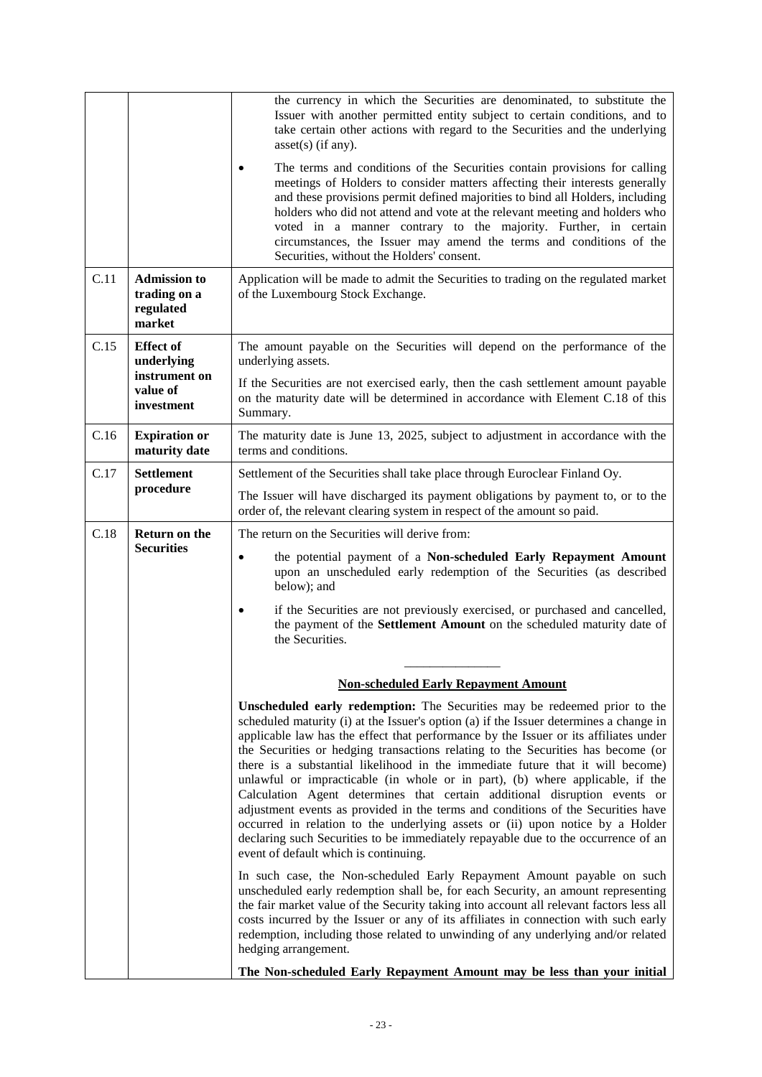| C.11 |                                                            | the currency in which the Securities are denominated, to substitute the<br>Issuer with another permitted entity subject to certain conditions, and to<br>take certain other actions with regard to the Securities and the underlying<br>$asset(s)$ (if any).<br>The terms and conditions of the Securities contain provisions for calling<br>meetings of Holders to consider matters affecting their interests generally<br>and these provisions permit defined majorities to bind all Holders, including<br>holders who did not attend and vote at the relevant meeting and holders who<br>voted in a manner contrary to the majority. Further, in certain<br>circumstances, the Issuer may amend the terms and conditions of the<br>Securities, without the Holders' consent.                                                                                                                           |
|------|------------------------------------------------------------|-----------------------------------------------------------------------------------------------------------------------------------------------------------------------------------------------------------------------------------------------------------------------------------------------------------------------------------------------------------------------------------------------------------------------------------------------------------------------------------------------------------------------------------------------------------------------------------------------------------------------------------------------------------------------------------------------------------------------------------------------------------------------------------------------------------------------------------------------------------------------------------------------------------|
|      | <b>Admission to</b><br>trading on a<br>regulated<br>market | Application will be made to admit the Securities to trading on the regulated market<br>of the Luxembourg Stock Exchange.                                                                                                                                                                                                                                                                                                                                                                                                                                                                                                                                                                                                                                                                                                                                                                                  |
| C.15 | <b>Effect of</b><br>underlying                             | The amount payable on the Securities will depend on the performance of the<br>underlying assets.                                                                                                                                                                                                                                                                                                                                                                                                                                                                                                                                                                                                                                                                                                                                                                                                          |
|      | instrument on<br>value of<br>investment                    | If the Securities are not exercised early, then the cash settlement amount payable<br>on the maturity date will be determined in accordance with Element C.18 of this<br>Summary.                                                                                                                                                                                                                                                                                                                                                                                                                                                                                                                                                                                                                                                                                                                         |
| C.16 | <b>Expiration or</b><br>maturity date                      | The maturity date is June 13, 2025, subject to adjustment in accordance with the<br>terms and conditions.                                                                                                                                                                                                                                                                                                                                                                                                                                                                                                                                                                                                                                                                                                                                                                                                 |
| C.17 | <b>Settlement</b>                                          | Settlement of the Securities shall take place through Euroclear Finland Oy.                                                                                                                                                                                                                                                                                                                                                                                                                                                                                                                                                                                                                                                                                                                                                                                                                               |
|      | procedure                                                  | The Issuer will have discharged its payment obligations by payment to, or to the<br>order of, the relevant clearing system in respect of the amount so paid.                                                                                                                                                                                                                                                                                                                                                                                                                                                                                                                                                                                                                                                                                                                                              |
| C.18 | <b>Return on the</b><br><b>Securities</b>                  | The return on the Securities will derive from:                                                                                                                                                                                                                                                                                                                                                                                                                                                                                                                                                                                                                                                                                                                                                                                                                                                            |
|      |                                                            | the potential payment of a Non-scheduled Early Repayment Amount<br>$\bullet$<br>upon an unscheduled early redemption of the Securities (as described<br>below); and                                                                                                                                                                                                                                                                                                                                                                                                                                                                                                                                                                                                                                                                                                                                       |
|      |                                                            | if the Securities are not previously exercised, or purchased and cancelled,<br>the payment of the Settlement Amount on the scheduled maturity date of<br>the Securities.                                                                                                                                                                                                                                                                                                                                                                                                                                                                                                                                                                                                                                                                                                                                  |
|      |                                                            | <b>Non-scheduled Early Repayment Amount</b>                                                                                                                                                                                                                                                                                                                                                                                                                                                                                                                                                                                                                                                                                                                                                                                                                                                               |
|      |                                                            | <b>Unscheduled early redemption:</b> The Securities may be redeemed prior to the<br>scheduled maturity (i) at the Issuer's option (a) if the Issuer determines a change in<br>applicable law has the effect that performance by the Issuer or its affiliates under<br>the Securities or hedging transactions relating to the Securities has become (or<br>there is a substantial likelihood in the immediate future that it will become)<br>unlawful or impracticable (in whole or in part), (b) where applicable, if the<br>Calculation Agent determines that certain additional disruption events or<br>adjustment events as provided in the terms and conditions of the Securities have<br>occurred in relation to the underlying assets or (ii) upon notice by a Holder<br>declaring such Securities to be immediately repayable due to the occurrence of an<br>event of default which is continuing. |
|      |                                                            | In such case, the Non-scheduled Early Repayment Amount payable on such<br>unscheduled early redemption shall be, for each Security, an amount representing<br>the fair market value of the Security taking into account all relevant factors less all<br>costs incurred by the Issuer or any of its affiliates in connection with such early<br>redemption, including those related to unwinding of any underlying and/or related<br>hedging arrangement.<br>The Non-scheduled Early Repayment Amount may be less than your initial                                                                                                                                                                                                                                                                                                                                                                       |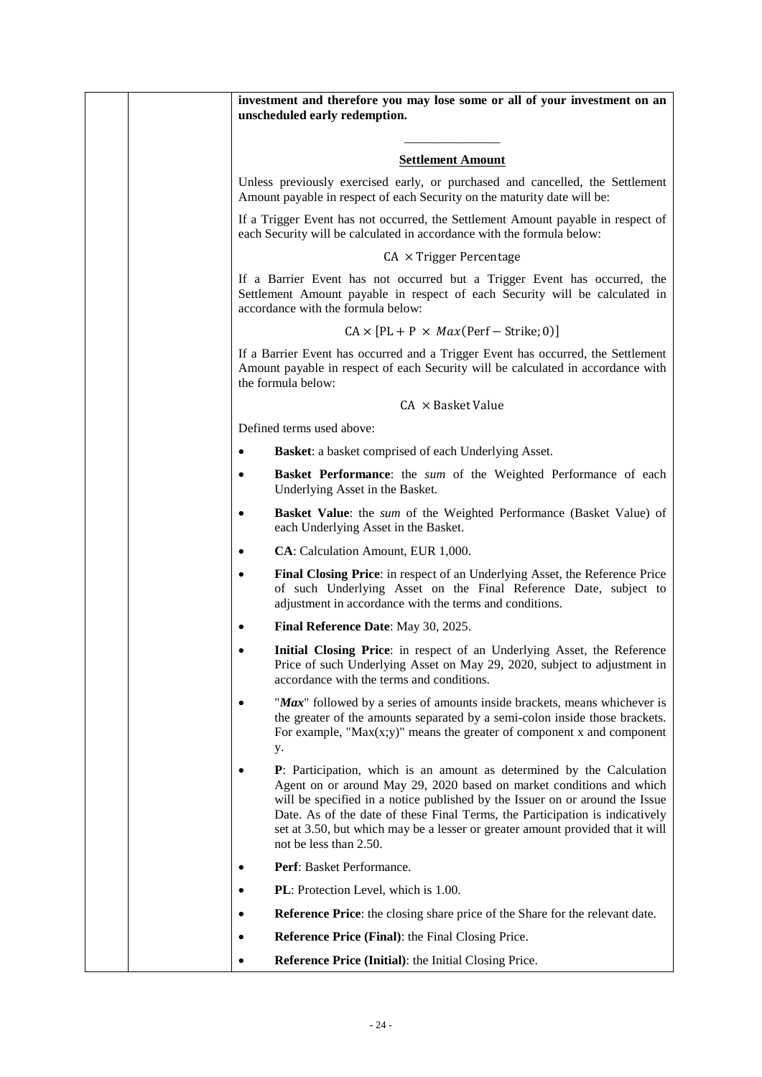| investment and therefore you may lose some or all of your investment on an<br>unscheduled early redemption.                                                                                                                                                                                                                                                                                                               |
|---------------------------------------------------------------------------------------------------------------------------------------------------------------------------------------------------------------------------------------------------------------------------------------------------------------------------------------------------------------------------------------------------------------------------|
|                                                                                                                                                                                                                                                                                                                                                                                                                           |
| <b>Settlement Amount</b>                                                                                                                                                                                                                                                                                                                                                                                                  |
| Unless previously exercised early, or purchased and cancelled, the Settlement<br>Amount payable in respect of each Security on the maturity date will be:                                                                                                                                                                                                                                                                 |
| If a Trigger Event has not occurred, the Settlement Amount payable in respect of<br>each Security will be calculated in accordance with the formula below:                                                                                                                                                                                                                                                                |
| $CA \times Trigger Percentage$                                                                                                                                                                                                                                                                                                                                                                                            |
| If a Barrier Event has not occurred but a Trigger Event has occurred, the<br>Settlement Amount payable in respect of each Security will be calculated in<br>accordance with the formula below:                                                                                                                                                                                                                            |
| $CA \times [PL + P \times Max(Perf - Strike; 0)]$                                                                                                                                                                                                                                                                                                                                                                         |
| If a Barrier Event has occurred and a Trigger Event has occurred, the Settlement<br>Amount payable in respect of each Security will be calculated in accordance with<br>the formula below:                                                                                                                                                                                                                                |
| $CA \times$ Basket Value                                                                                                                                                                                                                                                                                                                                                                                                  |
| Defined terms used above:                                                                                                                                                                                                                                                                                                                                                                                                 |
| <b>Basket:</b> a basket comprised of each Underlying Asset.<br>٠                                                                                                                                                                                                                                                                                                                                                          |
| <b>Basket Performance:</b> the sum of the Weighted Performance of each<br>٠<br>Underlying Asset in the Basket.                                                                                                                                                                                                                                                                                                            |
| <b>Basket Value:</b> the sum of the Weighted Performance (Basket Value) of<br>٠<br>each Underlying Asset in the Basket.                                                                                                                                                                                                                                                                                                   |
| CA: Calculation Amount, EUR 1,000.                                                                                                                                                                                                                                                                                                                                                                                        |
| Final Closing Price: in respect of an Underlying Asset, the Reference Price<br>٠<br>of such Underlying Asset on the Final Reference Date, subject to<br>adjustment in accordance with the terms and conditions.                                                                                                                                                                                                           |
| Final Reference Date: May 30, 2025.                                                                                                                                                                                                                                                                                                                                                                                       |
| Initial Closing Price: in respect of an Underlying Asset, the Reference<br>Price of such Underlying Asset on May 29, 2020, subject to adjustment in<br>accordance with the terms and conditions.                                                                                                                                                                                                                          |
| "Max" followed by a series of amounts inside brackets, means whichever is<br>the greater of the amounts separated by a semi-colon inside those brackets.<br>For example, " $Max(x; y)$ " means the greater of component x and component<br>у.                                                                                                                                                                             |
| P: Participation, which is an amount as determined by the Calculation<br>Agent on or around May 29, 2020 based on market conditions and which<br>will be specified in a notice published by the Issuer on or around the Issue<br>Date. As of the date of these Final Terms, the Participation is indicatively<br>set at 3.50, but which may be a lesser or greater amount provided that it will<br>not be less than 2.50. |
| Perf: Basket Performance.                                                                                                                                                                                                                                                                                                                                                                                                 |
| PL: Protection Level, which is 1.00.                                                                                                                                                                                                                                                                                                                                                                                      |
| Reference Price: the closing share price of the Share for the relevant date.<br>$\bullet$                                                                                                                                                                                                                                                                                                                                 |
| Reference Price (Final): the Final Closing Price.<br>$\bullet$                                                                                                                                                                                                                                                                                                                                                            |
| Reference Price (Initial): the Initial Closing Price.                                                                                                                                                                                                                                                                                                                                                                     |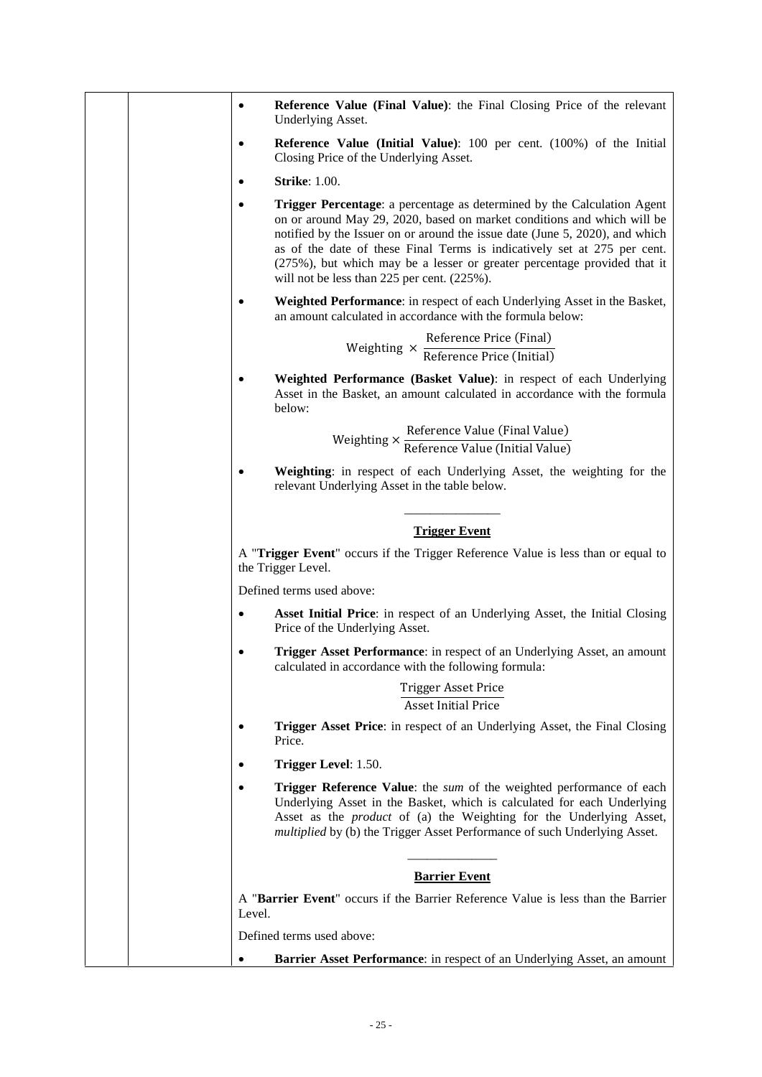|           | <b>Reference Value (Final Value):</b> the Final Closing Price of the relevant<br>Underlying Asset.                                                                                                                                                                                                                                                                                                                                        |
|-----------|-------------------------------------------------------------------------------------------------------------------------------------------------------------------------------------------------------------------------------------------------------------------------------------------------------------------------------------------------------------------------------------------------------------------------------------------|
|           | <b>Reference Value (Initial Value):</b> 100 per cent. (100%) of the Initial<br>Closing Price of the Underlying Asset.                                                                                                                                                                                                                                                                                                                     |
|           | <b>Strike: 1.00.</b>                                                                                                                                                                                                                                                                                                                                                                                                                      |
|           | Trigger Percentage: a percentage as determined by the Calculation Agent<br>on or around May 29, 2020, based on market conditions and which will be<br>notified by the Issuer on or around the issue date (June 5, 2020), and which<br>as of the date of these Final Terms is indicatively set at 275 per cent.<br>(275%), but which may be a lesser or greater percentage provided that it<br>will not be less than 225 per cent. (225%). |
|           | Weighted Performance: in respect of each Underlying Asset in the Basket,<br>an amount calculated in accordance with the formula below:                                                                                                                                                                                                                                                                                                    |
|           | $Weighting \times \frac{Reference \, Price \, (Final)}{Reference \, Price \, (Initial)}$                                                                                                                                                                                                                                                                                                                                                  |
|           | Weighted Performance (Basket Value): in respect of each Underlying<br>Asset in the Basket, an amount calculated in accordance with the formula<br>below:                                                                                                                                                                                                                                                                                  |
|           | $Weighting \times \frac{Reference Value (Final Value)}{Reference Value (Initial Value)}$                                                                                                                                                                                                                                                                                                                                                  |
| $\bullet$ | Weighting: in respect of each Underlying Asset, the weighting for the<br>relevant Underlying Asset in the table below.                                                                                                                                                                                                                                                                                                                    |
|           | <b>Trigger Event</b>                                                                                                                                                                                                                                                                                                                                                                                                                      |
|           | A "Trigger Event" occurs if the Trigger Reference Value is less than or equal to<br>the Trigger Level.                                                                                                                                                                                                                                                                                                                                    |
|           | Defined terms used above:                                                                                                                                                                                                                                                                                                                                                                                                                 |
|           | Asset Initial Price: in respect of an Underlying Asset, the Initial Closing<br>Price of the Underlying Asset.                                                                                                                                                                                                                                                                                                                             |
|           | Trigger Asset Performance: in respect of an Underlying Asset, an amount<br>calculated in accordance with the following formula:                                                                                                                                                                                                                                                                                                           |
|           | <b>Trigger Asset Price</b><br><b>Asset Initial Price</b>                                                                                                                                                                                                                                                                                                                                                                                  |
|           | Trigger Asset Price: in respect of an Underlying Asset, the Final Closing<br>Price.                                                                                                                                                                                                                                                                                                                                                       |
|           | Trigger Level: 1.50.                                                                                                                                                                                                                                                                                                                                                                                                                      |
|           | Trigger Reference Value: the sum of the weighted performance of each<br>Underlying Asset in the Basket, which is calculated for each Underlying<br>Asset as the <i>product</i> of (a) the Weighting for the Underlying Asset,<br>multiplied by (b) the Trigger Asset Performance of such Underlying Asset.                                                                                                                                |
|           | <b>Barrier Event</b>                                                                                                                                                                                                                                                                                                                                                                                                                      |
|           | A "Barrier Event" occurs if the Barrier Reference Value is less than the Barrier<br>Level.                                                                                                                                                                                                                                                                                                                                                |
|           | Defined terms used above:                                                                                                                                                                                                                                                                                                                                                                                                                 |
|           | Barrier Asset Performance: in respect of an Underlying Asset, an amount                                                                                                                                                                                                                                                                                                                                                                   |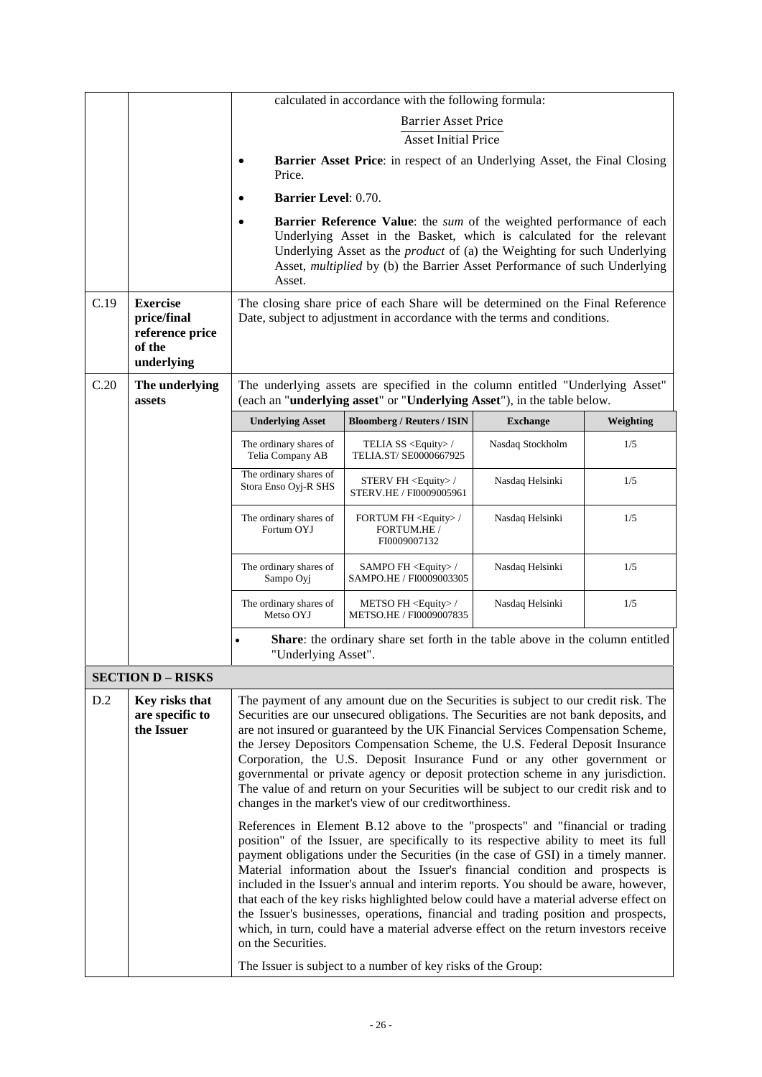|      |                                                                           |                                                | calculated in accordance with the following formula:                                                                                                                                                                                                                                                                                                                                                                                                                                                                                                                                                                                                                                                                                                                   |                  |           |
|------|---------------------------------------------------------------------------|------------------------------------------------|------------------------------------------------------------------------------------------------------------------------------------------------------------------------------------------------------------------------------------------------------------------------------------------------------------------------------------------------------------------------------------------------------------------------------------------------------------------------------------------------------------------------------------------------------------------------------------------------------------------------------------------------------------------------------------------------------------------------------------------------------------------------|------------------|-----------|
|      |                                                                           |                                                | <b>Barrier Asset Price</b>                                                                                                                                                                                                                                                                                                                                                                                                                                                                                                                                                                                                                                                                                                                                             |                  |           |
|      |                                                                           |                                                | <b>Asset Initial Price</b>                                                                                                                                                                                                                                                                                                                                                                                                                                                                                                                                                                                                                                                                                                                                             |                  |           |
|      |                                                                           | Price.                                         | Barrier Asset Price: in respect of an Underlying Asset, the Final Closing                                                                                                                                                                                                                                                                                                                                                                                                                                                                                                                                                                                                                                                                                              |                  |           |
|      |                                                                           | <b>Barrier Level: 0.70.</b>                    |                                                                                                                                                                                                                                                                                                                                                                                                                                                                                                                                                                                                                                                                                                                                                                        |                  |           |
|      |                                                                           | Asset.                                         | <b>Barrier Reference Value:</b> the sum of the weighted performance of each<br>Underlying Asset in the Basket, which is calculated for the relevant<br>Underlying Asset as the <i>product</i> of (a) the Weighting for such Underlying<br>Asset, multiplied by (b) the Barrier Asset Performance of such Underlying                                                                                                                                                                                                                                                                                                                                                                                                                                                    |                  |           |
| C.19 | <b>Exercise</b><br>price/final<br>reference price<br>of the<br>underlying |                                                | The closing share price of each Share will be determined on the Final Reference<br>Date, subject to adjustment in accordance with the terms and conditions.                                                                                                                                                                                                                                                                                                                                                                                                                                                                                                                                                                                                            |                  |           |
| C.20 | The underlying<br>assets                                                  |                                                | The underlying assets are specified in the column entitled "Underlying Asset"<br>(each an "underlying asset" or "Underlying Asset"), in the table below.                                                                                                                                                                                                                                                                                                                                                                                                                                                                                                                                                                                                               |                  |           |
|      |                                                                           | <b>Underlying Asset</b>                        | <b>Bloomberg / Reuters / ISIN</b>                                                                                                                                                                                                                                                                                                                                                                                                                                                                                                                                                                                                                                                                                                                                      | <b>Exchange</b>  | Weighting |
|      |                                                                           | The ordinary shares of<br>Telia Company AB     | TELIA SS <equity> /<br/>TELIA.ST/ SE0000667925</equity>                                                                                                                                                                                                                                                                                                                                                                                                                                                                                                                                                                                                                                                                                                                | Nasdaq Stockholm | 1/5       |
|      |                                                                           | The ordinary shares of<br>Stora Enso Oyj-R SHS | $STERV FH <$ Equity>/<br>STERV.HE / FI0009005961                                                                                                                                                                                                                                                                                                                                                                                                                                                                                                                                                                                                                                                                                                                       | Nasdaq Helsinki  | 1/5       |
|      |                                                                           | The ordinary shares of<br>Fortum OYJ           | FORTUM FH <equity>/<br/>FORTUM.HE/<br/>FI0009007132</equity>                                                                                                                                                                                                                                                                                                                                                                                                                                                                                                                                                                                                                                                                                                           | Nasdaq Helsinki  | 1/5       |
|      |                                                                           | The ordinary shares of<br>Sampo Oyj            | $SAMPO FH <$ Equity>/<br>SAMPO.HE / FI0009003305                                                                                                                                                                                                                                                                                                                                                                                                                                                                                                                                                                                                                                                                                                                       | Nasdaq Helsinki  | 1/5       |
|      |                                                                           | The ordinary shares of<br>Metso OYJ            | METSO FH <equity>/<br/>METSO.HE / FI0009007835</equity>                                                                                                                                                                                                                                                                                                                                                                                                                                                                                                                                                                                                                                                                                                                | Nasdaq Helsinki  | 1/5       |
|      |                                                                           | $\bullet$<br>"Underlying Asset".               | <b>Share:</b> the ordinary share set forth in the table above in the column entitled                                                                                                                                                                                                                                                                                                                                                                                                                                                                                                                                                                                                                                                                                   |                  |           |
|      | <b>SECTION D - RISKS</b>                                                  |                                                |                                                                                                                                                                                                                                                                                                                                                                                                                                                                                                                                                                                                                                                                                                                                                                        |                  |           |
| D.2  | Key risks that<br>are specific to<br>the Issuer                           |                                                | The payment of any amount due on the Securities is subject to our credit risk. The<br>Securities are our unsecured obligations. The Securities are not bank deposits, and<br>are not insured or guaranteed by the UK Financial Services Compensation Scheme,<br>the Jersey Depositors Compensation Scheme, the U.S. Federal Deposit Insurance<br>Corporation, the U.S. Deposit Insurance Fund or any other government or<br>governmental or private agency or deposit protection scheme in any jurisdiction.<br>The value of and return on your Securities will be subject to our credit risk and to<br>changes in the market's view of our creditworthiness.                                                                                                          |                  |           |
|      |                                                                           | on the Securities.                             | References in Element B.12 above to the "prospects" and "financial or trading<br>position" of the Issuer, are specifically to its respective ability to meet its full<br>payment obligations under the Securities (in the case of GSI) in a timely manner.<br>Material information about the Issuer's financial condition and prospects is<br>included in the Issuer's annual and interim reports. You should be aware, however,<br>that each of the key risks highlighted below could have a material adverse effect on<br>the Issuer's businesses, operations, financial and trading position and prospects,<br>which, in turn, could have a material adverse effect on the return investors receive<br>The Issuer is subject to a number of key risks of the Group: |                  |           |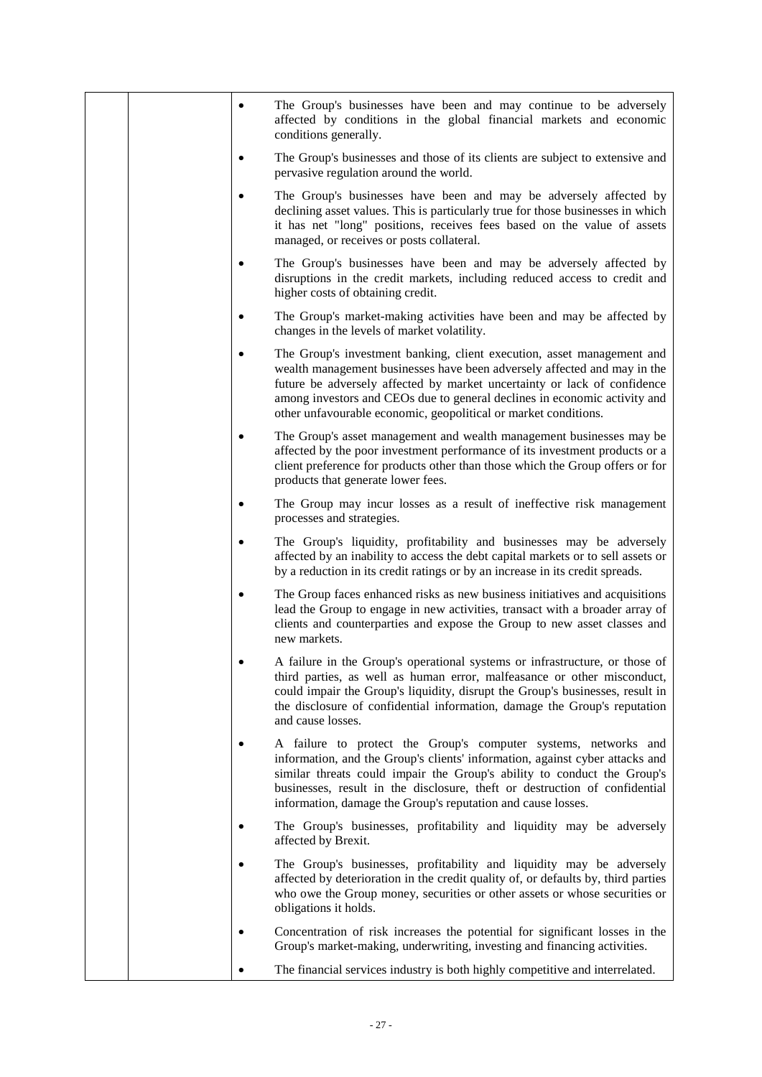|  | The Group's businesses have been and may continue to be adversely<br>affected by conditions in the global financial markets and economic<br>conditions generally.                                                                                                                                                                                                              |
|--|--------------------------------------------------------------------------------------------------------------------------------------------------------------------------------------------------------------------------------------------------------------------------------------------------------------------------------------------------------------------------------|
|  | The Group's businesses and those of its clients are subject to extensive and<br>pervasive regulation around the world.                                                                                                                                                                                                                                                         |
|  | The Group's businesses have been and may be adversely affected by<br>declining asset values. This is particularly true for those businesses in which<br>it has net "long" positions, receives fees based on the value of assets<br>managed, or receives or posts collateral.                                                                                                   |
|  | The Group's businesses have been and may be adversely affected by<br>disruptions in the credit markets, including reduced access to credit and<br>higher costs of obtaining credit.                                                                                                                                                                                            |
|  | The Group's market-making activities have been and may be affected by<br>changes in the levels of market volatility.                                                                                                                                                                                                                                                           |
|  | The Group's investment banking, client execution, asset management and<br>wealth management businesses have been adversely affected and may in the<br>future be adversely affected by market uncertainty or lack of confidence<br>among investors and CEOs due to general declines in economic activity and<br>other unfavourable economic, geopolitical or market conditions. |
|  | The Group's asset management and wealth management businesses may be<br>affected by the poor investment performance of its investment products or a<br>client preference for products other than those which the Group offers or for<br>products that generate lower fees.                                                                                                     |
|  | The Group may incur losses as a result of ineffective risk management<br>processes and strategies.                                                                                                                                                                                                                                                                             |
|  | The Group's liquidity, profitability and businesses may be adversely<br>affected by an inability to access the debt capital markets or to sell assets or<br>by a reduction in its credit ratings or by an increase in its credit spreads.                                                                                                                                      |
|  | The Group faces enhanced risks as new business initiatives and acquisitions<br>lead the Group to engage in new activities, transact with a broader array of<br>clients and counterparties and expose the Group to new asset classes and<br>new markets.                                                                                                                        |
|  | A failure in the Group's operational systems or infrastructure, or those of<br>third parties, as well as human error, malfeasance or other misconduct,<br>could impair the Group's liquidity, disrupt the Group's businesses, result in<br>the disclosure of confidential information, damage the Group's reputation<br>and cause losses.                                      |
|  | A failure to protect the Group's computer systems, networks and<br>information, and the Group's clients' information, against cyber attacks and<br>similar threats could impair the Group's ability to conduct the Group's<br>businesses, result in the disclosure, theft or destruction of confidential<br>information, damage the Group's reputation and cause losses.       |
|  | The Group's businesses, profitability and liquidity may be adversely<br>affected by Brexit.                                                                                                                                                                                                                                                                                    |
|  | The Group's businesses, profitability and liquidity may be adversely<br>affected by deterioration in the credit quality of, or defaults by, third parties<br>who owe the Group money, securities or other assets or whose securities or<br>obligations it holds.                                                                                                               |
|  | Concentration of risk increases the potential for significant losses in the<br>Group's market-making, underwriting, investing and financing activities.                                                                                                                                                                                                                        |
|  | The financial services industry is both highly competitive and interrelated.                                                                                                                                                                                                                                                                                                   |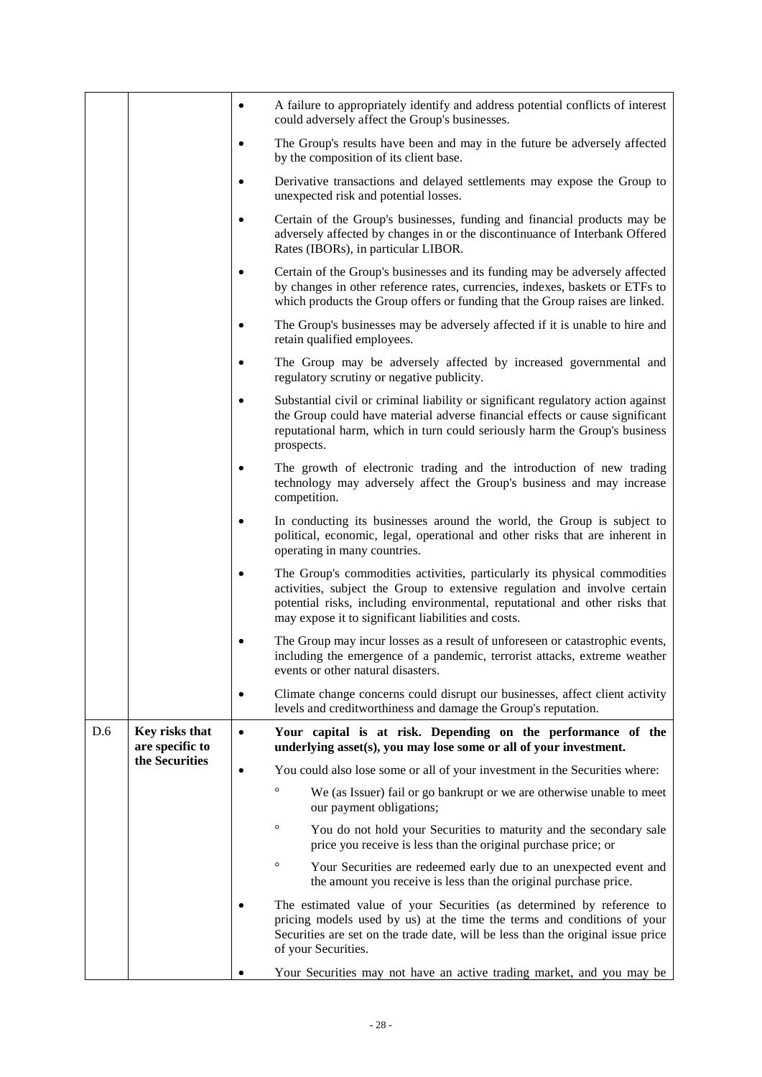|     |                                   |           | A failure to appropriately identify and address potential conflicts of interest<br>could adversely affect the Group's businesses.                                                                                                                                                            |
|-----|-----------------------------------|-----------|----------------------------------------------------------------------------------------------------------------------------------------------------------------------------------------------------------------------------------------------------------------------------------------------|
|     |                                   |           | The Group's results have been and may in the future be adversely affected<br>by the composition of its client base.                                                                                                                                                                          |
|     |                                   |           | Derivative transactions and delayed settlements may expose the Group to<br>unexpected risk and potential losses.                                                                                                                                                                             |
|     |                                   |           | Certain of the Group's businesses, funding and financial products may be<br>adversely affected by changes in or the discontinuance of Interbank Offered<br>Rates (IBORs), in particular LIBOR.                                                                                               |
|     |                                   |           | Certain of the Group's businesses and its funding may be adversely affected<br>by changes in other reference rates, currencies, indexes, baskets or ETFs to<br>which products the Group offers or funding that the Group raises are linked.                                                  |
|     |                                   |           | The Group's businesses may be adversely affected if it is unable to hire and<br>retain qualified employees.                                                                                                                                                                                  |
|     |                                   |           | The Group may be adversely affected by increased governmental and<br>regulatory scrutiny or negative publicity.                                                                                                                                                                              |
|     |                                   |           | Substantial civil or criminal liability or significant regulatory action against<br>the Group could have material adverse financial effects or cause significant<br>reputational harm, which in turn could seriously harm the Group's business<br>prospects.                                 |
|     |                                   |           | The growth of electronic trading and the introduction of new trading<br>technology may adversely affect the Group's business and may increase<br>competition.                                                                                                                                |
|     |                                   |           | In conducting its businesses around the world, the Group is subject to<br>political, economic, legal, operational and other risks that are inherent in<br>operating in many countries.                                                                                                       |
|     |                                   |           | The Group's commodities activities, particularly its physical commodities<br>activities, subject the Group to extensive regulation and involve certain<br>potential risks, including environmental, reputational and other risks that<br>may expose it to significant liabilities and costs. |
|     |                                   |           | The Group may incur losses as a result of unforeseen or catastrophic events,<br>including the emergence of a pandemic, terrorist attacks, extreme weather<br>events or other natural disasters.                                                                                              |
|     |                                   | $\bullet$ | Climate change concerns could disrupt our businesses, affect client activity<br>levels and creditworthiness and damage the Group's reputation.                                                                                                                                               |
| D.6 | Key risks that<br>are specific to | $\bullet$ | Your capital is at risk. Depending on the performance of the<br>underlying asset(s), you may lose some or all of your investment.                                                                                                                                                            |
|     | the Securities                    | $\bullet$ | You could also lose some or all of your investment in the Securities where:                                                                                                                                                                                                                  |
|     |                                   |           | $\circ$<br>We (as Issuer) fail or go bankrupt or we are otherwise unable to meet<br>our payment obligations;                                                                                                                                                                                 |
|     |                                   |           | $\circ$<br>You do not hold your Securities to maturity and the secondary sale<br>price you receive is less than the original purchase price; or                                                                                                                                              |
|     |                                   |           | $\circ$<br>Your Securities are redeemed early due to an unexpected event and<br>the amount you receive is less than the original purchase price.                                                                                                                                             |
|     |                                   |           | The estimated value of your Securities (as determined by reference to<br>pricing models used by us) at the time the terms and conditions of your<br>Securities are set on the trade date, will be less than the original issue price<br>of your Securities.                                  |
|     |                                   |           | Your Securities may not have an active trading market, and you may be                                                                                                                                                                                                                        |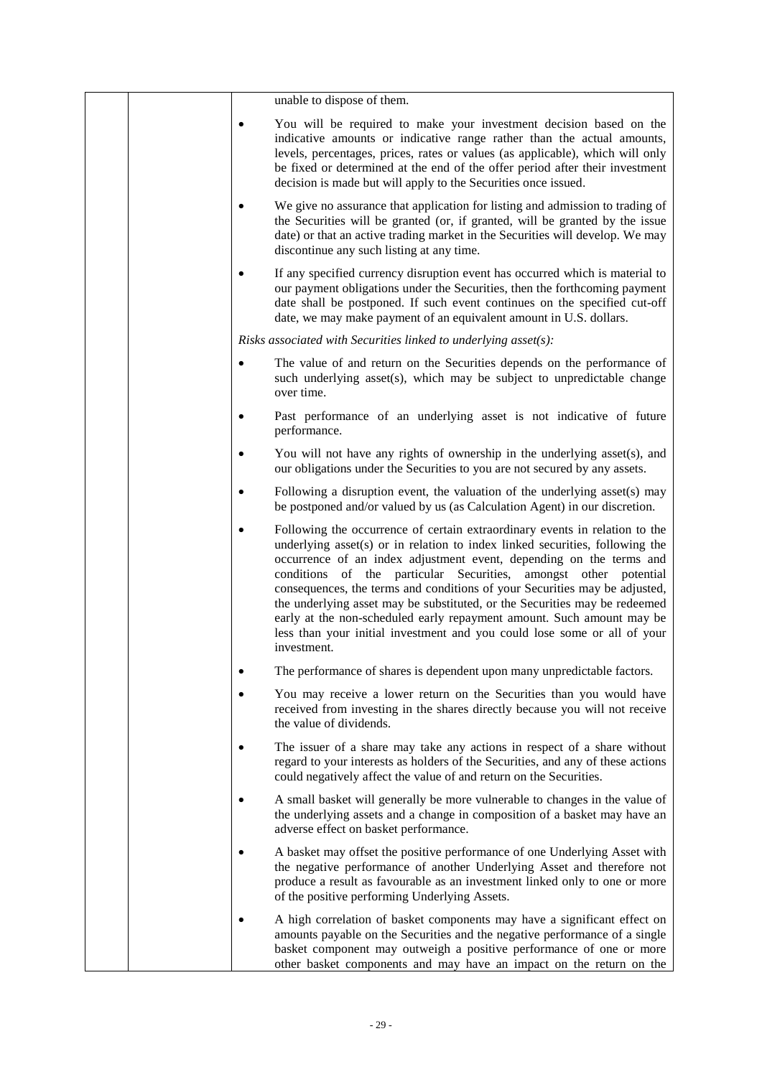| unable to dispose of them.                                                                                                                                                                                                                                                                                                                                                                                                                                                                                                                                                                                                             |
|----------------------------------------------------------------------------------------------------------------------------------------------------------------------------------------------------------------------------------------------------------------------------------------------------------------------------------------------------------------------------------------------------------------------------------------------------------------------------------------------------------------------------------------------------------------------------------------------------------------------------------------|
| You will be required to make your investment decision based on the<br>indicative amounts or indicative range rather than the actual amounts,<br>levels, percentages, prices, rates or values (as applicable), which will only<br>be fixed or determined at the end of the offer period after their investment<br>decision is made but will apply to the Securities once issued.                                                                                                                                                                                                                                                        |
| We give no assurance that application for listing and admission to trading of<br>the Securities will be granted (or, if granted, will be granted by the issue<br>date) or that an active trading market in the Securities will develop. We may<br>discontinue any such listing at any time.                                                                                                                                                                                                                                                                                                                                            |
| If any specified currency disruption event has occurred which is material to<br>our payment obligations under the Securities, then the forthcoming payment<br>date shall be postponed. If such event continues on the specified cut-off<br>date, we may make payment of an equivalent amount in U.S. dollars.                                                                                                                                                                                                                                                                                                                          |
| Risks associated with Securities linked to underlying asset(s):                                                                                                                                                                                                                                                                                                                                                                                                                                                                                                                                                                        |
| The value of and return on the Securities depends on the performance of<br>such underlying asset(s), which may be subject to unpredictable change<br>over time.                                                                                                                                                                                                                                                                                                                                                                                                                                                                        |
| Past performance of an underlying asset is not indicative of future<br>performance.                                                                                                                                                                                                                                                                                                                                                                                                                                                                                                                                                    |
| You will not have any rights of ownership in the underlying asset(s), and<br>our obligations under the Securities to you are not secured by any assets.                                                                                                                                                                                                                                                                                                                                                                                                                                                                                |
| Following a disruption event, the valuation of the underlying asset(s) may<br>be postponed and/or valued by us (as Calculation Agent) in our discretion.                                                                                                                                                                                                                                                                                                                                                                                                                                                                               |
| Following the occurrence of certain extraordinary events in relation to the<br>underlying asset(s) or in relation to index linked securities, following the<br>occurrence of an index adjustment event, depending on the terms and<br>conditions of the particular Securities, amongst other potential<br>consequences, the terms and conditions of your Securities may be adjusted,<br>the underlying asset may be substituted, or the Securities may be redeemed<br>early at the non-scheduled early repayment amount. Such amount may be<br>less than your initial investment and you could lose some or all of your<br>investment. |
| The performance of shares is dependent upon many unpredictable factors.                                                                                                                                                                                                                                                                                                                                                                                                                                                                                                                                                                |
| You may receive a lower return on the Securities than you would have<br>received from investing in the shares directly because you will not receive<br>the value of dividends.                                                                                                                                                                                                                                                                                                                                                                                                                                                         |
| The issuer of a share may take any actions in respect of a share without<br>regard to your interests as holders of the Securities, and any of these actions<br>could negatively affect the value of and return on the Securities.                                                                                                                                                                                                                                                                                                                                                                                                      |
| A small basket will generally be more vulnerable to changes in the value of<br>the underlying assets and a change in composition of a basket may have an<br>adverse effect on basket performance.                                                                                                                                                                                                                                                                                                                                                                                                                                      |
| A basket may offset the positive performance of one Underlying Asset with<br>the negative performance of another Underlying Asset and therefore not<br>produce a result as favourable as an investment linked only to one or more<br>of the positive performing Underlying Assets.                                                                                                                                                                                                                                                                                                                                                     |
| A high correlation of basket components may have a significant effect on<br>amounts payable on the Securities and the negative performance of a single<br>basket component may outweigh a positive performance of one or more<br>other basket components and may have an impact on the return on the                                                                                                                                                                                                                                                                                                                                   |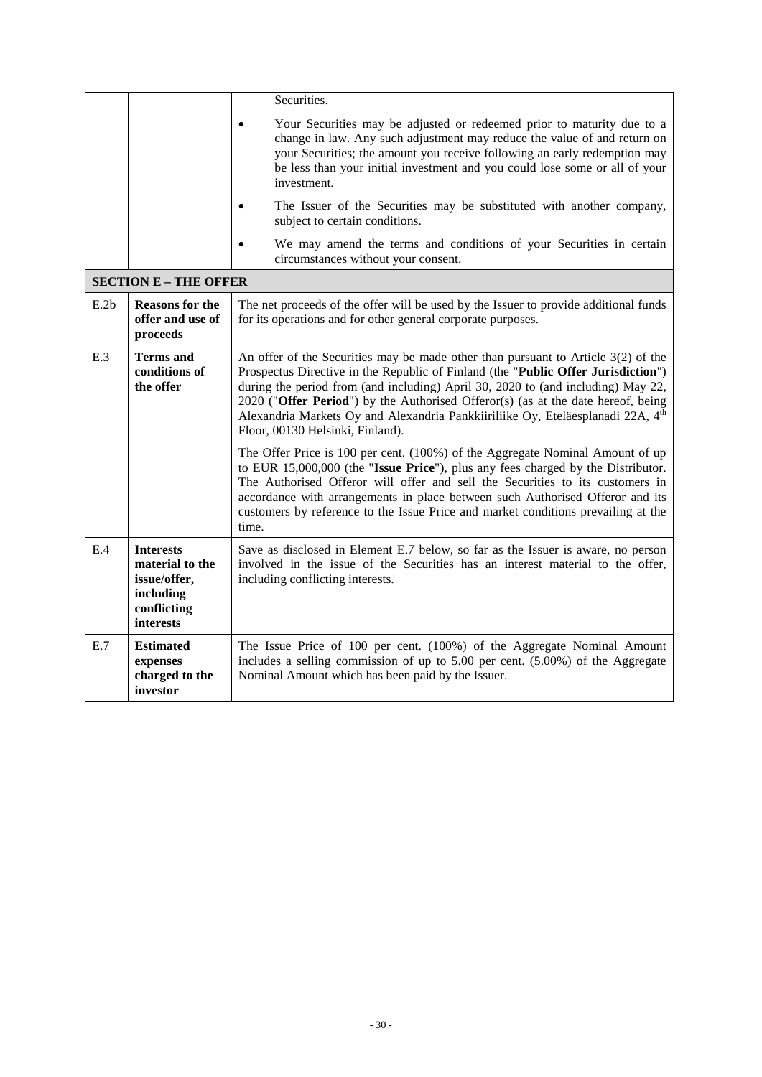|      |                                                                                              | Securities.<br>Your Securities may be adjusted or redeemed prior to maturity due to a<br>change in law. Any such adjustment may reduce the value of and return on<br>your Securities; the amount you receive following an early redemption may<br>be less than your initial investment and you could lose some or all of your<br>investment.                                                                                                                                        |
|------|----------------------------------------------------------------------------------------------|-------------------------------------------------------------------------------------------------------------------------------------------------------------------------------------------------------------------------------------------------------------------------------------------------------------------------------------------------------------------------------------------------------------------------------------------------------------------------------------|
|      |                                                                                              | The Issuer of the Securities may be substituted with another company,<br>subject to certain conditions.                                                                                                                                                                                                                                                                                                                                                                             |
|      |                                                                                              | We may amend the terms and conditions of your Securities in certain<br>circumstances without your consent.                                                                                                                                                                                                                                                                                                                                                                          |
|      | <b>SECTION E - THE OFFER</b>                                                                 |                                                                                                                                                                                                                                                                                                                                                                                                                                                                                     |
| E.2b | <b>Reasons for the</b><br>offer and use of<br>proceeds                                       | The net proceeds of the offer will be used by the Issuer to provide additional funds<br>for its operations and for other general corporate purposes.                                                                                                                                                                                                                                                                                                                                |
| E.3  | <b>Terms</b> and<br>conditions of<br>the offer                                               | An offer of the Securities may be made other than pursuant to Article $3(2)$ of the<br>Prospectus Directive in the Republic of Finland (the "Public Offer Jurisdiction")<br>during the period from (and including) April 30, 2020 to (and including) May 22,<br>2020 ("Offer Period") by the Authorised Offeror(s) (as at the date hereof, being<br>Alexandria Markets Oy and Alexandria Pankkiiriliike Oy, Eteläesplanadi 22A, 4 <sup>th</sup><br>Floor, 00130 Helsinki, Finland). |
|      |                                                                                              | The Offer Price is 100 per cent. (100%) of the Aggregate Nominal Amount of up<br>to EUR 15,000,000 (the "Issue Price"), plus any fees charged by the Distributor.<br>The Authorised Offeror will offer and sell the Securities to its customers in<br>accordance with arrangements in place between such Authorised Offeror and its<br>customers by reference to the Issue Price and market conditions prevailing at the<br>time.                                                   |
| E.4  | <b>Interests</b><br>material to the<br>issue/offer,<br>including<br>conflicting<br>interests | Save as disclosed in Element E.7 below, so far as the Issuer is aware, no person<br>involved in the issue of the Securities has an interest material to the offer,<br>including conflicting interests.                                                                                                                                                                                                                                                                              |
| E.7  | <b>Estimated</b><br>expenses<br>charged to the<br>investor                                   | The Issue Price of 100 per cent. (100%) of the Aggregate Nominal Amount<br>includes a selling commission of up to 5.00 per cent. (5.00%) of the Aggregate<br>Nominal Amount which has been paid by the Issuer.                                                                                                                                                                                                                                                                      |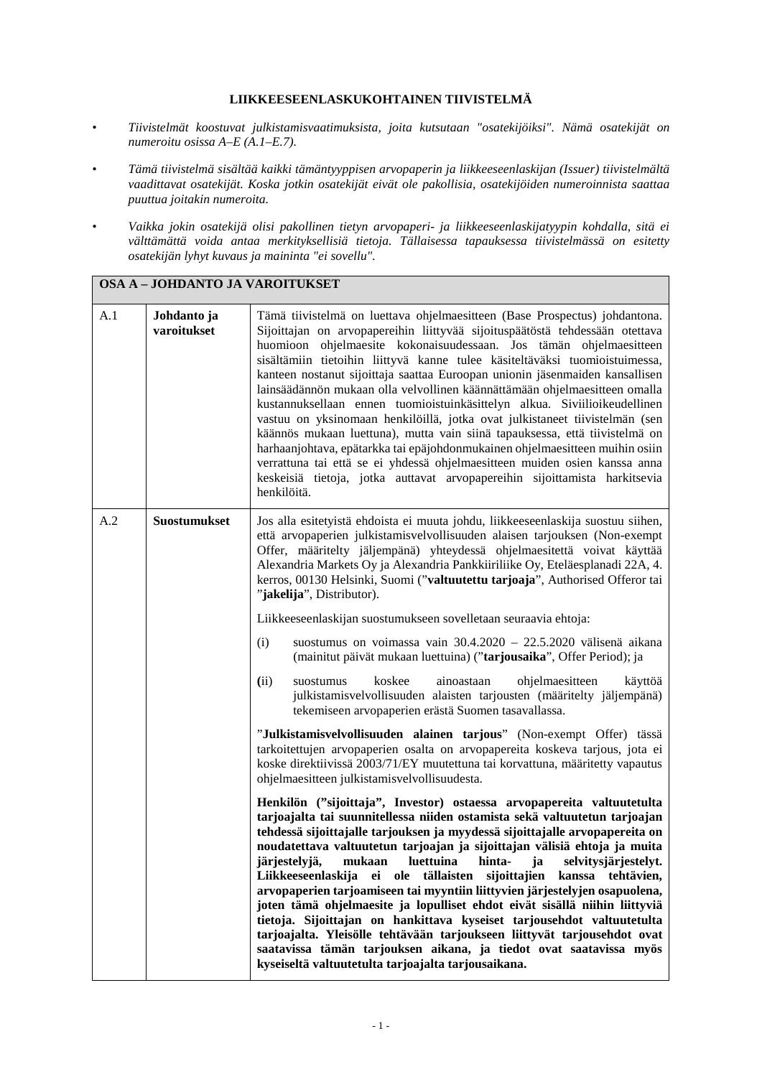### **LIIKKEESEENLASKUKOHTAINEN TIIVISTELMÄ**

- *Tiivistelmät koostuvat julkistamisvaatimuksista, joita kutsutaan "osatekijöiksi". Nämä osatekijät on numeroitu osissa A–E (A.1–E.7).*
- *Tämä tiivistelmä sisältää kaikki tämäntyyppisen arvopaperin ja liikkeeseenlaskijan (Issuer) tiivistelmältä vaadittavat osatekijät. Koska jotkin osatekijät eivät ole pakollisia, osatekijöiden numeroinnista saattaa puuttua joitakin numeroita.*
- *Vaikka jokin osatekijä olisi pakollinen tietyn arvopaperi- ja liikkeeseenlaskijatyypin kohdalla, sitä ei välttämättä voida antaa merkityksellisiä tietoja. Tällaisessa tapauksessa tiivistelmässä on esitetty osatekijän lyhyt kuvaus ja maininta "ei sovellu".*

|     | OSA A - JOHDANTO JA VAROITUKSET |                                                                                                                                                                                                                                                                                                                                                                                                                                                                                                                                                                                                                                                                                                                                                                                                                                                                                                                                                                                     |
|-----|---------------------------------|-------------------------------------------------------------------------------------------------------------------------------------------------------------------------------------------------------------------------------------------------------------------------------------------------------------------------------------------------------------------------------------------------------------------------------------------------------------------------------------------------------------------------------------------------------------------------------------------------------------------------------------------------------------------------------------------------------------------------------------------------------------------------------------------------------------------------------------------------------------------------------------------------------------------------------------------------------------------------------------|
| A.1 | Johdanto ja<br>varoitukset      | Tämä tiivistelmä on luettava ohjelmaesitteen (Base Prospectus) johdantona.<br>Sijoittajan on arvopapereihin liittyvää sijoituspäätöstä tehdessään otettava<br>huomioon ohjelmaesite kokonaisuudessaan. Jos tämän ohjelmaesitteen<br>sisältämiin tietoihin liittyvä kanne tulee käsiteltäväksi tuomioistuimessa,<br>kanteen nostanut sijoittaja saattaa Euroopan unionin jäsenmaiden kansallisen<br>lainsäädännön mukaan olla velvollinen käännättämään ohjelmaesitteen omalla<br>kustannuksellaan ennen tuomioistuinkäsittelyn alkua. Siviilioikeudellinen<br>vastuu on yksinomaan henkilöillä, jotka ovat julkistaneet tiivistelmän (sen<br>käännös mukaan luettuna), mutta vain siinä tapauksessa, että tiivistelmä on<br>harhaanjohtava, epätarkka tai epäjohdonmukainen ohjelmaesitteen muihin osiin<br>verrattuna tai että se ei yhdessä ohjelmaesitteen muiden osien kanssa anna<br>keskeisiä tietoja, jotka auttavat arvopapereihin sijoittamista harkitsevia<br>henkilöitä. |
| A.2 | Suostumukset                    | Jos alla esitetyistä ehdoista ei muuta johdu, liikkeeseenlaskija suostuu siihen,<br>että arvopaperien julkistamisvelvollisuuden alaisen tarjouksen (Non-exempt<br>Offer, määritelty jäljempänä) yhteydessä ohjelmaesitettä voivat käyttää<br>Alexandria Markets Oy ja Alexandria Pankkiiriliike Oy, Eteläesplanadi 22A, 4.<br>kerros, 00130 Helsinki, Suomi ("valtuutettu tarjoaja", Authorised Offeror tai<br>"jakelija", Distributor).<br>Liikkeeseenlaskijan suostumukseen sovelletaan seuraavia ehtoja:<br>suostumus on voimassa vain 30.4.2020 – 22.5.2020 välisenä aikana<br>(i)                                                                                                                                                                                                                                                                                                                                                                                              |
|     |                                 | (mainitut päivät mukaan luettuina) ("tarjousaika", Offer Period); ja<br>koskee<br>(ii)<br>ainoastaan<br>ohjelmaesitteen<br>käyttöä<br>suostumus<br>julkistamisvelvollisuuden alaisten tarjousten (määritelty jäljempänä)<br>tekemiseen arvopaperien erästä Suomen tasavallassa.                                                                                                                                                                                                                                                                                                                                                                                                                                                                                                                                                                                                                                                                                                     |
|     |                                 | "Julkistamisvelvollisuuden alainen tarjous" (Non-exempt Offer) tässä<br>tarkoitettujen arvopaperien osalta on arvopapereita koskeva tarjous, jota ei<br>koske direktiivissä 2003/71/EY muutettuna tai korvattuna, määritetty vapautus<br>ohjelmaesitteen julkistamisvelvollisuudesta.                                                                                                                                                                                                                                                                                                                                                                                                                                                                                                                                                                                                                                                                                               |
|     |                                 | Henkilön ("sijoittaja", Investor) ostaessa arvopapereita valtuutetulta<br>tarjoajalta tai suunnitellessa niiden ostamista sekä valtuutetun tarjoajan<br>tehdessä sijoittajalle tarjouksen ja myydessä sijoittajalle arvopapereita on<br>noudatettava valtuutetun tarjoajan ja sijoittajan välisiä ehtoja ja muita<br>mukaan<br>luettuina<br>hinta-<br>ja<br>selvitysjärjestelyt.<br>järjestelyjä,<br>tällaisten<br>sijoittajien<br>Liikkeeseenlaskija<br>ei<br>ole<br>kanssa tehtävien,<br>arvopaperien tarjoamiseen tai myyntiin liittyvien järjestelyjen osapuolena,<br>joten tämä ohjelmaesite ja lopulliset ehdot eivät sisällä niihin liittyviä<br>tietoja. Sijoittajan on hankittava kyseiset tarjousehdot valtuutetulta<br>tarjoajalta. Yleisölle tehtävään tarjoukseen liittyvät tarjousehdot ovat<br>saatavissa tämän tarjouksen aikana, ja tiedot ovat saatavissa myös<br>kyseiseltä valtuutetulta tarjoajalta tarjousaikana.                                             |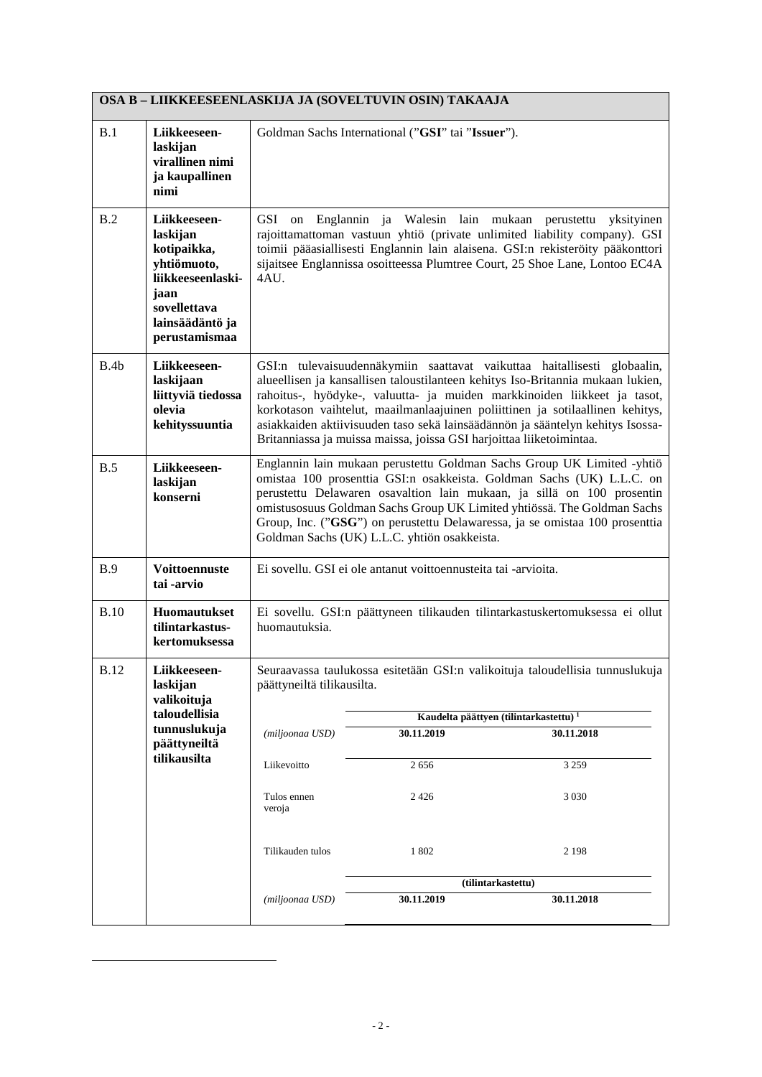|             |                                                                                                                                         |                            | OSA B - LIIKKEESEENLASKIJA JA (SOVELTUVIN OSIN) TAKAAJA              |                                                                                                                                                                                                                                                                                                                                                                                                            |
|-------------|-----------------------------------------------------------------------------------------------------------------------------------------|----------------------------|----------------------------------------------------------------------|------------------------------------------------------------------------------------------------------------------------------------------------------------------------------------------------------------------------------------------------------------------------------------------------------------------------------------------------------------------------------------------------------------|
| B.1         | Liikkeeseen-<br>laskijan<br>virallinen nimi<br>ja kaupallinen<br>nimi                                                                   |                            | Goldman Sachs International ("GSI" tai "Issuer").                    |                                                                                                                                                                                                                                                                                                                                                                                                            |
| B.2         | Liikkeeseen-<br>laskijan<br>kotipaikka,<br>yhtiömuoto,<br>liikkeeseenlaski-<br>jaan<br>sovellettava<br>lainsäädäntö ja<br>perustamismaa | GSI on<br>4AU.             | Englannin ja Walesin lain mukaan perustettu                          | yksityinen<br>rajoittamattoman vastuun yhtiö (private unlimited liability company). GSI<br>toimii pääasiallisesti Englannin lain alaisena. GSI:n rekisteröity pääkonttori<br>sijaitsee Englannissa osoitteessa Plumtree Court, 25 Shoe Lane, Lontoo EC4A                                                                                                                                                   |
| B.4b        | Liikkeeseen-<br>laskijaan<br>liittyviä tiedossa<br>olevia<br>kehityssuuntia                                                             |                            | Britanniassa ja muissa maissa, joissa GSI harjoittaa liiketoimintaa. | GSI:n tulevaisuudennäkymiin saattavat vaikuttaa haitallisesti globaalin,<br>alueellisen ja kansallisen taloustilanteen kehitys Iso-Britannia mukaan lukien,<br>rahoitus-, hyödyke-, valuutta- ja muiden markkinoiden liikkeet ja tasot,<br>korkotason vaihtelut, maailmanlaajuinen poliittinen ja sotilaallinen kehitys,<br>asiakkaiden aktiivisuuden taso sekä lainsäädännön ja sääntelyn kehitys Isossa- |
| B.5         | Liikkeeseen-<br>laskijan<br>konserni                                                                                                    |                            | Goldman Sachs (UK) L.L.C. yhtiön osakkeista.                         | Englannin lain mukaan perustettu Goldman Sachs Group UK Limited -yhtiö<br>omistaa 100 prosenttia GSI:n osakkeista. Goldman Sachs (UK) L.L.C. on<br>perustettu Delawaren osavaltion lain mukaan, ja sillä on 100 prosentin<br>omistusosuus Goldman Sachs Group UK Limited yhtiössä. The Goldman Sachs<br>Group, Inc. ("GSG") on perustettu Delawaressa, ja se omistaa 100 prosenttia                        |
| B.9         | Voittoennuste<br>tai -arvio                                                                                                             |                            | Ei sovellu. GSI ei ole antanut voittoennusteita tai -arvioita.       |                                                                                                                                                                                                                                                                                                                                                                                                            |
| <b>B.10</b> | <b>Huomautukset</b><br>tilintarkastus-<br>kertomuksessa                                                                                 | huomautuksia.              |                                                                      | Ei sovellu. GSI:n päättyneen tilikauden tilintarkastuskertomuksessa ei ollut                                                                                                                                                                                                                                                                                                                               |
| <b>B.12</b> | Liikkeeseen-<br>laskijan<br>valikoituja                                                                                                 | päättyneiltä tilikausilta. |                                                                      | Seuraavassa taulukossa esitetään GSI:n valikoituja taloudellisia tunnuslukuja                                                                                                                                                                                                                                                                                                                              |
|             | taloudellisia<br>tunnuslukuja                                                                                                           |                            |                                                                      | Kaudelta päättyen (tilintarkastettu) <sup>1</sup>                                                                                                                                                                                                                                                                                                                                                          |
|             | päättyneiltä                                                                                                                            | (miljoonaa USD)            | 30.11.2019                                                           | 30.11.2018                                                                                                                                                                                                                                                                                                                                                                                                 |
|             | tilikausilta                                                                                                                            | Liikevoitto                | 2656                                                                 | 3 2 5 9                                                                                                                                                                                                                                                                                                                                                                                                    |
|             |                                                                                                                                         | Tulos ennen<br>veroja      | 2426                                                                 | 3 0 3 0                                                                                                                                                                                                                                                                                                                                                                                                    |
|             |                                                                                                                                         | Tilikauden tulos           | 1802                                                                 | 2 1 9 8                                                                                                                                                                                                                                                                                                                                                                                                    |
|             |                                                                                                                                         |                            |                                                                      | (tilintarkastettu)                                                                                                                                                                                                                                                                                                                                                                                         |
|             |                                                                                                                                         | (miljoonaa USD)            | 30.11.2019                                                           | 30.11.2018                                                                                                                                                                                                                                                                                                                                                                                                 |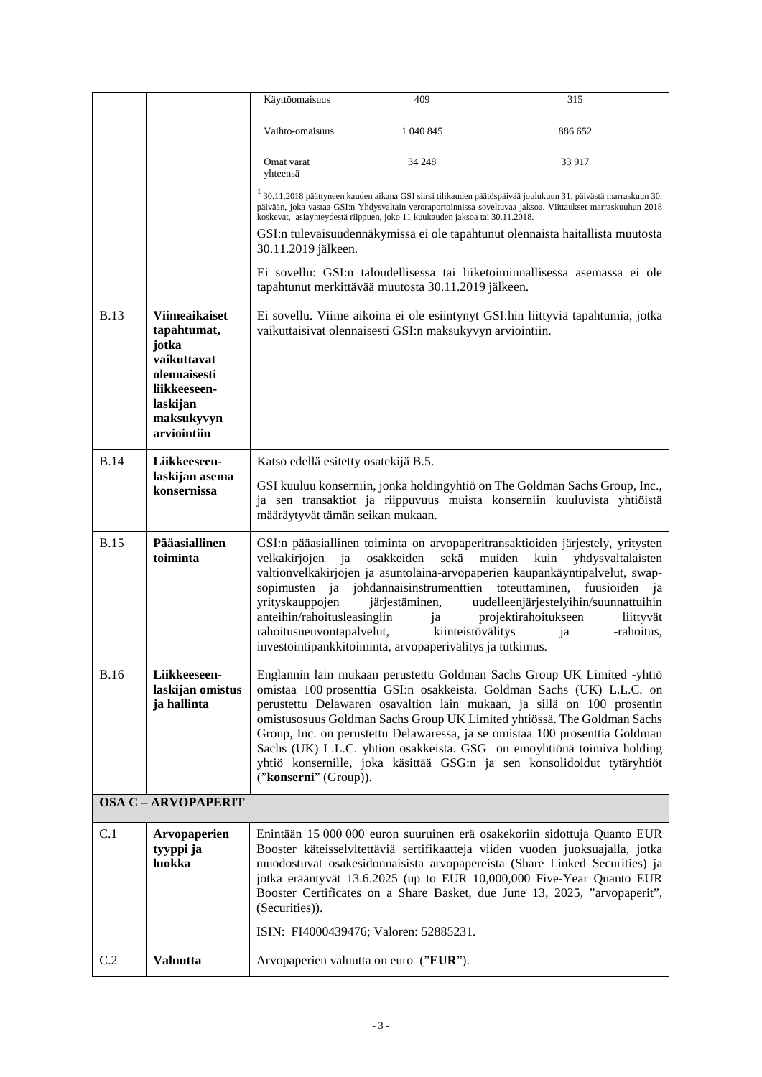|             |                                                                                      | Käyttöomaisuus                                                                                  | 409                                                                                                                          | 315                                                                                                                                                                                                                                                                                                                                                                                                                                                                                                                                      |
|-------------|--------------------------------------------------------------------------------------|-------------------------------------------------------------------------------------------------|------------------------------------------------------------------------------------------------------------------------------|------------------------------------------------------------------------------------------------------------------------------------------------------------------------------------------------------------------------------------------------------------------------------------------------------------------------------------------------------------------------------------------------------------------------------------------------------------------------------------------------------------------------------------------|
|             |                                                                                      | Vaihto-omaisuus                                                                                 | 1 040 845                                                                                                                    | 886 652                                                                                                                                                                                                                                                                                                                                                                                                                                                                                                                                  |
|             |                                                                                      | Omat varat<br>yhteensä                                                                          | 34 248                                                                                                                       | 33 917                                                                                                                                                                                                                                                                                                                                                                                                                                                                                                                                   |
|             |                                                                                      |                                                                                                 | koskevat, asiayhteydestä riippuen, joko 11 kuukauden jaksoa tai 30.11.2018.                                                  | $1$ 30.11.2018 päättyneen kauden aikana GSI siirsi tilikauden päätöspäivää joulukuun 31. päivästä marraskuun 30.<br>päivään, joka vastaa GSI:n Yhdysvaltain veroraportoinnissa soveltuvaa jaksoa. Viittaukset marraskuuhun 2018                                                                                                                                                                                                                                                                                                          |
|             |                                                                                      | 30.11.2019 jälkeen.                                                                             |                                                                                                                              | GSI:n tulevaisuudennäkymissä ei ole tapahtunut olennaista haitallista muutosta                                                                                                                                                                                                                                                                                                                                                                                                                                                           |
|             |                                                                                      |                                                                                                 | tapahtunut merkittävää muutosta 30.11.2019 jälkeen.                                                                          | Ei sovellu: GSI:n taloudellisessa tai liiketoiminnallisessa asemassa ei ole                                                                                                                                                                                                                                                                                                                                                                                                                                                              |
| <b>B.13</b> | <b>Viimeaikaiset</b><br>tapahtumat,<br>jotka                                         |                                                                                                 | vaikuttaisivat olennaisesti GSI:n maksukyvyn arviointiin.                                                                    | Ei sovellu. Viime aikoina ei ole esiintynyt GSI:hin liittyviä tapahtumia, jotka                                                                                                                                                                                                                                                                                                                                                                                                                                                          |
|             | vaikuttavat<br>olennaisesti<br>liikkeeseen-<br>laskijan<br>maksukyvyn<br>arviointiin |                                                                                                 |                                                                                                                              |                                                                                                                                                                                                                                                                                                                                                                                                                                                                                                                                          |
| <b>B.14</b> | Liikkeeseen-                                                                         | Katso edellä esitetty osatekijä B.5.                                                            |                                                                                                                              |                                                                                                                                                                                                                                                                                                                                                                                                                                                                                                                                          |
|             | laskijan asema<br>konsernissa                                                        | määräytyvät tämän seikan mukaan.                                                                |                                                                                                                              | GSI kuuluu konserniin, jonka holdingyhtiö on The Goldman Sachs Group, Inc.,<br>ja sen transaktiot ja riippuvuus muista konserniin kuuluvista yhtiöistä                                                                                                                                                                                                                                                                                                                                                                                   |
| <b>B.15</b> | Pääasiallinen<br>toiminta                                                            | velkakirjojen ja<br>yrityskauppojen<br>anteihin/rahoitusleasingiin<br>rahoitusneuvontapalvelut, | sekä<br>osakkeiden<br>järjestäminen,<br>ja<br>kiinteistövälitys<br>investointipankkitoiminta, arvopaperivälitys ja tutkimus. | GSI:n pääasiallinen toiminta on arvopaperitransaktioiden järjestely, yritysten<br>muiden<br>kuin<br>yhdysvaltalaisten<br>valtionvelkakirjojen ja asuntolaina-arvopaperien kaupankäyntipalvelut, swap-<br>sopimusten ja johdannaisinstrumenttien toteuttaminen, fuusioiden ja<br>uudelleenjärjestelyihin/suunnattuihin<br>projektirahoitukseen<br>liittyvät<br>-rahoitus,<br>ja                                                                                                                                                           |
| <b>B.16</b> | Liikkeeseen-<br>laskijan omistus<br>ja hallinta                                      | ("konserni" (Group)).                                                                           |                                                                                                                              | Englannin lain mukaan perustettu Goldman Sachs Group UK Limited -yhtiö<br>omistaa 100 prosenttia GSI:n osakkeista. Goldman Sachs (UK) L.L.C. on<br>perustettu Delawaren osavaltion lain mukaan, ja sillä on 100 prosentin<br>omistusosuus Goldman Sachs Group UK Limited yhtiössä. The Goldman Sachs<br>Group, Inc. on perustettu Delawaressa, ja se omistaa 100 prosenttia Goldman<br>Sachs (UK) L.L.C. yhtiön osakkeista. GSG on emoyhtiönä toimiva holding<br>yhtiö konsernille, joka käsittää GSG:n ja sen konsolidoidut tytäryhtiöt |
|             | <b>OSA C - ARVOPAPERIT</b>                                                           |                                                                                                 |                                                                                                                              |                                                                                                                                                                                                                                                                                                                                                                                                                                                                                                                                          |
| C.1         | Arvopaperien<br>tyyppi ja<br>luokka                                                  | (Securities)).                                                                                  |                                                                                                                              | Enintään 15 000 000 euron suuruinen erä osakekoriin sidottuja Quanto EUR<br>Booster käteisselvitettäviä sertifikaatteja viiden vuoden juoksuajalla, jotka<br>muodostuvat osakesidonnaisista arvopapereista (Share Linked Securities) ja<br>jotka erääntyvät 13.6.2025 (up to EUR 10,000,000 Five-Year Quanto EUR<br>Booster Certificates on a Share Basket, due June 13, 2025, "arvopaperit",                                                                                                                                            |
|             |                                                                                      |                                                                                                 | ISIN: FI4000439476; Valoren: 52885231.                                                                                       |                                                                                                                                                                                                                                                                                                                                                                                                                                                                                                                                          |
| C.2         | <b>Valuutta</b>                                                                      | Arvopaperien valuutta on euro ("EUR").                                                          |                                                                                                                              |                                                                                                                                                                                                                                                                                                                                                                                                                                                                                                                                          |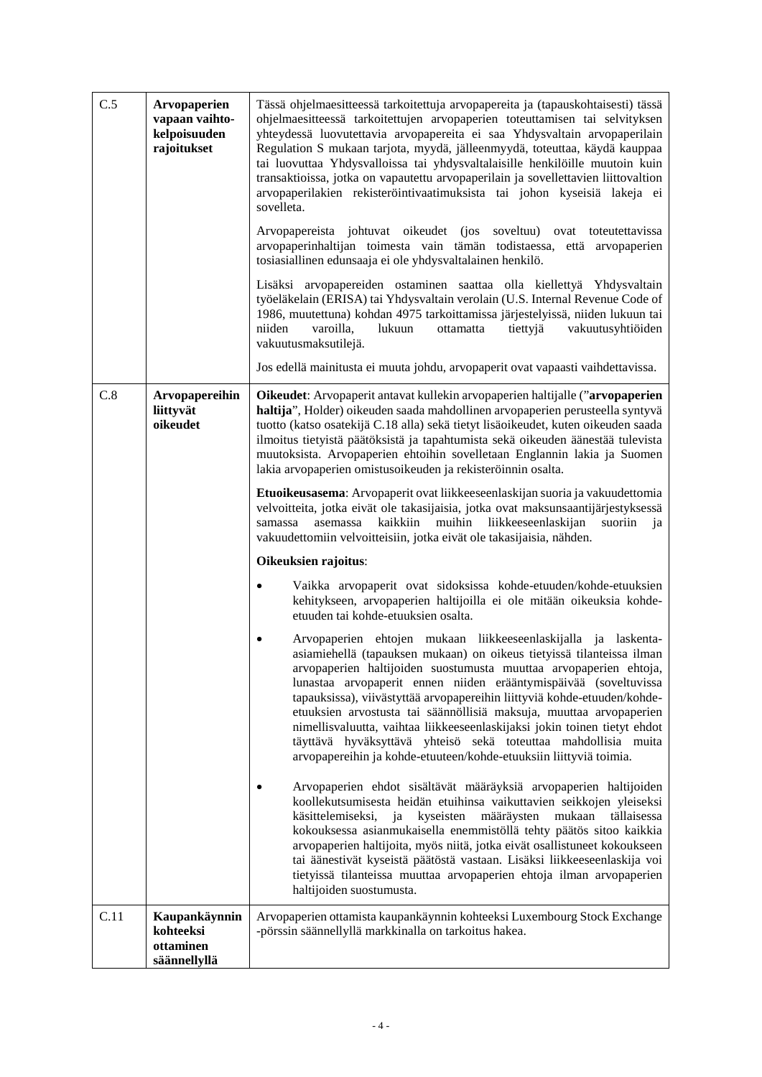| C.5  | Arvopaperien<br>vapaan vaihto-<br>kelpoisuuden<br>rajoitukset | Tässä ohjelmaesitteessä tarkoitettuja arvopapereita ja (tapauskohtaisesti) tässä<br>ohjelmaesitteessä tarkoitettujen arvopaperien toteuttamisen tai selvityksen<br>yhteydessä luovutettavia arvopapereita ei saa Yhdysvaltain arvopaperilain<br>Regulation S mukaan tarjota, myydä, jälleenmyydä, toteuttaa, käydä kauppaa<br>tai luovuttaa Yhdysvalloissa tai yhdysvaltalaisille henkilöille muutoin kuin<br>transaktioissa, jotka on vapautettu arvopaperilain ja sovellettavien liittovaltion<br>arvopaperilakien rekisteröintivaatimuksista tai johon kyseisiä lakeja ei<br>sovelleta.<br>Arvopapereista johtuvat oikeudet (jos soveltuu) ovat toteutettavissa<br>arvopaperinhaltijan toimesta vain tämän todistaessa, että arvopaperien<br>tosiasiallinen edunsaaja ei ole yhdysvaltalainen henkilö.<br>Lisäksi arvopapereiden ostaminen saattaa olla kiellettyä Yhdysvaltain<br>työeläkelain (ERISA) tai Yhdysvaltain verolain (U.S. Internal Revenue Code of<br>1986, muutettuna) kohdan 4975 tarkoittamissa järjestelyissä, niiden lukuun tai<br>varoilla,<br>niiden<br>lukuun<br>ottamatta<br>tiettyjä<br>vakuutusyhtiöiden<br>vakuutusmaksutilejä. |
|------|---------------------------------------------------------------|--------------------------------------------------------------------------------------------------------------------------------------------------------------------------------------------------------------------------------------------------------------------------------------------------------------------------------------------------------------------------------------------------------------------------------------------------------------------------------------------------------------------------------------------------------------------------------------------------------------------------------------------------------------------------------------------------------------------------------------------------------------------------------------------------------------------------------------------------------------------------------------------------------------------------------------------------------------------------------------------------------------------------------------------------------------------------------------------------------------------------------------------------------------|
|      |                                                               | Jos edellä mainitusta ei muuta johdu, arvopaperit ovat vapaasti vaihdettavissa.                                                                                                                                                                                                                                                                                                                                                                                                                                                                                                                                                                                                                                                                                                                                                                                                                                                                                                                                                                                                                                                                              |
| C.8  | Arvopapereihin<br>liittyvät<br>oikeudet                       | Oikeudet: Arvopaperit antavat kullekin arvopaperien haltijalle ("arvopaperien<br>haltija", Holder) oikeuden saada mahdollinen arvopaperien perusteella syntyvä<br>tuotto (katso osatekijä C.18 alla) sekä tietyt lisäoikeudet, kuten oikeuden saada<br>ilmoitus tietyistä päätöksistä ja tapahtumista sekä oikeuden äänestää tulevista<br>muutoksista. Arvopaperien ehtoihin sovelletaan Englannin lakia ja Suomen<br>lakia arvopaperien omistusoikeuden ja rekisteröinnin osalta.<br>Etuoikeusasema: Arvopaperit ovat liikkeeseenlaskijan suoria ja vakuudettomia<br>velvoitteita, jotka eivät ole takasijaisia, jotka ovat maksunsaantijärjestyksessä<br>kaikkiin<br>muihin<br>liikkeeseenlaskijan<br>samassa<br>asemassa<br>suoriin<br>ja<br>vakuudettomiin velvoitteisiin, jotka eivät ole takasijaisia, nähden.                                                                                                                                                                                                                                                                                                                                         |
|      |                                                               | Oikeuksien rajoitus:                                                                                                                                                                                                                                                                                                                                                                                                                                                                                                                                                                                                                                                                                                                                                                                                                                                                                                                                                                                                                                                                                                                                         |
|      |                                                               | Vaikka arvopaperit ovat sidoksissa kohde-etuuden/kohde-etuuksien<br>kehitykseen, arvopaperien haltijoilla ei ole mitään oikeuksia kohde-<br>etuuden tai kohde-etuuksien osalta.                                                                                                                                                                                                                                                                                                                                                                                                                                                                                                                                                                                                                                                                                                                                                                                                                                                                                                                                                                              |
|      |                                                               | Arvopaperien ehtojen mukaan liikkeeseenlaskijalla ja laskenta-<br>asiamiehellä (tapauksen mukaan) on oikeus tietyissä tilanteissa ilman<br>arvopaperien haltijoiden suostumusta muuttaa arvopaperien ehtoja,<br>lunastaa arvopaperit ennen niiden erääntymispäivää (soveltuvissa<br>tapauksissa), viivästyttää arvopapereihin liittyviä kohde-etuuden/kohde-<br>etuuksien arvostusta tai säännöllisiä maksuja, muuttaa arvopaperien<br>nimellisvaluutta, vaihtaa liikkeeseenlaskijaksi jokin toinen tietyt ehdot<br>täyttävä hyväksyttävä yhteisö sekä toteuttaa mahdollisia muita<br>arvopapereihin ja kohde-etuuteen/kohde-etuuksiin liittyviä toimia.                                                                                                                                                                                                                                                                                                                                                                                                                                                                                                     |
|      |                                                               | Arvopaperien ehdot sisältävät määräyksiä arvopaperien haltijoiden<br>koollekutsumisesta heidän etuihinsa vaikuttavien seikkojen yleiseksi<br>käsittelemiseksi, ja kyseisten määräysten<br>mukaan<br>tällaisessa<br>kokouksessa asianmukaisella enemmistöllä tehty päätös sitoo kaikkia<br>arvopaperien haltijoita, myös niitä, jotka eivät osallistuneet kokoukseen<br>tai äänestivät kyseistä päätöstä vastaan. Lisäksi liikkeeseenlaskija voi<br>tietyissä tilanteissa muuttaa arvopaperien ehtoja ilman arvopaperien<br>haltijoiden suostumusta.                                                                                                                                                                                                                                                                                                                                                                                                                                                                                                                                                                                                          |
| C.11 | Kaupankäynnin<br>kohteeksi<br>ottaminen<br>säännellyllä       | Arvopaperien ottamista kaupankäynnin kohteeksi Luxembourg Stock Exchange<br>-pörssin säännellyllä markkinalla on tarkoitus hakea.                                                                                                                                                                                                                                                                                                                                                                                                                                                                                                                                                                                                                                                                                                                                                                                                                                                                                                                                                                                                                            |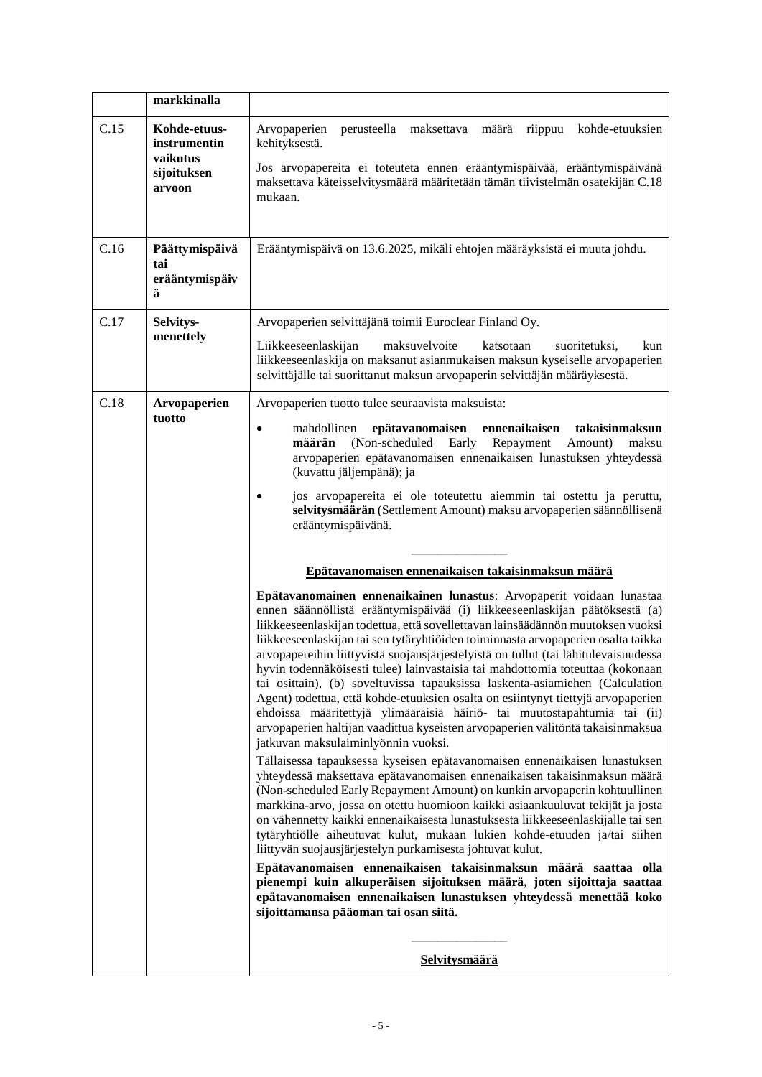|      | markkinalla                                                       |                                                                                                                                                                                                                                                                                                                                                                                                                                                                                                                                                                                                                                                                                                                                                                                                                                                                                                                                                                                                                                                                                                                                                                                                                                                                                                                                                                                                                                                                                                                                                                                                                                                                                                                                                                                                                                                                                                                                                                                                                                                                                                                                                                                                                                                                     |
|------|-------------------------------------------------------------------|---------------------------------------------------------------------------------------------------------------------------------------------------------------------------------------------------------------------------------------------------------------------------------------------------------------------------------------------------------------------------------------------------------------------------------------------------------------------------------------------------------------------------------------------------------------------------------------------------------------------------------------------------------------------------------------------------------------------------------------------------------------------------------------------------------------------------------------------------------------------------------------------------------------------------------------------------------------------------------------------------------------------------------------------------------------------------------------------------------------------------------------------------------------------------------------------------------------------------------------------------------------------------------------------------------------------------------------------------------------------------------------------------------------------------------------------------------------------------------------------------------------------------------------------------------------------------------------------------------------------------------------------------------------------------------------------------------------------------------------------------------------------------------------------------------------------------------------------------------------------------------------------------------------------------------------------------------------------------------------------------------------------------------------------------------------------------------------------------------------------------------------------------------------------------------------------------------------------------------------------------------------------|
| C.15 | Kohde-etuus-<br>instrumentin<br>vaikutus<br>sijoituksen<br>arvoon | Arvopaperien<br>riippuu kohde-etuuksien<br>perusteella<br>maksettava<br>määrä<br>kehityksestä.<br>Jos arvopapereita ei toteuteta ennen erääntymispäivää, erääntymispäivänä<br>maksettava käteisselvitysmäärä määritetään tämän tiivistelmän osatekijän C.18<br>mukaan.                                                                                                                                                                                                                                                                                                                                                                                                                                                                                                                                                                                                                                                                                                                                                                                                                                                                                                                                                                                                                                                                                                                                                                                                                                                                                                                                                                                                                                                                                                                                                                                                                                                                                                                                                                                                                                                                                                                                                                                              |
| C.16 | Päättymispäivä<br>tai<br>erääntymispäiv<br>ä                      | Erääntymispäivä on 13.6.2025, mikäli ehtojen määräyksistä ei muuta johdu.                                                                                                                                                                                                                                                                                                                                                                                                                                                                                                                                                                                                                                                                                                                                                                                                                                                                                                                                                                                                                                                                                                                                                                                                                                                                                                                                                                                                                                                                                                                                                                                                                                                                                                                                                                                                                                                                                                                                                                                                                                                                                                                                                                                           |
| C.17 | Selvitys-<br>menettely                                            | Arvopaperien selvittäjänä toimii Euroclear Finland Oy.<br>Liikkeeseenlaskijan<br>maksuvelvoite<br>katsotaan<br>suoritetuksi,<br>kun<br>liikkeeseenlaskija on maksanut asianmukaisen maksun kyseiselle arvopaperien<br>selvittäjälle tai suorittanut maksun arvopaperin selvittäjän määräyksestä.                                                                                                                                                                                                                                                                                                                                                                                                                                                                                                                                                                                                                                                                                                                                                                                                                                                                                                                                                                                                                                                                                                                                                                                                                                                                                                                                                                                                                                                                                                                                                                                                                                                                                                                                                                                                                                                                                                                                                                    |
| C.18 | Arvopaperien<br>tuotto                                            | Arvopaperien tuotto tulee seuraavista maksuista:<br>mahdollinen<br>epätavanomaisen<br>ennenaikaisen<br>takaisinmaksun<br>$\bullet$<br>määrän<br>(Non-scheduled<br>Early<br>Repayment Amount)<br>maksu<br>arvopaperien epätavanomaisen ennenaikaisen lunastuksen yhteydessä<br>(kuvattu jäljempänä); ja<br>jos arvopapereita ei ole toteutettu aiemmin tai ostettu ja peruttu,<br>$\bullet$<br>selvitysmäärän (Settlement Amount) maksu arvopaperien säännöllisenä<br>erääntymispäivänä.<br>Epätavanomaisen ennenaikaisen takaisinmaksun määrä<br>Epätavanomainen ennenaikainen lunastus: Arvopaperit voidaan lunastaa<br>ennen säännöllistä erääntymispäivää (i) liikkeeseenlaskijan päätöksestä (a)<br>liikkeeseenlaskijan todettua, että sovellettavan lainsäädännön muutoksen vuoksi<br>liikkeeseenlaskijan tai sen tytäryhtiöiden toiminnasta arvopaperien osalta taikka<br>arvopapereihin liittyvistä suojausjärjestelyistä on tullut (tai lähitulevaisuudessa<br>hyvin todennäköisesti tulee) lainvastaisia tai mahdottomia toteuttaa (kokonaan<br>tai osittain), (b) soveltuvissa tapauksissa laskenta-asiamiehen (Calculation<br>Agent) todettua, että kohde-etuuksien osalta on esiintynyt tiettyjä arvopaperien<br>ehdoissa määritettyjä ylimääräisiä häiriö- tai muutostapahtumia tai (ii)<br>arvopaperien haltijan vaadittua kyseisten arvopaperien välitöntä takaisinmaksua<br>jatkuvan maksulaiminlyönnin vuoksi.<br>Tällaisessa tapauksessa kyseisen epätavanomaisen ennenaikaisen lunastuksen<br>yhteydessä maksettava epätavanomaisen ennenaikaisen takaisinmaksun määrä<br>(Non-scheduled Early Repayment Amount) on kunkin arvopaperin kohtuullinen<br>markkina-arvo, jossa on otettu huomioon kaikki asiaankuuluvat tekijät ja josta<br>on vähennetty kaikki ennenaikaisesta lunastuksesta liikkeeseenlaskijalle tai sen<br>tytäryhtiölle aiheutuvat kulut, mukaan lukien kohde-etuuden ja/tai siihen<br>liittyvän suojausjärjestelyn purkamisesta johtuvat kulut.<br>Epätavanomaisen ennenaikaisen takaisinmaksun määrä saattaa olla<br>pienempi kuin alkuperäisen sijoituksen määrä, joten sijoittaja saattaa<br>epätavanomaisen ennenaikaisen lunastuksen yhteydessä menettää koko<br>sijoittamansa pääoman tai osan siitä.<br>Selvitysmäärä |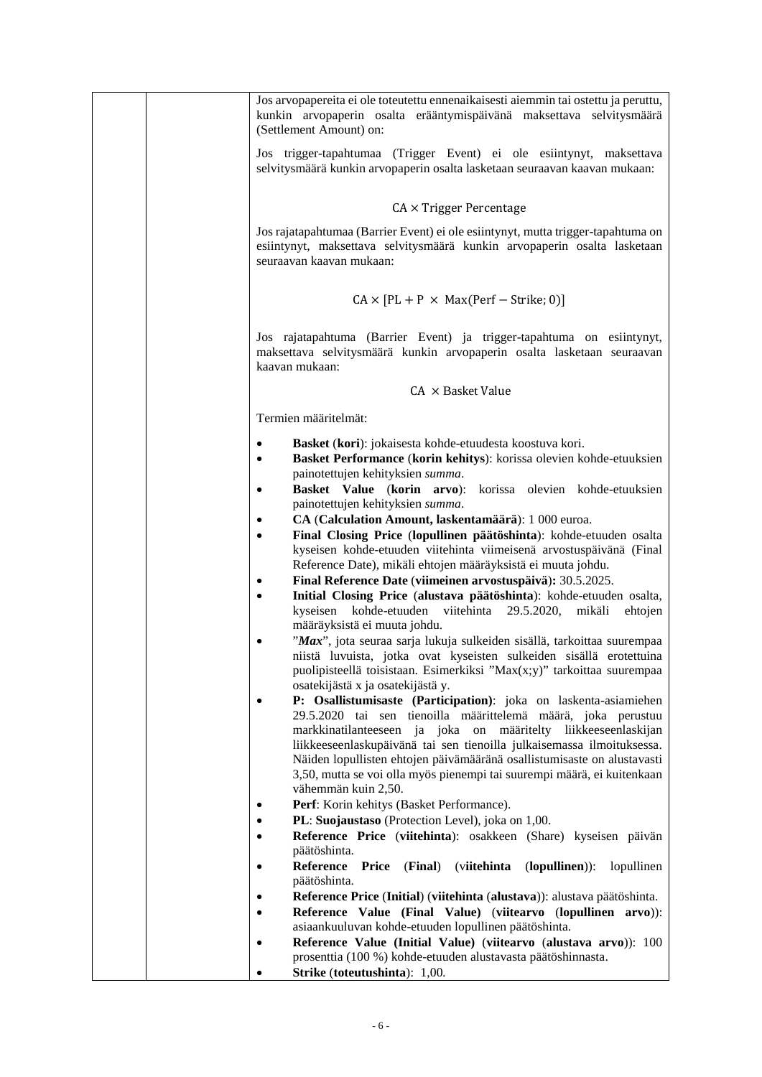| Jos arvopapereita ei ole toteutettu ennenaikaisesti aiemmin tai ostettu ja peruttu,<br>kunkin arvopaperin osalta erääntymispäivänä maksettava selvitysmäärä<br>(Settlement Amount) on:                                                                                                                                                                                                                                                                                                                                                                                                                                                                                                                                                                                                                                                                                                                                                                                                                                                                                                                                                                                                                                                                                                                                                                                                                                                                                                                                                                                                        |
|-----------------------------------------------------------------------------------------------------------------------------------------------------------------------------------------------------------------------------------------------------------------------------------------------------------------------------------------------------------------------------------------------------------------------------------------------------------------------------------------------------------------------------------------------------------------------------------------------------------------------------------------------------------------------------------------------------------------------------------------------------------------------------------------------------------------------------------------------------------------------------------------------------------------------------------------------------------------------------------------------------------------------------------------------------------------------------------------------------------------------------------------------------------------------------------------------------------------------------------------------------------------------------------------------------------------------------------------------------------------------------------------------------------------------------------------------------------------------------------------------------------------------------------------------------------------------------------------------|
| Jos trigger-tapahtumaa (Trigger Event) ei ole esiintynyt, maksettava<br>selvitysmäärä kunkin arvopaperin osalta lasketaan seuraavan kaavan mukaan:                                                                                                                                                                                                                                                                                                                                                                                                                                                                                                                                                                                                                                                                                                                                                                                                                                                                                                                                                                                                                                                                                                                                                                                                                                                                                                                                                                                                                                            |
| $CA \times Trigger Percentage$                                                                                                                                                                                                                                                                                                                                                                                                                                                                                                                                                                                                                                                                                                                                                                                                                                                                                                                                                                                                                                                                                                                                                                                                                                                                                                                                                                                                                                                                                                                                                                |
| Jos rajatapahtumaa (Barrier Event) ei ole esiintynyt, mutta trigger-tapahtuma on<br>esiintynyt, maksettava selvitysmäärä kunkin arvopaperin osalta lasketaan<br>seuraavan kaavan mukaan:                                                                                                                                                                                                                                                                                                                                                                                                                                                                                                                                                                                                                                                                                                                                                                                                                                                                                                                                                                                                                                                                                                                                                                                                                                                                                                                                                                                                      |
| $CA \times [PL + P \times Max(Perf - Strike; 0)]$                                                                                                                                                                                                                                                                                                                                                                                                                                                                                                                                                                                                                                                                                                                                                                                                                                                                                                                                                                                                                                                                                                                                                                                                                                                                                                                                                                                                                                                                                                                                             |
| Jos rajatapahtuma (Barrier Event) ja trigger-tapahtuma on esiintynyt,<br>maksettava selvitysmäärä kunkin arvopaperin osalta lasketaan seuraavan<br>kaavan mukaan:                                                                                                                                                                                                                                                                                                                                                                                                                                                                                                                                                                                                                                                                                                                                                                                                                                                                                                                                                                                                                                                                                                                                                                                                                                                                                                                                                                                                                             |
| $CA \times$ Basket Value                                                                                                                                                                                                                                                                                                                                                                                                                                                                                                                                                                                                                                                                                                                                                                                                                                                                                                                                                                                                                                                                                                                                                                                                                                                                                                                                                                                                                                                                                                                                                                      |
| Termien määritelmät:                                                                                                                                                                                                                                                                                                                                                                                                                                                                                                                                                                                                                                                                                                                                                                                                                                                                                                                                                                                                                                                                                                                                                                                                                                                                                                                                                                                                                                                                                                                                                                          |
| Basket (kori): jokaisesta kohde-etuudesta koostuva kori.<br>$\bullet$<br>Basket Performance (korin kehitys): korissa olevien kohde-etuuksien<br>$\bullet$<br>painotettujen kehityksien summa.<br>Basket Value (korin arvo): korissa olevien kohde-etuuksien<br>$\bullet$<br>painotettujen kehityksien summa.<br>CA (Calculation Amount, laskentamäärä): 1 000 euroa.<br>٠<br>Final Closing Price (lopullinen päätöshinta): kohde-etuuden osalta<br>$\bullet$<br>kyseisen kohde-etuuden viitehinta viimeisenä arvostuspäivänä (Final<br>Reference Date), mikäli ehtojen määräyksistä ei muuta johdu.<br>Final Reference Date (viimeinen arvostuspäivä): 30.5.2025.<br>$\bullet$<br>Initial Closing Price (alustava päätöshinta): kohde-etuuden osalta,<br>$\bullet$<br>kyseisen<br>kohde-etuuden<br>viitehinta<br>29.5.2020,<br>mikäli<br>ehtojen<br>määräyksistä ei muuta johdu.<br>"Max", jota seuraa sarja lukuja sulkeiden sisällä, tarkoittaa suurempaa<br>niistä luvuista, jotka ovat kyseisten sulkeiden sisällä erotettuina<br>puolipisteellä toisistaan. Esimerkiksi "Max(x;y)" tarkoittaa suurempaa<br>osatekijästä x ja osatekijästä y.<br>P: Osallistumisaste (Participation): joka on laskenta-asiamiehen<br>٠<br>29.5.2020 tai sen tienoilla määrittelemä määrä, joka perustuu<br>markkinatilanteeseen ja joka on määritelty liikkeeseenlaskijan<br>liikkeeseenlaskupäivänä tai sen tienoilla julkaisemassa ilmoituksessa.<br>Näiden lopullisten ehtojen päivämääränä osallistumisaste on alustavasti<br>3,50, mutta se voi olla myös pienempi tai suurempi määrä, ei kuitenkaan |
| vähemmän kuin 2,50.<br>Perf: Korin kehitys (Basket Performance).<br>٠<br>PL: Suojaustaso (Protection Level), joka on 1,00.                                                                                                                                                                                                                                                                                                                                                                                                                                                                                                                                                                                                                                                                                                                                                                                                                                                                                                                                                                                                                                                                                                                                                                                                                                                                                                                                                                                                                                                                    |
| $\bullet$<br>Reference Price (viitehinta): osakkeen (Share) kyseisen päivän<br>$\bullet$<br>päätöshinta.                                                                                                                                                                                                                                                                                                                                                                                                                                                                                                                                                                                                                                                                                                                                                                                                                                                                                                                                                                                                                                                                                                                                                                                                                                                                                                                                                                                                                                                                                      |
| Reference<br>(viitehinta<br><b>Price</b><br>(Final)<br>$\qquad$ (lopullinen)):<br>lopullinen<br>$\bullet$<br>päätöshinta.                                                                                                                                                                                                                                                                                                                                                                                                                                                                                                                                                                                                                                                                                                                                                                                                                                                                                                                                                                                                                                                                                                                                                                                                                                                                                                                                                                                                                                                                     |
| Reference Price (Initial) (viitehinta (alustava)): alustava päätöshinta.<br>$\bullet$                                                                                                                                                                                                                                                                                                                                                                                                                                                                                                                                                                                                                                                                                                                                                                                                                                                                                                                                                                                                                                                                                                                                                                                                                                                                                                                                                                                                                                                                                                         |
| Reference Value (Final Value) (viitearvo (lopullinen arvo)):<br>$\bullet$                                                                                                                                                                                                                                                                                                                                                                                                                                                                                                                                                                                                                                                                                                                                                                                                                                                                                                                                                                                                                                                                                                                                                                                                                                                                                                                                                                                                                                                                                                                     |
| asiaankuuluvan kohde-etuuden lopullinen päätöshinta.<br>Reference Value (Initial Value) (viitearvo (alustava arvo)): 100<br>$\bullet$                                                                                                                                                                                                                                                                                                                                                                                                                                                                                                                                                                                                                                                                                                                                                                                                                                                                                                                                                                                                                                                                                                                                                                                                                                                                                                                                                                                                                                                         |
| prosenttia (100 %) kohde-etuuden alustavasta päätöshinnasta.                                                                                                                                                                                                                                                                                                                                                                                                                                                                                                                                                                                                                                                                                                                                                                                                                                                                                                                                                                                                                                                                                                                                                                                                                                                                                                                                                                                                                                                                                                                                  |
| Strike (toteutushinta): 1,00.                                                                                                                                                                                                                                                                                                                                                                                                                                                                                                                                                                                                                                                                                                                                                                                                                                                                                                                                                                                                                                                                                                                                                                                                                                                                                                                                                                                                                                                                                                                                                                 |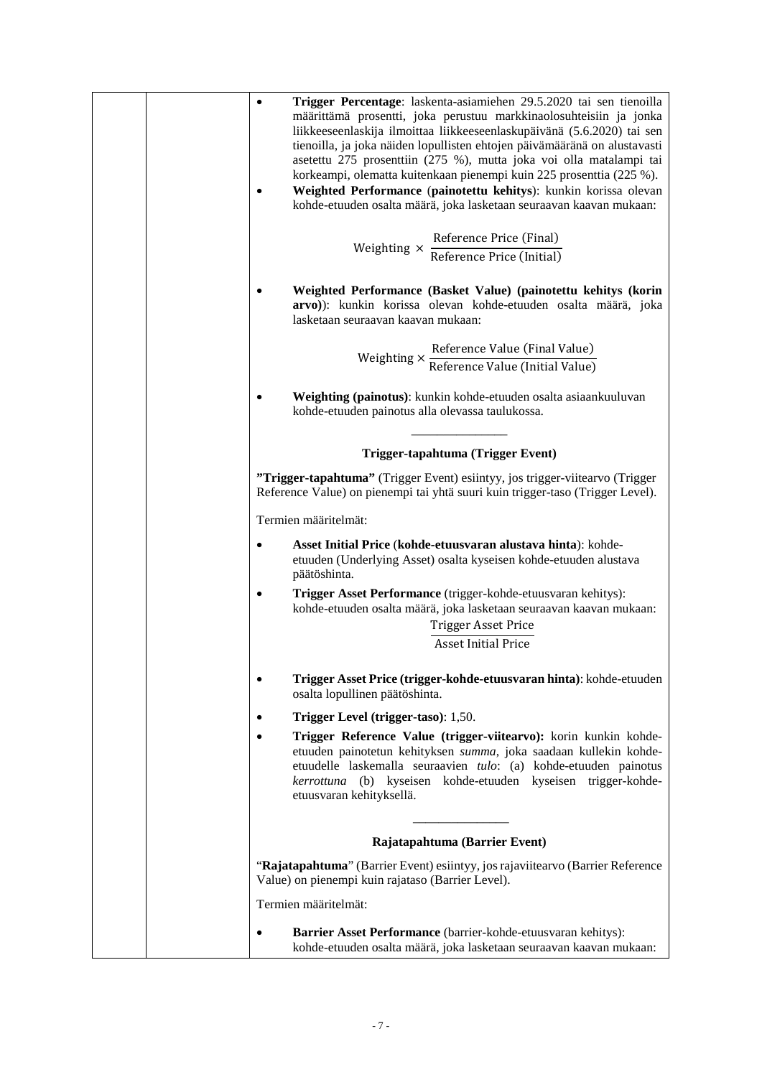| Trigger Percentage: laskenta-asiamiehen 29.5.2020 tai sen tienoilla<br>$\bullet$<br>määrittämä prosentti, joka perustuu markkinaolosuhteisiin ja jonka<br>liikkeeseenlaskija ilmoittaa liikkeeseenlaskupäivänä (5.6.2020) tai sen<br>tienoilla, ja joka näiden lopullisten ehtojen päivämääränä on alustavasti<br>asetettu 275 prosenttiin (275 %), mutta joka voi olla matalampi tai<br>korkeampi, olematta kuitenkaan pienempi kuin 225 prosenttia (225 %).<br>Weighted Performance (painotettu kehitys): kunkin korissa olevan<br>kohde-etuuden osalta määrä, joka lasketaan seuraavan kaavan mukaan: |
|----------------------------------------------------------------------------------------------------------------------------------------------------------------------------------------------------------------------------------------------------------------------------------------------------------------------------------------------------------------------------------------------------------------------------------------------------------------------------------------------------------------------------------------------------------------------------------------------------------|
| $Weighting \times \frac{Reference \, Price \, (Final)}{Reference \, Price \, (Initial)}$                                                                                                                                                                                                                                                                                                                                                                                                                                                                                                                 |
| Weighted Performance (Basket Value) (painotettu kehitys (korin<br>arvo)): kunkin korissa olevan kohde-etuuden osalta määrä, joka<br>lasketaan seuraavan kaavan mukaan:                                                                                                                                                                                                                                                                                                                                                                                                                                   |
| $Weighting \times \frac{Reference Value (Final Value)}{Reference Value (Initial Value)}$                                                                                                                                                                                                                                                                                                                                                                                                                                                                                                                 |
| Weighting (painotus): kunkin kohde-etuuden osalta asiaankuuluvan<br>kohde-etuuden painotus alla olevassa taulukossa.                                                                                                                                                                                                                                                                                                                                                                                                                                                                                     |
| Trigger-tapahtuma (Trigger Event)                                                                                                                                                                                                                                                                                                                                                                                                                                                                                                                                                                        |
| "Trigger-tapahtuma" (Trigger Event) esiintyy, jos trigger-viitearvo (Trigger<br>Reference Value) on pienempi tai yhtä suuri kuin trigger-taso (Trigger Level).                                                                                                                                                                                                                                                                                                                                                                                                                                           |
| Termien määritelmät:                                                                                                                                                                                                                                                                                                                                                                                                                                                                                                                                                                                     |
| Asset Initial Price (kohde-etuusvaran alustava hinta): kohde-<br>etuuden (Underlying Asset) osalta kyseisen kohde-etuuden alustava<br>päätöshinta.                                                                                                                                                                                                                                                                                                                                                                                                                                                       |
| Trigger Asset Performance (trigger-kohde-etuusvaran kehitys):<br>kohde-etuuden osalta määrä, joka lasketaan seuraavan kaavan mukaan:<br><b>Trigger Asset Price</b><br><b>Asset Initial Price</b>                                                                                                                                                                                                                                                                                                                                                                                                         |
| Trigger Asset Price (trigger-kohde-etuusvaran hinta): kohde-etuuden<br>٠<br>osalta lopullinen päätöshinta.                                                                                                                                                                                                                                                                                                                                                                                                                                                                                               |
| Trigger Level (trigger-taso): 1,50.<br>٠                                                                                                                                                                                                                                                                                                                                                                                                                                                                                                                                                                 |
| Trigger Reference Value (trigger-viitearvo): korin kunkin kohde-<br>etuuden painotetun kehityksen summa, joka saadaan kullekin kohde-<br>etuudelle laskemalla seuraavien tulo: (a) kohde-etuuden painotus<br>kerrottuna (b) kyseisen kohde-etuuden kyseisen trigger-kohde-<br>etuusvaran kehityksellä.                                                                                                                                                                                                                                                                                                   |
| Rajatapahtuma (Barrier Event)                                                                                                                                                                                                                                                                                                                                                                                                                                                                                                                                                                            |
| "Rajatapahtuma" (Barrier Event) esiintyy, jos rajaviitearvo (Barrier Reference<br>Value) on pienempi kuin rajataso (Barrier Level).                                                                                                                                                                                                                                                                                                                                                                                                                                                                      |
| Termien määritelmät:                                                                                                                                                                                                                                                                                                                                                                                                                                                                                                                                                                                     |
| Barrier Asset Performance (barrier-kohde-etuusvaran kehitys):<br>$\bullet$<br>kohde-etuuden osalta määrä, joka lasketaan seuraavan kaavan mukaan:                                                                                                                                                                                                                                                                                                                                                                                                                                                        |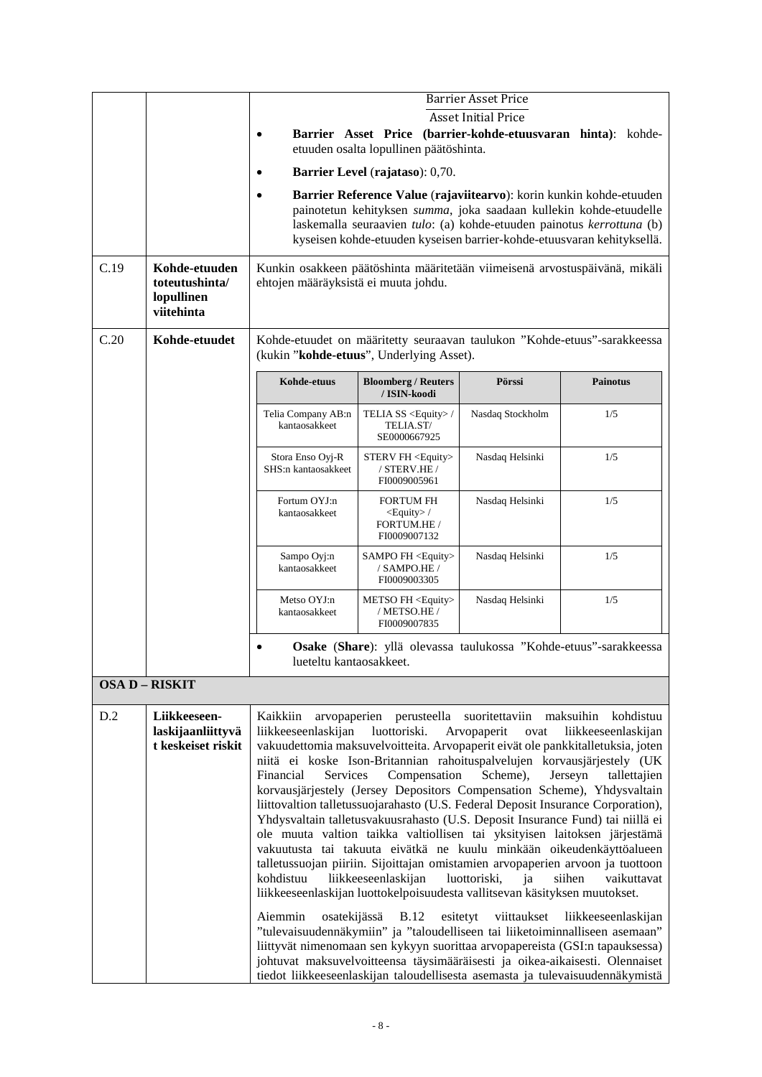|      |                                                             | <b>Barrier Asset Price</b>                                                                                                                                                                                                                                                                                                                                                                                                                                                                                                                                                                                                                                                                                                                                                                                                                                                                                                                                                                                                                                                                                                                                                                                                                                                                                                                                                                                                                                                                                |                                                                    |                  |                                                                                                                                                                                                                                                                                              |
|------|-------------------------------------------------------------|-----------------------------------------------------------------------------------------------------------------------------------------------------------------------------------------------------------------------------------------------------------------------------------------------------------------------------------------------------------------------------------------------------------------------------------------------------------------------------------------------------------------------------------------------------------------------------------------------------------------------------------------------------------------------------------------------------------------------------------------------------------------------------------------------------------------------------------------------------------------------------------------------------------------------------------------------------------------------------------------------------------------------------------------------------------------------------------------------------------------------------------------------------------------------------------------------------------------------------------------------------------------------------------------------------------------------------------------------------------------------------------------------------------------------------------------------------------------------------------------------------------|--------------------------------------------------------------------|------------------|----------------------------------------------------------------------------------------------------------------------------------------------------------------------------------------------------------------------------------------------------------------------------------------------|
|      |                                                             | <b>Asset Initial Price</b>                                                                                                                                                                                                                                                                                                                                                                                                                                                                                                                                                                                                                                                                                                                                                                                                                                                                                                                                                                                                                                                                                                                                                                                                                                                                                                                                                                                                                                                                                |                                                                    |                  |                                                                                                                                                                                                                                                                                              |
|      |                                                             | $\bullet$                                                                                                                                                                                                                                                                                                                                                                                                                                                                                                                                                                                                                                                                                                                                                                                                                                                                                                                                                                                                                                                                                                                                                                                                                                                                                                                                                                                                                                                                                                 | etuuden osalta lopullinen päätöshinta.                             |                  | Barrier Asset Price (barrier-kohde-etuusvaran hinta): kohde-                                                                                                                                                                                                                                 |
|      |                                                             |                                                                                                                                                                                                                                                                                                                                                                                                                                                                                                                                                                                                                                                                                                                                                                                                                                                                                                                                                                                                                                                                                                                                                                                                                                                                                                                                                                                                                                                                                                           | Barrier Level (rajataso): 0,70.                                    |                  |                                                                                                                                                                                                                                                                                              |
|      |                                                             |                                                                                                                                                                                                                                                                                                                                                                                                                                                                                                                                                                                                                                                                                                                                                                                                                                                                                                                                                                                                                                                                                                                                                                                                                                                                                                                                                                                                                                                                                                           |                                                                    |                  | Barrier Reference Value (rajaviitearvo): korin kunkin kohde-etuuden<br>painotetun kehityksen summa, joka saadaan kullekin kohde-etuudelle<br>laskemalla seuraavien tulo: (a) kohde-etuuden painotus kerrottuna (b)<br>kyseisen kohde-etuuden kyseisen barrier-kohde-etuusvaran kehityksellä. |
| C.19 | Kohde-etuuden<br>toteutushinta/<br>lopullinen<br>viitehinta | ehtojen määräyksistä ei muuta johdu.                                                                                                                                                                                                                                                                                                                                                                                                                                                                                                                                                                                                                                                                                                                                                                                                                                                                                                                                                                                                                                                                                                                                                                                                                                                                                                                                                                                                                                                                      |                                                                    |                  | Kunkin osakkeen päätöshinta määritetään viimeisenä arvostuspäivänä, mikäli                                                                                                                                                                                                                   |
| C.20 | Kohde-etuudet                                               | Kohde-etuudet on määritetty seuraavan taulukon "Kohde-etuus"-sarakkeessa<br>(kukin "kohde-etuus", Underlying Asset).                                                                                                                                                                                                                                                                                                                                                                                                                                                                                                                                                                                                                                                                                                                                                                                                                                                                                                                                                                                                                                                                                                                                                                                                                                                                                                                                                                                      |                                                                    |                  |                                                                                                                                                                                                                                                                                              |
|      |                                                             | Kohde-etuus                                                                                                                                                                                                                                                                                                                                                                                                                                                                                                                                                                                                                                                                                                                                                                                                                                                                                                                                                                                                                                                                                                                                                                                                                                                                                                                                                                                                                                                                                               | <b>Bloomberg / Reuters</b><br>/ ISIN-koodi                         | Pörssi           | <b>Painotus</b>                                                                                                                                                                                                                                                                              |
|      |                                                             | Telia Company AB:n<br>kantaosakkeet                                                                                                                                                                                                                                                                                                                                                                                                                                                                                                                                                                                                                                                                                                                                                                                                                                                                                                                                                                                                                                                                                                                                                                                                                                                                                                                                                                                                                                                                       | TELIA SS <equity>/<br/>TELIA.ST/<br/>SE0000667925</equity>         | Nasdaq Stockholm | 1/5                                                                                                                                                                                                                                                                                          |
|      |                                                             | Stora Enso Oyj-R<br>SHS:n kantaosakkeet                                                                                                                                                                                                                                                                                                                                                                                                                                                                                                                                                                                                                                                                                                                                                                                                                                                                                                                                                                                                                                                                                                                                                                                                                                                                                                                                                                                                                                                                   | STERV FH <equity><br/>/ STERV.HE /<br/>FI0009005961</equity>       | Nasdaq Helsinki  | 1/5                                                                                                                                                                                                                                                                                          |
|      |                                                             | Fortum OYJ:n<br>kantaosakkeet                                                                                                                                                                                                                                                                                                                                                                                                                                                                                                                                                                                                                                                                                                                                                                                                                                                                                                                                                                                                                                                                                                                                                                                                                                                                                                                                                                                                                                                                             | <b>FORTUM FH</b><br>$<$ Equity $>$ /<br>FORTUM.HE/<br>FI0009007132 | Nasdaq Helsinki  | 1/5                                                                                                                                                                                                                                                                                          |
|      |                                                             | Sampo Oyj:n<br>kantaosakkeet                                                                                                                                                                                                                                                                                                                                                                                                                                                                                                                                                                                                                                                                                                                                                                                                                                                                                                                                                                                                                                                                                                                                                                                                                                                                                                                                                                                                                                                                              | SAMPO FH <equity><br/>/ SAMPO.HE /<br/>FI0009003305</equity>       | Nasdaq Helsinki  | 1/5                                                                                                                                                                                                                                                                                          |
|      |                                                             | Metso OYJ:n<br>kantaosakkeet                                                                                                                                                                                                                                                                                                                                                                                                                                                                                                                                                                                                                                                                                                                                                                                                                                                                                                                                                                                                                                                                                                                                                                                                                                                                                                                                                                                                                                                                              | METSO FH <equity><br/>/ METSO.HE /<br/>FI0009007835</equity>       | Nasdaq Helsinki  | 1/5                                                                                                                                                                                                                                                                                          |
|      |                                                             | lueteltu kantaosakkeet                                                                                                                                                                                                                                                                                                                                                                                                                                                                                                                                                                                                                                                                                                                                                                                                                                                                                                                                                                                                                                                                                                                                                                                                                                                                                                                                                                                                                                                                                    |                                                                    |                  | Osake (Share): yllä olevassa taulukossa "Kohde-etuus"-sarakkeessa                                                                                                                                                                                                                            |
|      | <b>OSA D - RISKIT</b>                                       |                                                                                                                                                                                                                                                                                                                                                                                                                                                                                                                                                                                                                                                                                                                                                                                                                                                                                                                                                                                                                                                                                                                                                                                                                                                                                                                                                                                                                                                                                                           |                                                                    |                  |                                                                                                                                                                                                                                                                                              |
| D.2  | Liikkeeseen-<br>laskijaanliittyvä<br>t keskeiset riskit     | suoritettaviin<br>Kaikkiin<br>arvopaperien perusteella<br>maksuihin<br>kohdistuu<br>luottoriski.<br>liikkeeseenlaskijan<br>Arvopaperit<br>ovat<br>liikkeeseenlaskijan<br>vakuudettomia maksuvelvoitteita. Arvopaperit eivät ole pankkitalletuksia, joten<br>niitä ei koske Ison-Britannian rahoituspalvelujen korvausjärjestely (UK<br>Compensation<br>Scheme).<br>Financial<br>Services<br>Jerseyn<br>tallettajien<br>korvausjärjestely (Jersey Depositors Compensation Scheme), Yhdysvaltain<br>liittovaltion talletussuojarahasto (U.S. Federal Deposit Insurance Corporation),<br>Yhdysvaltain talletusvakuusrahasto (U.S. Deposit Insurance Fund) tai niillä ei<br>ole muuta valtion taikka valtiollisen tai yksityisen laitoksen järjestämä<br>vakuutusta tai takuuta eivätkä ne kuulu minkään oikeudenkäyttöalueen<br>talletussuojan piiriin. Sijoittajan omistamien arvopaperien arvoon ja tuottoon<br>liikkeeseenlaskijan<br>luottoriski,<br>kohdistuu<br>ja<br>siihen<br>vaikuttavat<br>liikkeeseenlaskijan luottokelpoisuudesta vallitsevan käsityksen muutokset.<br>Aiemmin<br>esitetyt<br>viittaukset<br>osatekijässä<br><b>B.12</b><br>liikkeeseenlaskijan<br>"tulevaisuudennäkymiin" ja "taloudelliseen tai liiketoiminnalliseen asemaan"<br>liittyvät nimenomaan sen kykyyn suorittaa arvopapereista (GSI:n tapauksessa)<br>johtuvat maksuvelvoitteensa täysimääräisesti ja oikea-aikaisesti. Olennaiset<br>tiedot liikkeeseenlaskijan taloudellisesta asemasta ja tulevaisuudennäkymistä |                                                                    |                  |                                                                                                                                                                                                                                                                                              |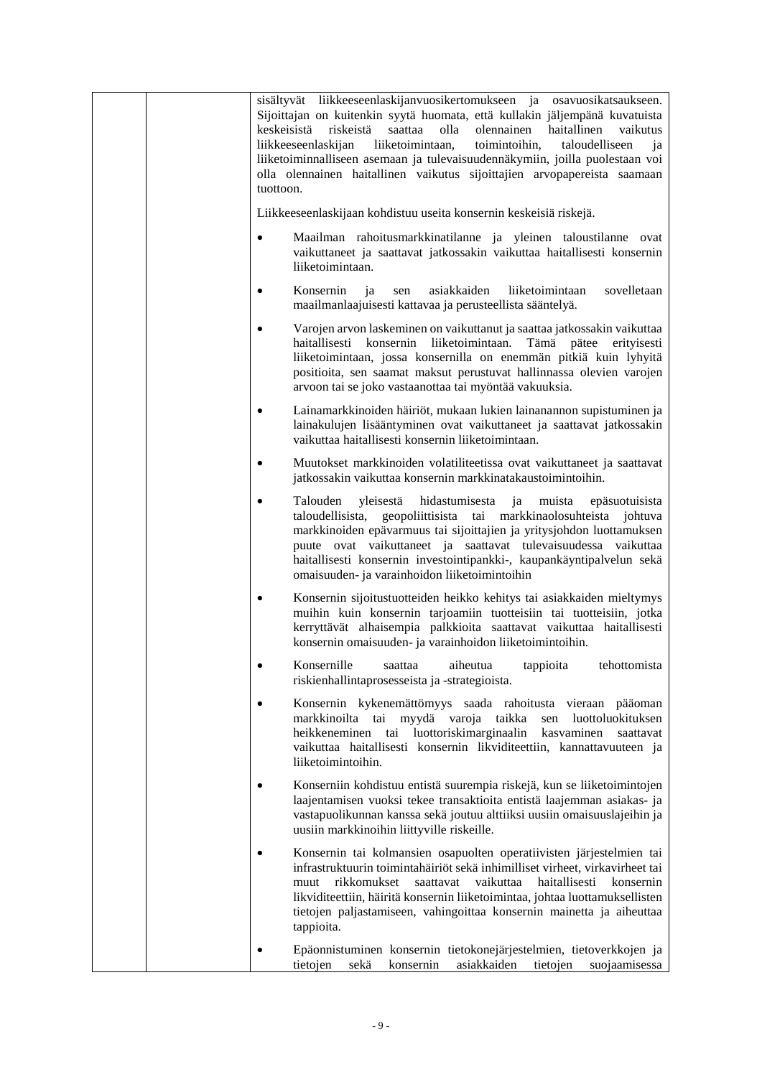| sisältyvät liikkeeseenlaskijanvuosikertomukseen ja osavuosikatsaukseen.<br>Sijoittajan on kuitenkin syytä huomata, että kullakin jäljempänä kuvatuista<br>keskeisistä<br>riskeistä<br>saattaa<br>olla<br>olennainen<br>haitallinen<br>vaikutus<br>liikkeeseenlaskijan<br>liiketoimintaan,<br>toimintoihin,<br>taloudelliseen<br>ja<br>liiketoiminnalliseen asemaan ja tulevaisuudennäkymiin, joilla puolestaan voi<br>olla olennainen haitallinen vaikutus sijoittajien arvopapereista saamaan<br>tuottoon. |  |
|-------------------------------------------------------------------------------------------------------------------------------------------------------------------------------------------------------------------------------------------------------------------------------------------------------------------------------------------------------------------------------------------------------------------------------------------------------------------------------------------------------------|--|
| Liikkeeseenlaskijaan kohdistuu useita konsernin keskeisiä riskejä.                                                                                                                                                                                                                                                                                                                                                                                                                                          |  |
| Maailman rahoitusmarkkinatilanne ja yleinen taloustilanne ovat<br>vaikuttaneet ja saattavat jatkossakin vaikuttaa haitallisesti konsernin<br>liiketoimintaan.                                                                                                                                                                                                                                                                                                                                               |  |
| Konsernin<br>ja<br>asiakkaiden<br>sovelletaan<br>liiketoimintaan<br>sen<br>maailmanlaajuisesti kattavaa ja perusteellista sääntelyä.                                                                                                                                                                                                                                                                                                                                                                        |  |
| Varojen arvon laskeminen on vaikuttanut ja saattaa jatkossakin vaikuttaa<br>haitallisesti konsernin liiketoimintaan. Tämä pätee erityisesti<br>liiketoimintaan, jossa konsernilla on enemmän pitkiä kuin lyhyitä<br>positioita, sen saamat maksut perustuvat hallinnassa olevien varojen<br>arvoon tai se joko vastaanottaa tai myöntää vakuuksia.                                                                                                                                                          |  |
| Lainamarkkinoiden häiriöt, mukaan lukien lainanannon supistuminen ja<br>lainakulujen lisääntyminen ovat vaikuttaneet ja saattavat jatkossakin<br>vaikuttaa haitallisesti konsernin liiketoimintaan.                                                                                                                                                                                                                                                                                                         |  |
| Muutokset markkinoiden volatiliteetissa ovat vaikuttaneet ja saattavat<br>jatkossakin vaikuttaa konsernin markkinatakaustoimintoihin.                                                                                                                                                                                                                                                                                                                                                                       |  |
| hidastumisesta<br>Talouden<br>yleisestä<br>ja<br>muista<br>epäsuotuisista<br>$\bullet$<br>taloudellisista, geopoliittisista tai markkinaolosuhteista johtuva<br>markkinoiden epävarmuus tai sijoittajien ja yritysjohdon luottamuksen<br>puute ovat vaikuttaneet ja saattavat tulevaisuudessa vaikuttaa<br>haitallisesti konsernin investointipankki-, kaupankäyntipalvelun sekä<br>omaisuuden- ja varainhoidon liiketoimintoihin                                                                           |  |
| Konsernin sijoitustuotteiden heikko kehitys tai asiakkaiden mieltymys<br>muihin kuin konsernin tarjoamiin tuotteisiin tai tuotteisiin, jotka<br>kerryttävät alhaisempia palkkioita saattavat vaikuttaa haitallisesti<br>konsernin omaisuuden- ja varainhoidon liiketoimintoihin.                                                                                                                                                                                                                            |  |
| Konsernille saattaa aiheutua tappioita tehottomista<br>riskienhallintaprosesseista ja -strategioista.                                                                                                                                                                                                                                                                                                                                                                                                       |  |
| Konsernin kykenemättömyys saada rahoitusta vieraan<br>pääoman<br>markkinoilta tai myydä varoja taikka<br>luottoluokituksen<br>sen<br>tai<br>luottoriskimarginaalin<br>heikkeneminen<br>kasvaminen<br>saattavat<br>vaikuttaa haitallisesti konsernin likviditeettiin, kannattavuuteen ja<br>liiketoimintoihin.                                                                                                                                                                                               |  |
| Konserniin kohdistuu entistä suurempia riskejä, kun se liiketoimintojen<br>laajentamisen vuoksi tekee transaktioita entistä laajemman asiakas- ja<br>vastapuolikunnan kanssa sekä joutuu alttiiksi uusiin omaisuuslajeihin ja<br>uusiin markkinoihin liittyville riskeille.                                                                                                                                                                                                                                 |  |
| Konsernin tai kolmansien osapuolten operatiivisten järjestelmien tai<br>infrastruktuurin toimintahäiriöt sekä inhimilliset virheet, virkavirheet tai<br>rikkomukset<br>vaikuttaa<br>haitallisesti<br>saattavat<br>konsernin<br>muut<br>likviditeettiin, häiritä konsernin liiketoimintaa, johtaa luottamuksellisten<br>tietojen paljastamiseen, vahingoittaa konsernin mainetta ja aiheuttaa<br>tappioita.                                                                                                  |  |
| Epäonnistuminen konsernin tietokonejärjestelmien, tietoverkkojen ja<br>sekä<br>konsernin<br>asiakkaiden<br>tietojen<br>tietojen<br>suojaamisessa                                                                                                                                                                                                                                                                                                                                                            |  |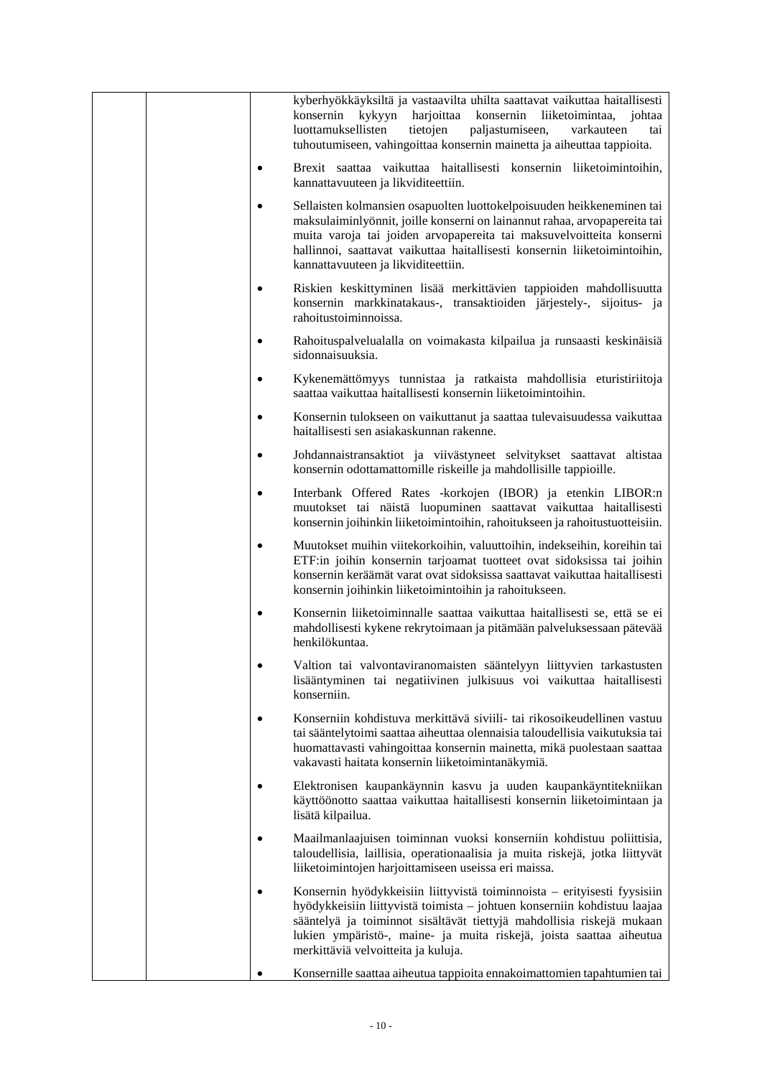|  |           | kyberhyökkäyksiltä ja vastaavilta uhilta saattavat vaikuttaa haitallisesti<br>kykyyn<br>harjoittaa<br>konsernin<br>konsernin<br>liiketoimintaa,<br>johtaa<br>luottamuksellisten<br>tietojen<br>paljastumiseen,<br>varkauteen<br>tai<br>tuhoutumiseen, vahingoittaa konsernin mainetta ja aiheuttaa tappioita.                                  |
|--|-----------|------------------------------------------------------------------------------------------------------------------------------------------------------------------------------------------------------------------------------------------------------------------------------------------------------------------------------------------------|
|  |           | Brexit saattaa vaikuttaa haitallisesti konsernin liiketoimintoihin,<br>kannattavuuteen ja likviditeettiin.                                                                                                                                                                                                                                     |
|  |           | Sellaisten kolmansien osapuolten luottokelpoisuuden heikkeneminen tai<br>maksulaiminlyönnit, joille konserni on lainannut rahaa, arvopapereita tai<br>muita varoja tai joiden arvopapereita tai maksuvelvoitteita konserni<br>hallinnoi, saattavat vaikuttaa haitallisesti konsernin liiketoimintoihin,<br>kannattavuuteen ja likviditeettiin. |
|  |           | Riskien keskittyminen lisää merkittävien tappioiden mahdollisuutta<br>konsernin markkinatakaus-, transaktioiden järjestely-, sijoitus- ja<br>rahoitustoiminnoissa.                                                                                                                                                                             |
|  | ٠         | Rahoituspalvelualalla on voimakasta kilpailua ja runsaasti keskinäisiä<br>sidonnaisuuksia.                                                                                                                                                                                                                                                     |
|  |           | Kykenemättömyys tunnistaa ja ratkaista mahdollisia eturistiriitoja<br>saattaa vaikuttaa haitallisesti konsernin liiketoimintoihin.                                                                                                                                                                                                             |
|  | $\bullet$ | Konsernin tulokseen on vaikuttanut ja saattaa tulevaisuudessa vaikuttaa<br>haitallisesti sen asiakaskunnan rakenne.                                                                                                                                                                                                                            |
|  | $\bullet$ | Johdannaistransaktiot ja viivästyneet selvitykset saattavat altistaa<br>konsernin odottamattomille riskeille ja mahdollisille tappioille.                                                                                                                                                                                                      |
|  | $\bullet$ | Interbank Offered Rates -korkojen (IBOR) ja etenkin LIBOR:n<br>muutokset tai näistä luopuminen saattavat vaikuttaa haitallisesti<br>konsernin joihinkin liiketoimintoihin, rahoitukseen ja rahoitustuotteisiin.                                                                                                                                |
|  | $\bullet$ | Muutokset muihin viitekorkoihin, valuuttoihin, indekseihin, koreihin tai<br>ETF:in joihin konsernin tarjoamat tuotteet ovat sidoksissa tai joihin<br>konsernin keräämät varat ovat sidoksissa saattavat vaikuttaa haitallisesti<br>konsernin joihinkin liiketoimintoihin ja rahoitukseen.                                                      |
|  |           | Konsernin liiketoiminnalle saattaa vaikuttaa haitallisesti se, että se ei<br>mahdollisesti kykene rekrytoimaan ja pitämään palveluksessaan pätevää<br>henkilökuntaa.                                                                                                                                                                           |
|  | ٠         | Valtion tai valvontaviranomaisten sääntelyyn liittyvien tarkastusten<br>lisääntyminen tai negatiivinen julkisuus voi vaikuttaa haitallisesti<br>konserniin.                                                                                                                                                                                    |
|  |           | Konserniin kohdistuva merkittävä siviili- tai rikosoikeudellinen vastuu<br>tai sääntelytoimi saattaa aiheuttaa olennaisia taloudellisia vaikutuksia tai<br>huomattavasti vahingoittaa konsernin mainetta, mikä puolestaan saattaa<br>vakavasti haitata konsernin liiketoimintanäkymiä.                                                         |
|  |           | Elektronisen kaupankäynnin kasvu ja uuden kaupankäyntitekniikan<br>käyttöönotto saattaa vaikuttaa haitallisesti konsernin liiketoimintaan ja<br>lisätä kilpailua.                                                                                                                                                                              |
|  |           | Maailmanlaajuisen toiminnan vuoksi konserniin kohdistuu poliittisia,<br>taloudellisia, laillisia, operationaalisia ja muita riskejä, jotka liittyvät<br>liiketoimintojen harjoittamiseen useissa eri maissa.                                                                                                                                   |
|  |           | Konsernin hyödykkeisiin liittyvistä toiminnoista – erityisesti fyysisiin<br>hyödykkeisiin liittyvistä toimista – johtuen konserniin kohdistuu laajaa<br>sääntelyä ja toiminnot sisältävät tiettyjä mahdollisia riskejä mukaan<br>lukien ympäristö-, maine- ja muita riskejä, joista saattaa aiheutua<br>merkittäviä velvoitteita ja kuluja.    |
|  |           | Konsernille saattaa aiheutua tappioita ennakoimattomien tapahtumien tai                                                                                                                                                                                                                                                                        |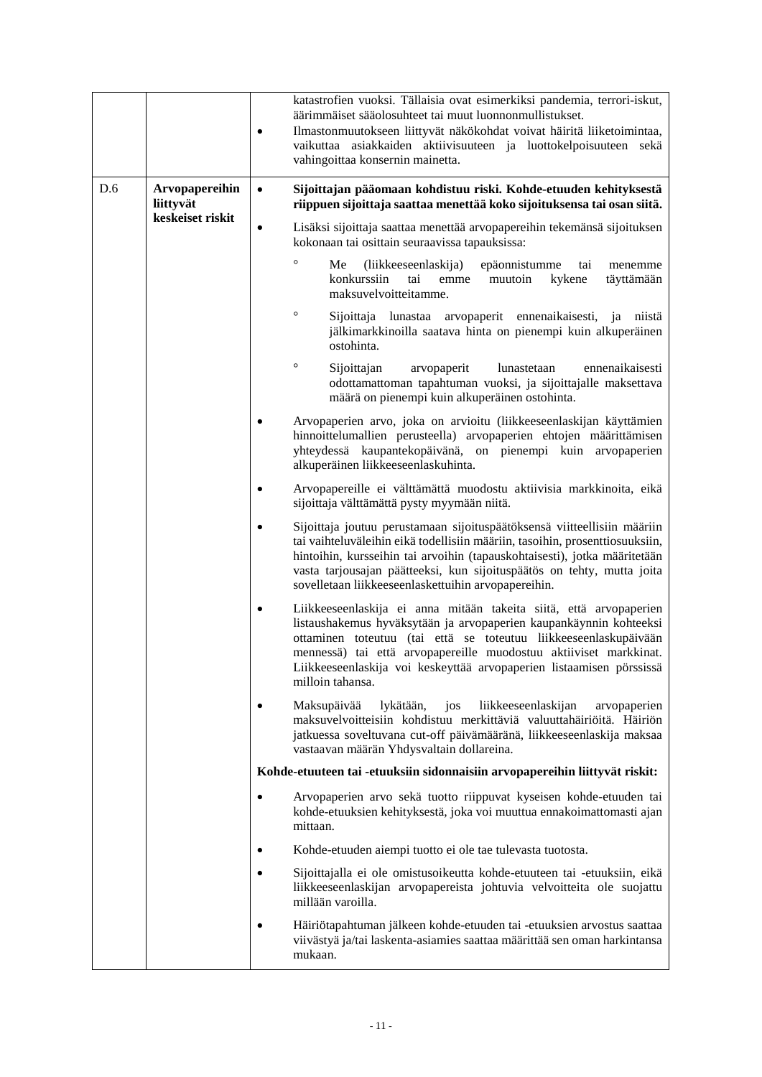|     |                                                     | ٠         | katastrofien vuoksi. Tällaisia ovat esimerkiksi pandemia, terrori-iskut,<br>äärimmäiset sääolosuhteet tai muut luonnonmullistukset.<br>Ilmastonmuutokseen liittyvät näkökohdat voivat häiritä liiketoimintaa,<br>vaikuttaa asiakkaiden aktiivisuuteen ja luottokelpoisuuteen sekä<br>vahingoittaa konsernin mainetta.                                                         |
|-----|-----------------------------------------------------|-----------|-------------------------------------------------------------------------------------------------------------------------------------------------------------------------------------------------------------------------------------------------------------------------------------------------------------------------------------------------------------------------------|
| D.6 | Arvopapereihin<br>liittyvät                         | $\bullet$ | Sijoittajan pääomaan kohdistuu riski. Kohde-etuuden kehityksestä<br>riippuen sijoittaja saattaa menettää koko sijoituksensa tai osan siitä.                                                                                                                                                                                                                                   |
|     | keskeiset riskit                                    | $\bullet$ | Lisäksi sijoittaja saattaa menettää arvopapereihin tekemänsä sijoituksen<br>kokonaan tai osittain seuraavissa tapauksissa:                                                                                                                                                                                                                                                    |
|     |                                                     |           | $\circ$<br>Me<br>(liikkeeseenlaskija)<br>epäonnistumme<br>tai<br>menemme<br>konkurssiin<br>tai<br>kykene<br>emme<br>muutoin<br>täyttämään<br>maksuvelvoitteitamme.                                                                                                                                                                                                            |
|     |                                                     |           | $\circ$<br>Sijoittaja lunastaa arvopaperit ennenaikaisesti, ja niistä<br>jälkimarkkinoilla saatava hinta on pienempi kuin alkuperäinen<br>ostohinta.                                                                                                                                                                                                                          |
|     |                                                     |           | $\circ$<br>ennenaikaisesti<br>Sijoittajan<br>lunastetaan<br>arvopaperit<br>odottamattoman tapahtuman vuoksi, ja sijoittajalle maksettava<br>määrä on pienempi kuin alkuperäinen ostohinta.                                                                                                                                                                                    |
|     |                                                     |           | Arvopaperien arvo, joka on arvioitu (liikkeeseenlaskijan käyttämien<br>hinnoittelumallien perusteella) arvopaperien ehtojen määrittämisen<br>yhteydessä kaupantekopäivänä, on pienempi kuin arvopaperien<br>alkuperäinen liikkeeseenlaskuhinta.                                                                                                                               |
|     |                                                     |           | Arvopapereille ei välttämättä muodostu aktiivisia markkinoita, eikä<br>sijoittaja välttämättä pysty myymään niitä.                                                                                                                                                                                                                                                            |
|     | sovelletaan liikkeeseenlaskettuihin arvopapereihin. |           | Sijoittaja joutuu perustamaan sijoituspäätöksensä viitteellisiin määriin<br>tai vaihteluväleihin eikä todellisiin määriin, tasoihin, prosenttiosuuksiin,<br>hintoihin, kursseihin tai arvoihin (tapauskohtaisesti), jotka määritetään<br>vasta tarjousajan päätteeksi, kun sijoituspäätös on tehty, mutta joita                                                               |
|     |                                                     |           | Liikkeeseenlaskija ei anna mitään takeita siitä, että arvopaperien<br>listaushakemus hyväksytään ja arvopaperien kaupankäynnin kohteeksi<br>ottaminen toteutuu (tai että se toteutuu liikkeeseenlaskupäivään<br>mennessä) tai että arvopapereille muodostuu aktiiviset markkinat.<br>Liikkeeseenlaskija voi keskeyttää arvopaperien listaamisen pörssissä<br>milloin tahansa. |
|     |                                                     |           | Maksupäivää<br>liikkeeseenlaskijan<br>lykätään,<br>jos<br>arvopaperien<br>maksuvelvoitteisiin kohdistuu merkittäviä valuuttahäiriöitä. Häiriön<br>jatkuessa soveltuvana cut-off päivämääränä, liikkeeseenlaskija maksaa<br>vastaavan määrän Yhdysvaltain dollareina.                                                                                                          |
|     |                                                     |           | Kohde-etuuteen tai -etuuksiin sidonnaisiin arvopapereihin liittyvät riskit:                                                                                                                                                                                                                                                                                                   |
|     |                                                     | ٠         | Arvopaperien arvo sekä tuotto riippuvat kyseisen kohde-etuuden tai<br>kohde-etuuksien kehityksestä, joka voi muuttua ennakoimattomasti ajan<br>mittaan.                                                                                                                                                                                                                       |
|     |                                                     |           | Kohde-etuuden aiempi tuotto ei ole tae tulevasta tuotosta.                                                                                                                                                                                                                                                                                                                    |
|     |                                                     | ٠         | Sijoittajalla ei ole omistusoikeutta kohde-etuuteen tai -etuuksiin, eikä<br>liikkeeseenlaskijan arvopapereista johtuvia velvoitteita ole suojattu<br>millään varoilla.                                                                                                                                                                                                        |
|     |                                                     |           | Häiriötapahtuman jälkeen kohde-etuuden tai -etuuksien arvostus saattaa<br>viivästyä ja/tai laskenta-asiamies saattaa määrittää sen oman harkintansa<br>mukaan.                                                                                                                                                                                                                |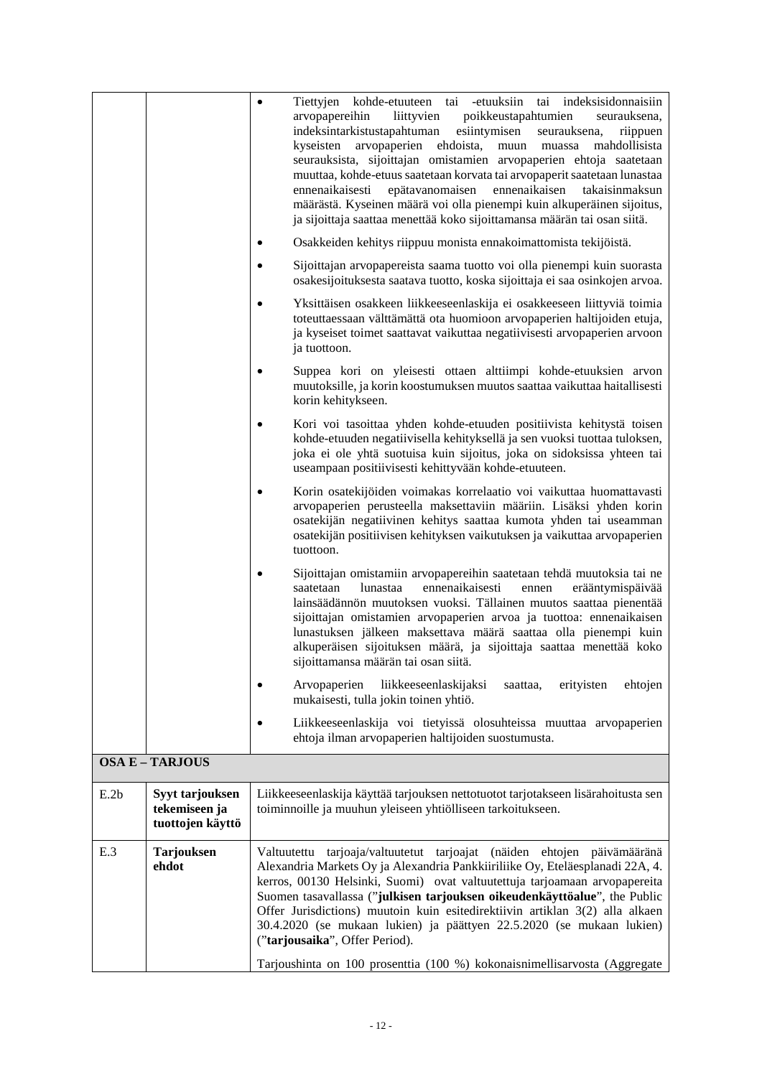|      |                                                      | Tiettyjen kohde-etuuteen tai -etuuksiin tai indeksisidonnaisiin<br>$\bullet$<br>arvopapereihin<br>liittyvien<br>poikkeustapahtumien<br>seurauksena,<br>indeksintarkistustapahtuman<br>esiintymisen<br>seurauksena,<br>riippuen<br>kyseisten arvopaperien<br>ehdoista,<br>mahdollisista<br>muun muassa<br>seurauksista, sijoittajan omistamien arvopaperien ehtoja saatetaan<br>muuttaa, kohde-etuus saatetaan korvata tai arvopaperit saatetaan lunastaa<br>ennenaikaisesti<br>epätavanomaisen<br>ennenaikaisen<br>takaisinmaksun<br>määrästä. Kyseinen määrä voi olla pienempi kuin alkuperäinen sijoitus,<br>ja sijoittaja saattaa menettää koko sijoittamansa määrän tai osan siitä.<br>Osakkeiden kehitys riippuu monista ennakoimattomista tekijöistä.<br>Sijoittajan arvopapereista saama tuotto voi olla pienempi kuin suorasta<br>٠<br>osakesijoituksesta saatava tuotto, koska sijoittaja ei saa osinkojen arvoa.<br>Yksittäisen osakkeen liikkeeseenlaskija ei osakkeeseen liittyviä toimia<br>toteuttaessaan välttämättä ota huomioon arvopaperien haltijoiden etuja,<br>ja kyseiset toimet saattavat vaikuttaa negatiivisesti arvopaperien arvoon<br>ja tuottoon.<br>Suppea kori on yleisesti ottaen alttiimpi kohde-etuuksien arvon<br>٠<br>muutoksille, ja korin koostumuksen muutos saattaa vaikuttaa haitallisesti |  |
|------|------------------------------------------------------|------------------------------------------------------------------------------------------------------------------------------------------------------------------------------------------------------------------------------------------------------------------------------------------------------------------------------------------------------------------------------------------------------------------------------------------------------------------------------------------------------------------------------------------------------------------------------------------------------------------------------------------------------------------------------------------------------------------------------------------------------------------------------------------------------------------------------------------------------------------------------------------------------------------------------------------------------------------------------------------------------------------------------------------------------------------------------------------------------------------------------------------------------------------------------------------------------------------------------------------------------------------------------------------------------------------------------------|--|
|      |                                                      | korin kehitykseen.<br>Kori voi tasoittaa yhden kohde-etuuden positiivista kehitystä toisen<br>kohde-etuuden negatiivisella kehityksellä ja sen vuoksi tuottaa tuloksen,<br>joka ei ole yhtä suotuisa kuin sijoitus, joka on sidoksissa yhteen tai<br>useampaan positiivisesti kehittyvään kohde-etuuteen.                                                                                                                                                                                                                                                                                                                                                                                                                                                                                                                                                                                                                                                                                                                                                                                                                                                                                                                                                                                                                          |  |
|      |                                                      | Korin osatekijöiden voimakas korrelaatio voi vaikuttaa huomattavasti<br>arvopaperien perusteella maksettaviin määriin. Lisäksi yhden korin<br>osatekijän negatiivinen kehitys saattaa kumota yhden tai useamman<br>osatekijän positiivisen kehityksen vaikutuksen ja vaikuttaa arvopaperien<br>tuottoon.                                                                                                                                                                                                                                                                                                                                                                                                                                                                                                                                                                                                                                                                                                                                                                                                                                                                                                                                                                                                                           |  |
|      |                                                      | Sijoittajan omistamiin arvopapereihin saatetaan tehdä muutoksia tai ne<br>lunastaa<br>ennenaikaisesti<br>saatetaan<br>erääntymispäivää<br>ennen<br>lainsäädännön muutoksen vuoksi. Tällainen muutos saattaa pienentää<br>sijoittajan omistamien arvopaperien arvoa ja tuottoa: ennenaikaisen<br>lunastuksen jälkeen maksettava määrä saattaa olla pienempi kuin<br>alkuperäisen sijoituksen määrä, ja sijoittaja saattaa menettää koko<br>sijoittamansa määrän tai osan siitä.                                                                                                                                                                                                                                                                                                                                                                                                                                                                                                                                                                                                                                                                                                                                                                                                                                                     |  |
|      |                                                      | erityisten<br>Arvopaperien<br>liikkeeseenlaskijaksi<br>ehtojen<br>saattaa,<br>mukaisesti, tulla jokin toinen yhtiö.                                                                                                                                                                                                                                                                                                                                                                                                                                                                                                                                                                                                                                                                                                                                                                                                                                                                                                                                                                                                                                                                                                                                                                                                                |  |
|      |                                                      | Liikkeeseenlaskija voi tietyissä olosuhteissa muuttaa arvopaperien<br>ehtoja ilman arvopaperien haltijoiden suostumusta.                                                                                                                                                                                                                                                                                                                                                                                                                                                                                                                                                                                                                                                                                                                                                                                                                                                                                                                                                                                                                                                                                                                                                                                                           |  |
|      | <b>OSA E - TARJOUS</b>                               |                                                                                                                                                                                                                                                                                                                                                                                                                                                                                                                                                                                                                                                                                                                                                                                                                                                                                                                                                                                                                                                                                                                                                                                                                                                                                                                                    |  |
| E.2b | Syyt tarjouksen<br>tekemiseen ja<br>tuottojen käyttö | Liikkeeseenlaskija käyttää tarjouksen nettotuotot tarjotakseen lisärahoitusta sen<br>toiminnoille ja muuhun yleiseen yhtiölliseen tarkoitukseen.                                                                                                                                                                                                                                                                                                                                                                                                                                                                                                                                                                                                                                                                                                                                                                                                                                                                                                                                                                                                                                                                                                                                                                                   |  |
| E.3  | <b>Tarjouksen</b><br>ehdot                           | Valtuutettu tarjoaja/valtuutetut tarjoajat (näiden ehtojen päivämääränä<br>Alexandria Markets Oy ja Alexandria Pankkiiriliike Oy, Eteläesplanadi 22A, 4.<br>kerros, 00130 Helsinki, Suomi) ovat valtuutettuja tarjoamaan arvopapereita<br>Suomen tasavallassa ("julkisen tarjouksen oikeudenkäyttöalue", the Public<br>Offer Jurisdictions) muutoin kuin esitedirektiivin artiklan 3(2) alla alkaen<br>30.4.2020 (se mukaan lukien) ja päättyen 22.5.2020 (se mukaan lukien)<br>("tarjousaika", Offer Period).<br>Tarjoushinta on 100 prosenttia (100 %) kokonaisnimellisarvosta (Aggregate                                                                                                                                                                                                                                                                                                                                                                                                                                                                                                                                                                                                                                                                                                                                        |  |